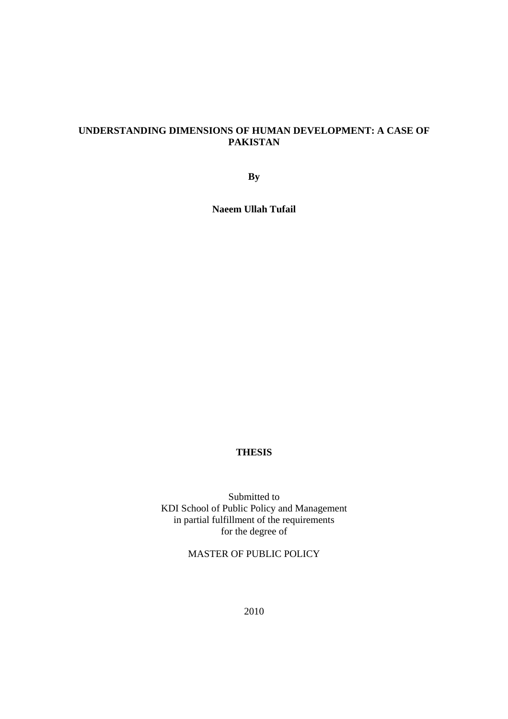## **UNDERSTANDING DIMENSIONS OF HUMAN DEVELOPMENT: A CASE OF PAKISTAN**

**By** 

**Naeem Ullah Tufail** 

## **THESIS**

Submitted to KDI School of Public Policy and Management in partial fulfillment of the requirements for the degree of

MASTER OF PUBLIC POLICY

2010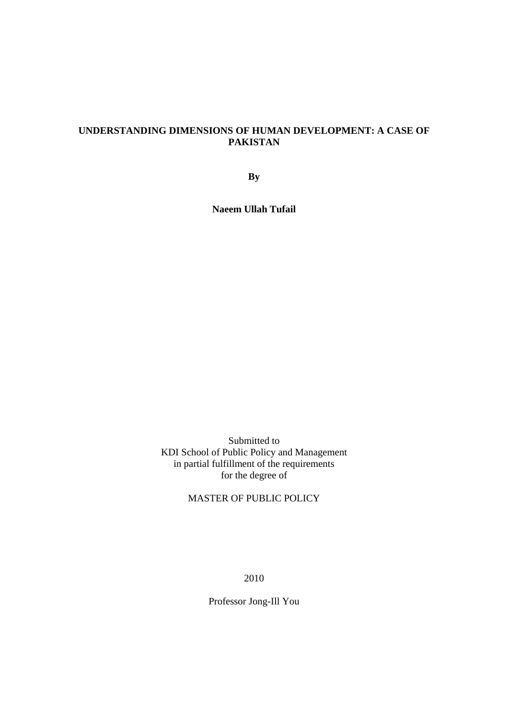## **UNDERSTANDING DIMENSIONS OF HUMAN DEVELOPMENT: A CASE OF PAKISTAN**

**By** 

**Naeem Ullah Tufail** 

Submitted to KDI School of Public Policy and Management in partial fulfillment of the requirements for the degree of

# MASTER OF PUBLIC POLICY

2010

Professor Jong-Ill You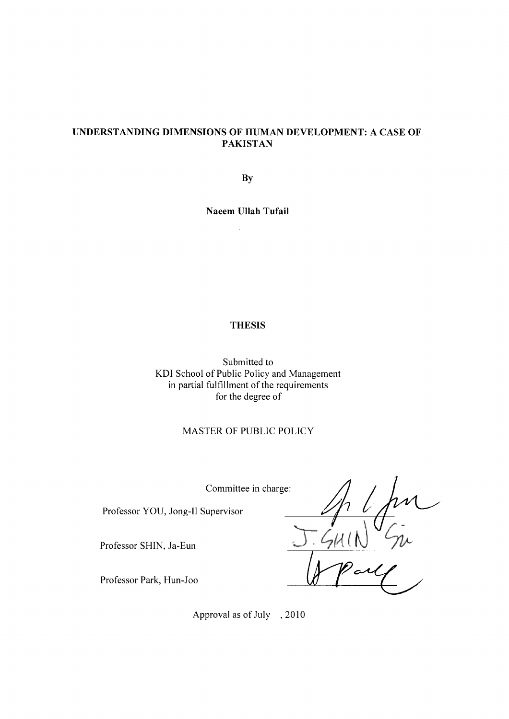### UNDERSTANDING DIMENSIONS OF HUMAN DEVELOPMENT: A CASE OF **PAKISTAN**

By

**Naeem Ullah Tufail** 

 $\bar{z}$ 

### **THESIS**

Submitted to KDI School of Public Policy and Management in partial fulfillment of the requirements for the degree of

## MASTER OF PUBLIC POLICY

Committee in charge:

Professor YOU, Jong-Il Supervisor

Professor SHIN, Ja-Eun

m

Professor Park, Hun-Joo

Approval as of July , 2010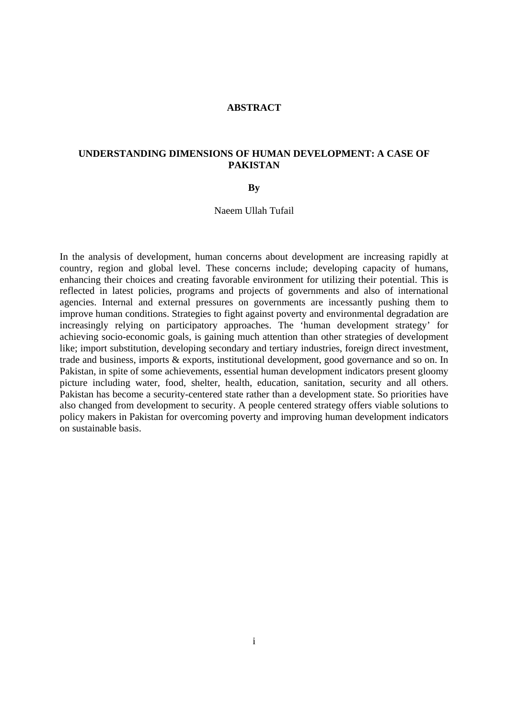### **ABSTRACT**

### **UNDERSTANDING DIMENSIONS OF HUMAN DEVELOPMENT: A CASE OF PAKISTAN**

#### **By**

Naeem Ullah Tufail

In the analysis of development, human concerns about development are increasing rapidly at country, region and global level. These concerns include; developing capacity of humans, enhancing their choices and creating favorable environment for utilizing their potential. This is reflected in latest policies, programs and projects of governments and also of international agencies. Internal and external pressures on governments are incessantly pushing them to improve human conditions. Strategies to fight against poverty and environmental degradation are increasingly relying on participatory approaches. The 'human development strategy' for achieving socio-economic goals, is gaining much attention than other strategies of development like; import substitution, developing secondary and tertiary industries, foreign direct investment, trade and business, imports & exports, institutional development, good governance and so on. In Pakistan, in spite of some achievements, essential human development indicators present gloomy picture including water, food, shelter, health, education, sanitation, security and all others. Pakistan has become a security-centered state rather than a development state. So priorities have also changed from development to security. A people centered strategy offers viable solutions to policy makers in Pakistan for overcoming poverty and improving human development indicators on sustainable basis.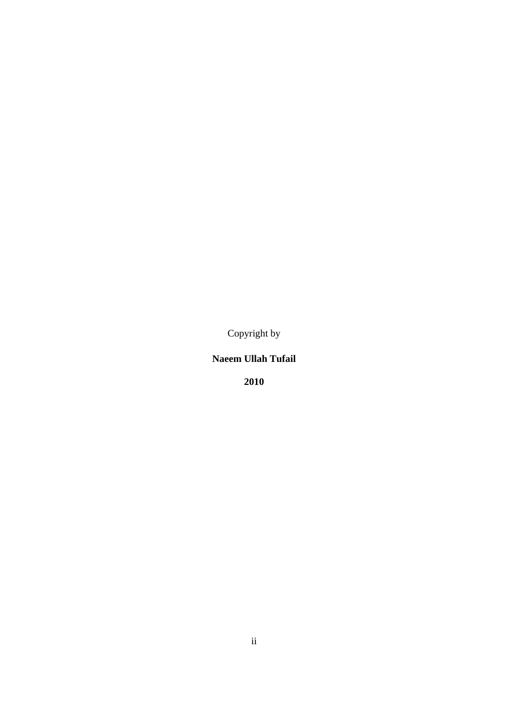Copyright by

**Naeem Ullah Tufail** 

**2010**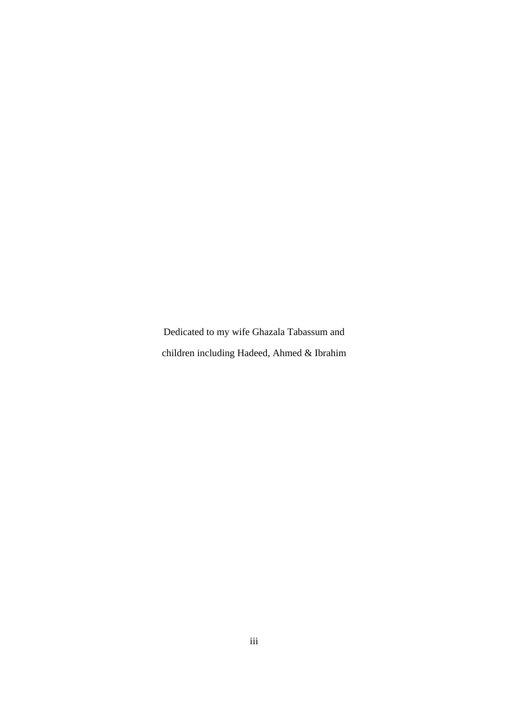Dedicated to my wife Ghazala Tabassum and children including Hadeed, Ahmed & Ibrahim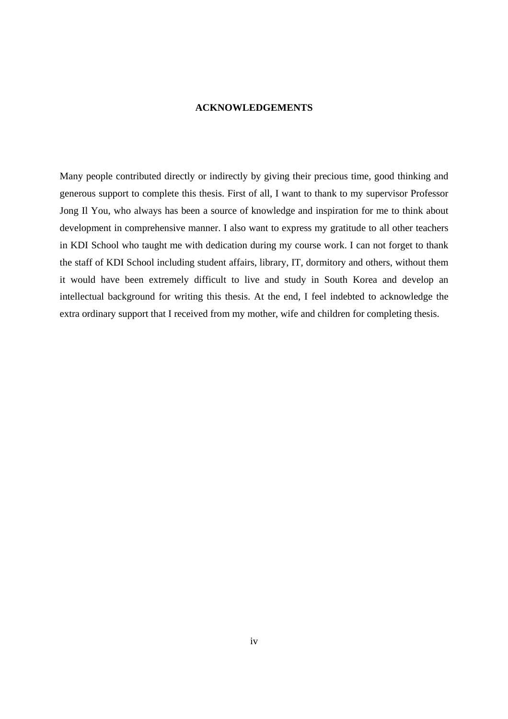### **ACKNOWLEDGEMENTS**

Many people contributed directly or indirectly by giving their precious time, good thinking and generous support to complete this thesis. First of all, I want to thank to my supervisor Professor Jong Il You, who always has been a source of knowledge and inspiration for me to think about development in comprehensive manner. I also want to express my gratitude to all other teachers in KDI School who taught me with dedication during my course work. I can not forget to thank the staff of KDI School including student affairs, library, IT, dormitory and others, without them it would have been extremely difficult to live and study in South Korea and develop an intellectual background for writing this thesis. At the end, I feel indebted to acknowledge the extra ordinary support that I received from my mother, wife and children for completing thesis.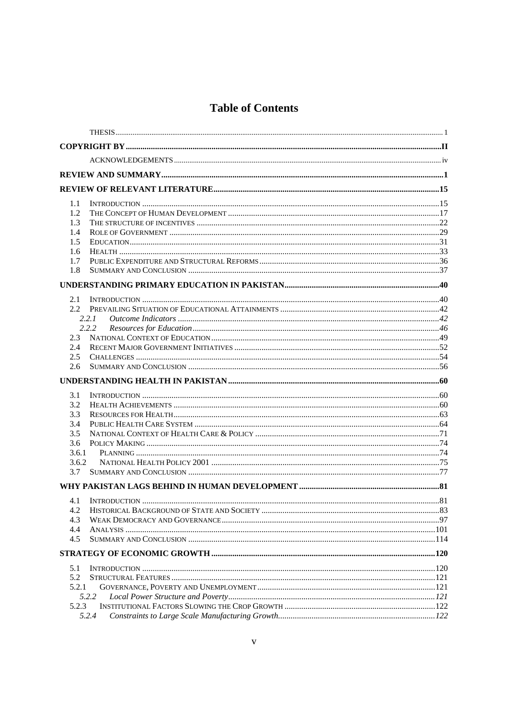# **Table of Contents**

| 1.1            |  |
|----------------|--|
| 1.2            |  |
| 1.3            |  |
| 1.4            |  |
| 1.5            |  |
| 1.6            |  |
| 1.7            |  |
| 1.8            |  |
|                |  |
| 2.1            |  |
| $2.2^{\circ}$  |  |
| 2.2.1          |  |
| 2.2.2          |  |
| 2.3<br>2.4     |  |
| 2.5            |  |
| 2.6            |  |
|                |  |
|                |  |
|                |  |
| 3.1            |  |
| 3.2            |  |
| 3.3<br>3.4     |  |
| 3.5            |  |
| 3.6            |  |
| 3.6.1          |  |
| 3.6.2          |  |
| 3.7            |  |
|                |  |
| 4.1            |  |
| 4.2            |  |
| 4.3            |  |
| 4.4            |  |
| 4.5            |  |
|                |  |
| 5.1            |  |
| 5.2            |  |
| 5.2.1          |  |
| 5.2.2          |  |
| 5.2.3<br>5.2.4 |  |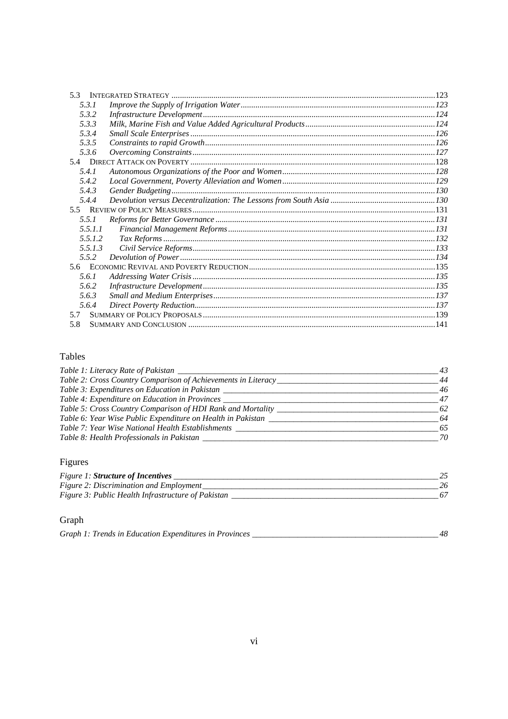| 5.3.1   |  |  |
|---------|--|--|
| 5.3.2   |  |  |
| 5.3.3   |  |  |
| 5.3.4   |  |  |
| 5.3.5   |  |  |
| 5.3.6   |  |  |
|         |  |  |
| 5.4.1   |  |  |
| 5.4.2   |  |  |
| 5.4.3   |  |  |
| 5.4.4   |  |  |
|         |  |  |
| 5.5.1   |  |  |
| 5.5.1.1 |  |  |
| 5.5.1.2 |  |  |
| 5.5.1.3 |  |  |
| 5.5.2   |  |  |
|         |  |  |
| 5.6.1   |  |  |
| 5.6.2   |  |  |
| 5.6.3   |  |  |
| 5.6.4   |  |  |
| 5.7     |  |  |
| 5.8     |  |  |

# Tables

| Table 1: Literacy Rate of Pakistan                            | 43 |
|---------------------------------------------------------------|----|
| Table 2: Cross Country Comparison of Achievements in Literacy | 44 |
| Table 3: Expenditures on Education in Pakistan                | 46 |
| Table 4: Expenditure on Education in Provinces                | 47 |
| Table 5: Cross Country Comparison of HDI Rank and Mortality   | 62 |
| Table 6: Year Wise Public Expenditure on Health in Pakistan   | 64 |
| Table 7: Year Wise National Health Establishments             | 65 |
| Table 8: Health Professionals in Pakistan                     | 70 |

# Figures

| <i>Figure 1: Structure of Incentives</i>           |  |
|----------------------------------------------------|--|
| Figure 2: Discrimination and Employment            |  |
| Figure 3: Public Health Infrastructure of Pakistan |  |

# Graph

| Graph 1: Trends in Education Expenditures in Provinces |  |  |
|--------------------------------------------------------|--|--|
|                                                        |  |  |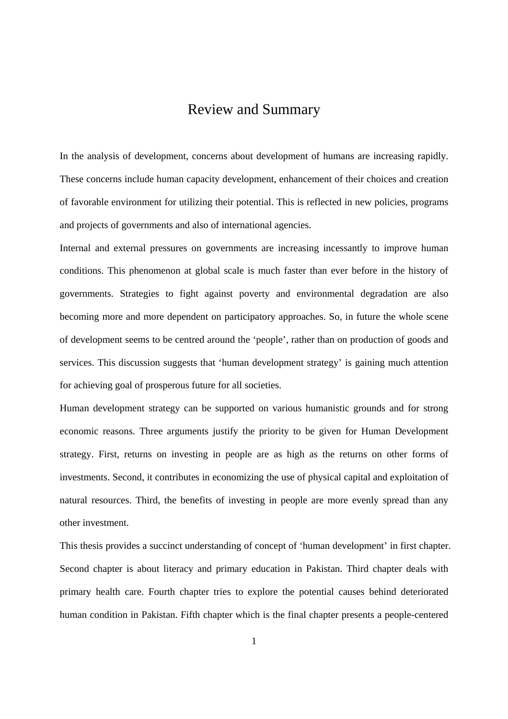# Review and Summary

In the analysis of development, concerns about development of humans are increasing rapidly. These concerns include human capacity development, enhancement of their choices and creation of favorable environment for utilizing their potential. This is reflected in new policies, programs and projects of governments and also of international agencies.

Internal and external pressures on governments are increasing incessantly to improve human conditions. This phenomenon at global scale is much faster than ever before in the history of governments. Strategies to fight against poverty and environmental degradation are also becoming more and more dependent on participatory approaches. So, in future the whole scene of development seems to be centred around the 'people', rather than on production of goods and services. This discussion suggests that 'human development strategy' is gaining much attention for achieving goal of prosperous future for all societies.

Human development strategy can be supported on various humanistic grounds and for strong economic reasons. Three arguments justify the priority to be given for Human Development strategy. First, returns on investing in people are as high as the returns on other forms of investments. Second, it contributes in economizing the use of physical capital and exploitation of natural resources. Third, the benefits of investing in people are more evenly spread than any other investment.

This thesis provides a succinct understanding of concept of 'human development' in first chapter. Second chapter is about literacy and primary education in Pakistan. Third chapter deals with primary health care. Fourth chapter tries to explore the potential causes behind deteriorated human condition in Pakistan. Fifth chapter which is the final chapter presents a people-centered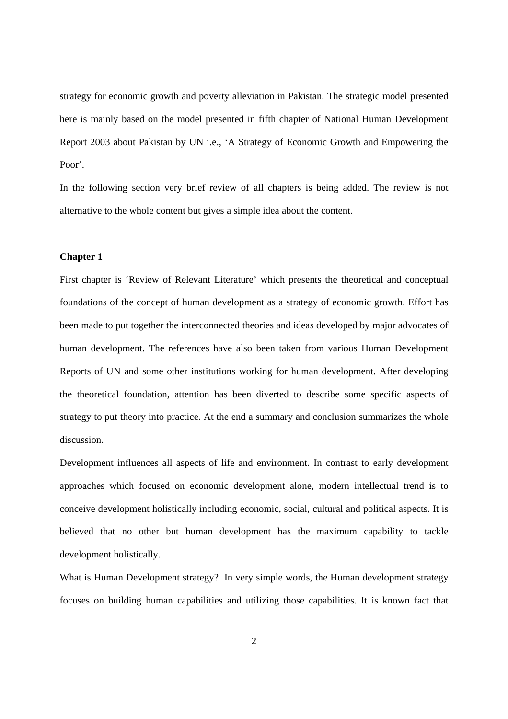strategy for economic growth and poverty alleviation in Pakistan. The strategic model presented here is mainly based on the model presented in fifth chapter of National Human Development Report 2003 about Pakistan by UN i.e., 'A Strategy of Economic Growth and Empowering the Poor'.

In the following section very brief review of all chapters is being added. The review is not alternative to the whole content but gives a simple idea about the content.

### **Chapter 1**

First chapter is 'Review of Relevant Literature' which presents the theoretical and conceptual foundations of the concept of human development as a strategy of economic growth. Effort has been made to put together the interconnected theories and ideas developed by major advocates of human development. The references have also been taken from various Human Development Reports of UN and some other institutions working for human development. After developing the theoretical foundation, attention has been diverted to describe some specific aspects of strategy to put theory into practice. At the end a summary and conclusion summarizes the whole discussion.

Development influences all aspects of life and environment. In contrast to early development approaches which focused on economic development alone, modern intellectual trend is to conceive development holistically including economic, social, cultural and political aspects. It is believed that no other but human development has the maximum capability to tackle development holistically.

What is Human Development strategy? In very simple words, the Human development strategy focuses on building human capabilities and utilizing those capabilities. It is known fact that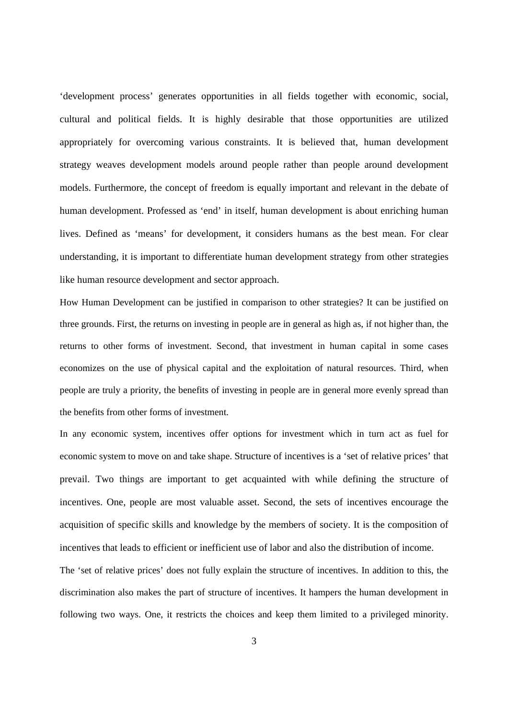'development process' generates opportunities in all fields together with economic, social, cultural and political fields. It is highly desirable that those opportunities are utilized appropriately for overcoming various constraints. It is believed that, human development strategy weaves development models around people rather than people around development models. Furthermore, the concept of freedom is equally important and relevant in the debate of human development. Professed as 'end' in itself, human development is about enriching human lives. Defined as 'means' for development, it considers humans as the best mean. For clear understanding, it is important to differentiate human development strategy from other strategies like human resource development and sector approach.

How Human Development can be justified in comparison to other strategies? It can be justified on three grounds. First, the returns on investing in people are in general as high as, if not higher than, the returns to other forms of investment. Second, that investment in human capital in some cases economizes on the use of physical capital and the exploitation of natural resources. Third, when people are truly a priority, the benefits of investing in people are in general more evenly spread than the benefits from other forms of investment.

In any economic system, incentives offer options for investment which in turn act as fuel for economic system to move on and take shape. Structure of incentives is a 'set of relative prices' that prevail. Two things are important to get acquainted with while defining the structure of incentives. One, people are most valuable asset. Second, the sets of incentives encourage the acquisition of specific skills and knowledge by the members of society. It is the composition of incentives that leads to efficient or inefficient use of labor and also the distribution of income.

The 'set of relative prices' does not fully explain the structure of incentives. In addition to this, the discrimination also makes the part of structure of incentives. It hampers the human development in following two ways. One, it restricts the choices and keep them limited to a privileged minority.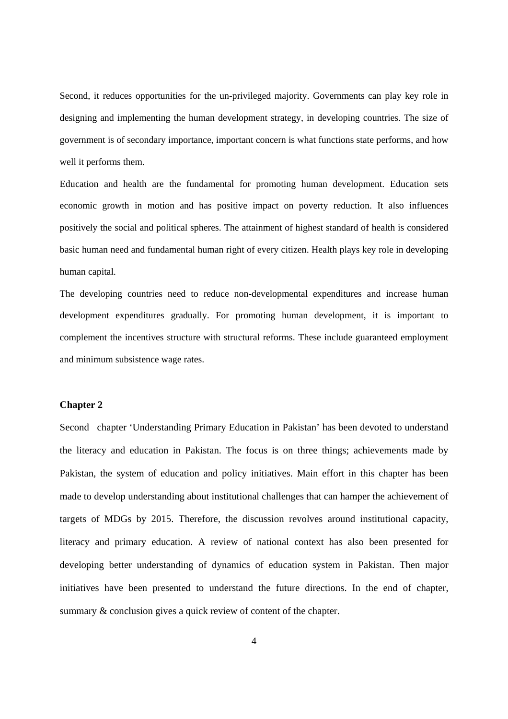Second, it reduces opportunities for the un-privileged majority. Governments can play key role in designing and implementing the human development strategy, in developing countries. The size of government is of secondary importance, important concern is what functions state performs, and how well it performs them.

Education and health are the fundamental for promoting human development. Education sets economic growth in motion and has positive impact on poverty reduction. It also influences positively the social and political spheres. The attainment of highest standard of health is considered basic human need and fundamental human right of every citizen. Health plays key role in developing human capital.

The developing countries need to reduce non-developmental expenditures and increase human development expenditures gradually. For promoting human development, it is important to complement the incentives structure with structural reforms. These include guaranteed employment and minimum subsistence wage rates.

#### **Chapter 2**

Second chapter 'Understanding Primary Education in Pakistan' has been devoted to understand the literacy and education in Pakistan. The focus is on three things; achievements made by Pakistan, the system of education and policy initiatives. Main effort in this chapter has been made to develop understanding about institutional challenges that can hamper the achievement of targets of MDGs by 2015. Therefore, the discussion revolves around institutional capacity, literacy and primary education. A review of national context has also been presented for developing better understanding of dynamics of education system in Pakistan. Then major initiatives have been presented to understand the future directions. In the end of chapter, summary & conclusion gives a quick review of content of the chapter.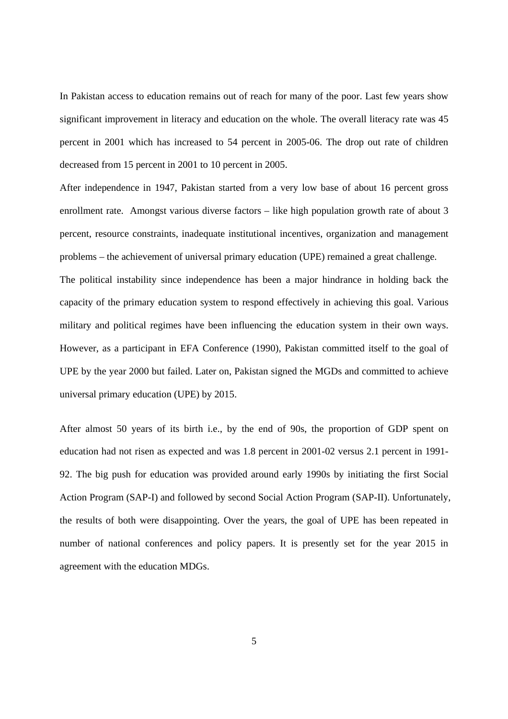In Pakistan access to education remains out of reach for many of the poor. Last few years show significant improvement in literacy and education on the whole. The overall literacy rate was 45 percent in 2001 which has increased to 54 percent in 2005-06. The drop out rate of children decreased from 15 percent in 2001 to 10 percent in 2005.

After independence in 1947, Pakistan started from a very low base of about 16 percent gross enrollment rate. Amongst various diverse factors – like high population growth rate of about 3 percent, resource constraints, inadequate institutional incentives, organization and management problems – the achievement of universal primary education (UPE) remained a great challenge.

The political instability since independence has been a major hindrance in holding back the capacity of the primary education system to respond effectively in achieving this goal. Various military and political regimes have been influencing the education system in their own ways. However, as a participant in EFA Conference (1990), Pakistan committed itself to the goal of UPE by the year 2000 but failed. Later on, Pakistan signed the MGDs and committed to achieve universal primary education (UPE) by 2015.

After almost 50 years of its birth i.e., by the end of 90s, the proportion of GDP spent on education had not risen as expected and was 1.8 percent in 2001-02 versus 2.1 percent in 1991- 92. The big push for education was provided around early 1990s by initiating the first Social Action Program (SAP-I) and followed by second Social Action Program (SAP-II). Unfortunately, the results of both were disappointing. Over the years, the goal of UPE has been repeated in number of national conferences and policy papers. It is presently set for the year 2015 in agreement with the education MDGs.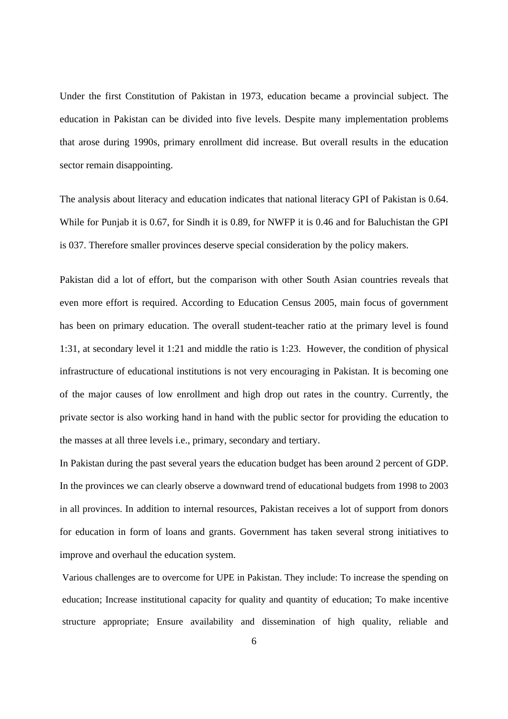Under the first Constitution of Pakistan in 1973, education became a provincial subject. The education in Pakistan can be divided into five levels. Despite many implementation problems that arose during 1990s, primary enrollment did increase. But overall results in the education sector remain disappointing.

The analysis about literacy and education indicates that national literacy GPI of Pakistan is 0.64. While for Punjab it is 0.67, for Sindh it is 0.89, for NWFP it is 0.46 and for Baluchistan the GPI is 037. Therefore smaller provinces deserve special consideration by the policy makers.

Pakistan did a lot of effort, but the comparison with other South Asian countries reveals that even more effort is required. According to Education Census 2005, main focus of government has been on primary education. The overall student-teacher ratio at the primary level is found 1:31, at secondary level it 1:21 and middle the ratio is 1:23. However, the condition of physical infrastructure of educational institutions is not very encouraging in Pakistan. It is becoming one of the major causes of low enrollment and high drop out rates in the country. Currently, the private sector is also working hand in hand with the public sector for providing the education to the masses at all three levels i.e., primary, secondary and tertiary.

In Pakistan during the past several years the education budget has been around 2 percent of GDP. In the provinces we can clearly observe a downward trend of educational budgets from 1998 to 2003 in all provinces. In addition to internal resources, Pakistan receives a lot of support from donors for education in form of loans and grants. Government has taken several strong initiatives to improve and overhaul the education system.

Various challenges are to overcome for UPE in Pakistan. They include: To increase the spending on education; Increase institutional capacity for quality and quantity of education; To make incentive structure appropriate; Ensure availability and dissemination of high quality, reliable and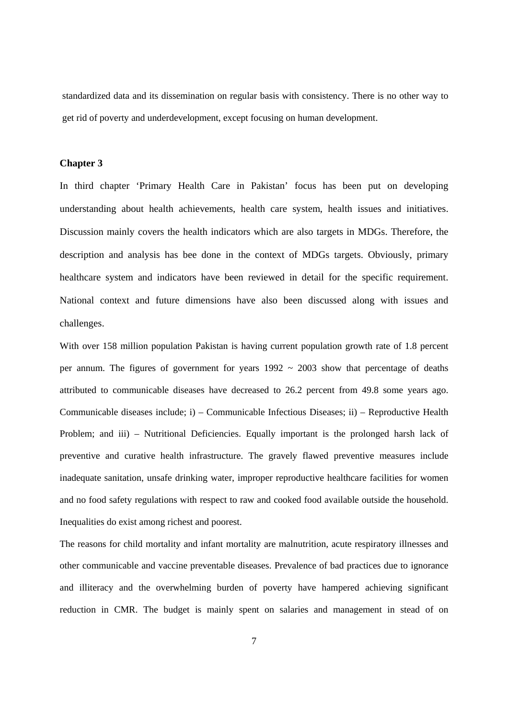standardized data and its dissemination on regular basis with consistency. There is no other way to get rid of poverty and underdevelopment, except focusing on human development.

### **Chapter 3**

In third chapter 'Primary Health Care in Pakistan' focus has been put on developing understanding about health achievements, health care system, health issues and initiatives. Discussion mainly covers the health indicators which are also targets in MDGs. Therefore, the description and analysis has bee done in the context of MDGs targets. Obviously, primary healthcare system and indicators have been reviewed in detail for the specific requirement. National context and future dimensions have also been discussed along with issues and challenges.

With over 158 million population Pakistan is having current population growth rate of 1.8 percent per annum. The figures of government for years  $1992 \sim 2003$  show that percentage of deaths attributed to communicable diseases have decreased to 26.2 percent from 49.8 some years ago. Communicable diseases include; i) – Communicable Infectious Diseases; ii) – Reproductive Health Problem; and iii) – Nutritional Deficiencies. Equally important is the prolonged harsh lack of preventive and curative health infrastructure. The gravely flawed preventive measures include inadequate sanitation, unsafe drinking water, improper reproductive healthcare facilities for women and no food safety regulations with respect to raw and cooked food available outside the household. Inequalities do exist among richest and poorest.

The reasons for child mortality and infant mortality are malnutrition, acute respiratory illnesses and other communicable and vaccine preventable diseases. Prevalence of bad practices due to ignorance and illiteracy and the overwhelming burden of poverty have hampered achieving significant reduction in CMR. The budget is mainly spent on salaries and management in stead of on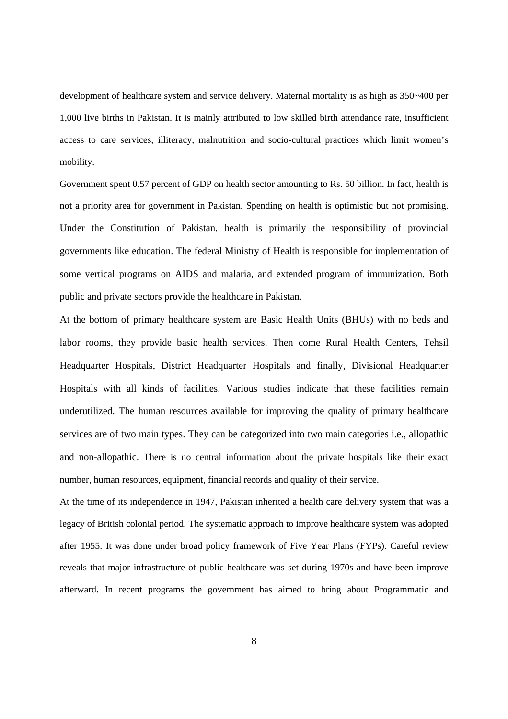development of healthcare system and service delivery. Maternal mortality is as high as 350~400 per 1,000 live births in Pakistan. It is mainly attributed to low skilled birth attendance rate, insufficient access to care services, illiteracy, malnutrition and socio-cultural practices which limit women's mobility.

Government spent 0.57 percent of GDP on health sector amounting to Rs. 50 billion. In fact, health is not a priority area for government in Pakistan. Spending on health is optimistic but not promising. Under the Constitution of Pakistan, health is primarily the responsibility of provincial governments like education. The federal Ministry of Health is responsible for implementation of some vertical programs on AIDS and malaria, and extended program of immunization. Both public and private sectors provide the healthcare in Pakistan.

At the bottom of primary healthcare system are Basic Health Units (BHUs) with no beds and labor rooms, they provide basic health services. Then come Rural Health Centers, Tehsil Headquarter Hospitals, District Headquarter Hospitals and finally, Divisional Headquarter Hospitals with all kinds of facilities. Various studies indicate that these facilities remain underutilized. The human resources available for improving the quality of primary healthcare services are of two main types. They can be categorized into two main categories i.e., allopathic and non-allopathic. There is no central information about the private hospitals like their exact number, human resources, equipment, financial records and quality of their service.

At the time of its independence in 1947, Pakistan inherited a health care delivery system that was a legacy of British colonial period. The systematic approach to improve healthcare system was adopted after 1955. It was done under broad policy framework of Five Year Plans (FYPs). Careful review reveals that major infrastructure of public healthcare was set during 1970s and have been improve afterward. In recent programs the government has aimed to bring about Programmatic and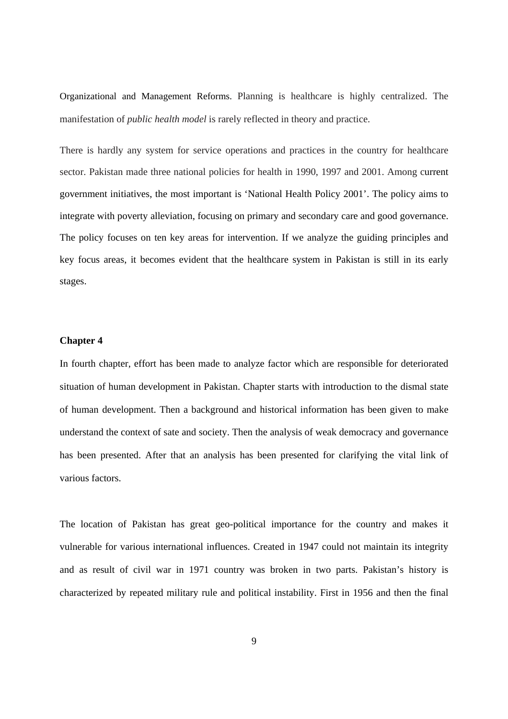Organizational and Management Reforms. Planning is healthcare is highly centralized. The manifestation of *public health model* is rarely reflected in theory and practice.

There is hardly any system for service operations and practices in the country for healthcare sector. Pakistan made three national policies for health in 1990, 1997 and 2001. Among current government initiatives, the most important is 'National Health Policy 2001'. The policy aims to integrate with poverty alleviation, focusing on primary and secondary care and good governance. The policy focuses on ten key areas for intervention. If we analyze the guiding principles and key focus areas, it becomes evident that the healthcare system in Pakistan is still in its early stages.

#### **Chapter 4**

In fourth chapter, effort has been made to analyze factor which are responsible for deteriorated situation of human development in Pakistan. Chapter starts with introduction to the dismal state of human development. Then a background and historical information has been given to make understand the context of sate and society. Then the analysis of weak democracy and governance has been presented. After that an analysis has been presented for clarifying the vital link of various factors.

The location of Pakistan has great geo-political importance for the country and makes it vulnerable for various international influences. Created in 1947 could not maintain its integrity and as result of civil war in 1971 country was broken in two parts. Pakistan's history is characterized by repeated military rule and political instability. First in 1956 and then the final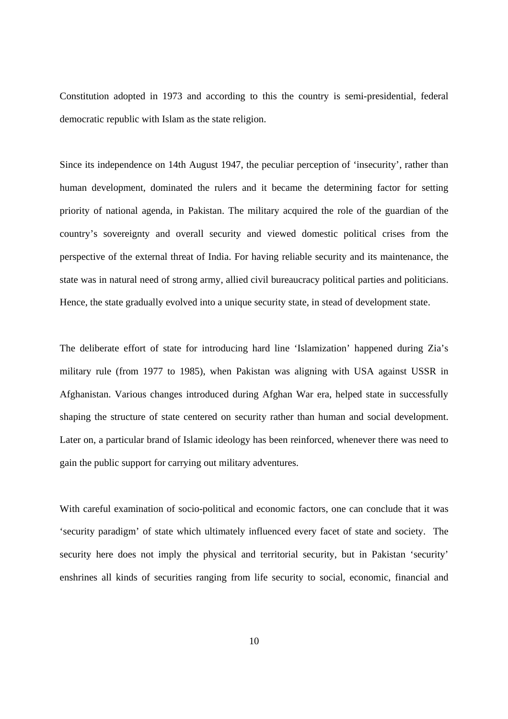Constitution adopted in 1973 and according to this the country is semi-presidential, federal democratic republic with Islam as the state religion.

Since its independence on 14th August 1947, the peculiar perception of 'insecurity', rather than human development, dominated the rulers and it became the determining factor for setting priority of national agenda, in Pakistan. The military acquired the role of the guardian of the country's sovereignty and overall security and viewed domestic political crises from the perspective of the external threat of India. For having reliable security and its maintenance, the state was in natural need of strong army, allied civil bureaucracy political parties and politicians. Hence, the state gradually evolved into a unique security state, in stead of development state.

The deliberate effort of state for introducing hard line 'Islamization' happened during Zia's military rule (from 1977 to 1985), when Pakistan was aligning with USA against USSR in Afghanistan. Various changes introduced during Afghan War era, helped state in successfully shaping the structure of state centered on security rather than human and social development. Later on, a particular brand of Islamic ideology has been reinforced, whenever there was need to gain the public support for carrying out military adventures.

With careful examination of socio-political and economic factors, one can conclude that it was 'security paradigm' of state which ultimately influenced every facet of state and society. The security here does not imply the physical and territorial security, but in Pakistan 'security' enshrines all kinds of securities ranging from life security to social, economic, financial and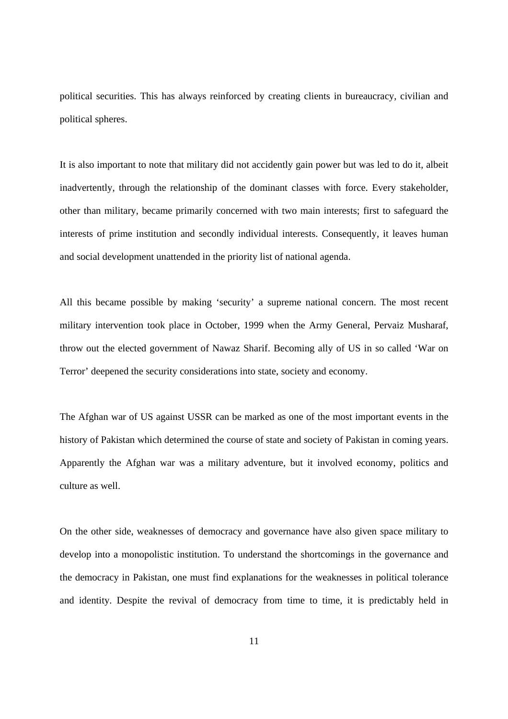political securities. This has always reinforced by creating clients in bureaucracy, civilian and political spheres.

It is also important to note that military did not accidently gain power but was led to do it, albeit inadvertently, through the relationship of the dominant classes with force. Every stakeholder, other than military, became primarily concerned with two main interests; first to safeguard the interests of prime institution and secondly individual interests. Consequently, it leaves human and social development unattended in the priority list of national agenda.

All this became possible by making 'security' a supreme national concern. The most recent military intervention took place in October, 1999 when the Army General, Pervaiz Musharaf, throw out the elected government of Nawaz Sharif. Becoming ally of US in so called 'War on Terror' deepened the security considerations into state, society and economy.

The Afghan war of US against USSR can be marked as one of the most important events in the history of Pakistan which determined the course of state and society of Pakistan in coming years. Apparently the Afghan war was a military adventure, but it involved economy, politics and culture as well.

On the other side, weaknesses of democracy and governance have also given space military to develop into a monopolistic institution. To understand the shortcomings in the governance and the democracy in Pakistan, one must find explanations for the weaknesses in political tolerance and identity. Despite the revival of democracy from time to time, it is predictably held in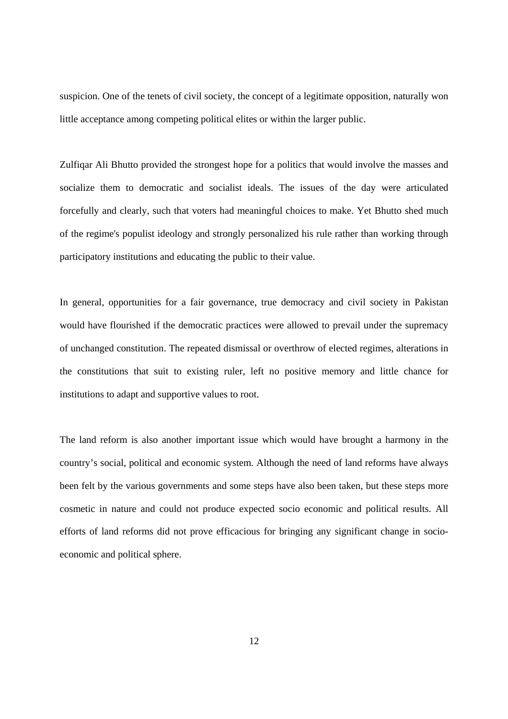suspicion. One of the tenets of civil society, the concept of a legitimate opposition, naturally won little acceptance among competing political elites or within the larger public.

Zulfiqar Ali Bhutto provided the strongest hope for a politics that would involve the masses and socialize them to democratic and socialist ideals. The issues of the day were articulated forcefully and clearly, such that voters had meaningful choices to make. Yet Bhutto shed much of the regime's populist ideology and strongly personalized his rule rather than working through participatory institutions and educating the public to their value.

In general, opportunities for a fair governance, true democracy and civil society in Pakistan would have flourished if the democratic practices were allowed to prevail under the supremacy of unchanged constitution. The repeated dismissal or overthrow of elected regimes, alterations in the constitutions that suit to existing ruler, left no positive memory and little chance for institutions to adapt and supportive values to root.

The land reform is also another important issue which would have brought a harmony in the country's social, political and economic system. Although the need of land reforms have always been felt by the various governments and some steps have also been taken, but these steps more cosmetic in nature and could not produce expected socio economic and political results. All efforts of land reforms did not prove efficacious for bringing any significant change in socioeconomic and political sphere.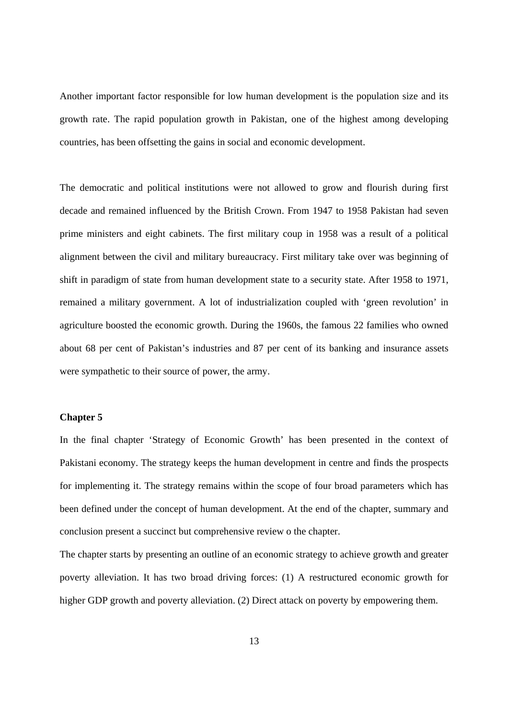Another important factor responsible for low human development is the population size and its growth rate. The rapid population growth in Pakistan, one of the highest among developing countries, has been offsetting the gains in social and economic development.

The democratic and political institutions were not allowed to grow and flourish during first decade and remained influenced by the British Crown. From 1947 to 1958 Pakistan had seven prime ministers and eight cabinets. The first military coup in 1958 was a result of a political alignment between the civil and military bureaucracy. First military take over was beginning of shift in paradigm of state from human development state to a security state. After 1958 to 1971, remained a military government. A lot of industrialization coupled with 'green revolution' in agriculture boosted the economic growth. During the 1960s, the famous 22 families who owned about 68 per cent of Pakistan's industries and 87 per cent of its banking and insurance assets were sympathetic to their source of power, the army.

#### **Chapter 5**

In the final chapter 'Strategy of Economic Growth' has been presented in the context of Pakistani economy. The strategy keeps the human development in centre and finds the prospects for implementing it. The strategy remains within the scope of four broad parameters which has been defined under the concept of human development. At the end of the chapter, summary and conclusion present a succinct but comprehensive review o the chapter.

The chapter starts by presenting an outline of an economic strategy to achieve growth and greater poverty alleviation. It has two broad driving forces: (1) A restructured economic growth for higher GDP growth and poverty alleviation. (2) Direct attack on poverty by empowering them.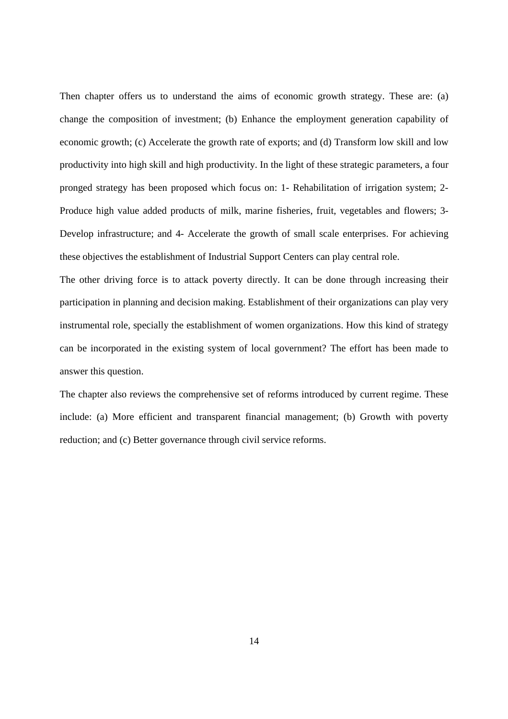Then chapter offers us to understand the aims of economic growth strategy. These are: (a) change the composition of investment; (b) Enhance the employment generation capability of economic growth; (c) Accelerate the growth rate of exports; and (d) Transform low skill and low productivity into high skill and high productivity. In the light of these strategic parameters, a four pronged strategy has been proposed which focus on: 1- Rehabilitation of irrigation system; 2- Produce high value added products of milk, marine fisheries, fruit, vegetables and flowers; 3- Develop infrastructure; and 4- Accelerate the growth of small scale enterprises. For achieving these objectives the establishment of Industrial Support Centers can play central role.

The other driving force is to attack poverty directly. It can be done through increasing their participation in planning and decision making. Establishment of their organizations can play very instrumental role, specially the establishment of women organizations. How this kind of strategy can be incorporated in the existing system of local government? The effort has been made to answer this question.

The chapter also reviews the comprehensive set of reforms introduced by current regime. These include: (a) More efficient and transparent financial management; (b) Growth with poverty reduction; and (c) Better governance through civil service reforms.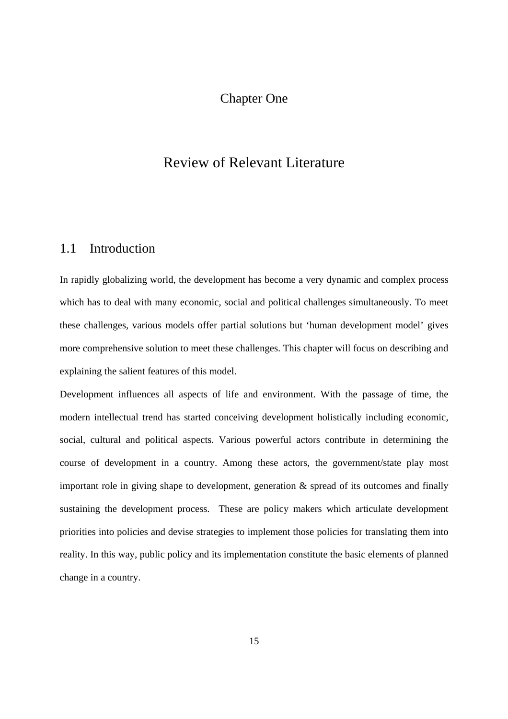# Chapter One

# Review of Relevant Literature

# 1.1 Introduction

In rapidly globalizing world, the development has become a very dynamic and complex process which has to deal with many economic, social and political challenges simultaneously. To meet these challenges, various models offer partial solutions but 'human development model' gives more comprehensive solution to meet these challenges. This chapter will focus on describing and explaining the salient features of this model.

Development influences all aspects of life and environment. With the passage of time, the modern intellectual trend has started conceiving development holistically including economic, social, cultural and political aspects. Various powerful actors contribute in determining the course of development in a country. Among these actors, the government/state play most important role in giving shape to development, generation & spread of its outcomes and finally sustaining the development process. These are policy makers which articulate development priorities into policies and devise strategies to implement those policies for translating them into reality. In this way, public policy and its implementation constitute the basic elements of planned change in a country.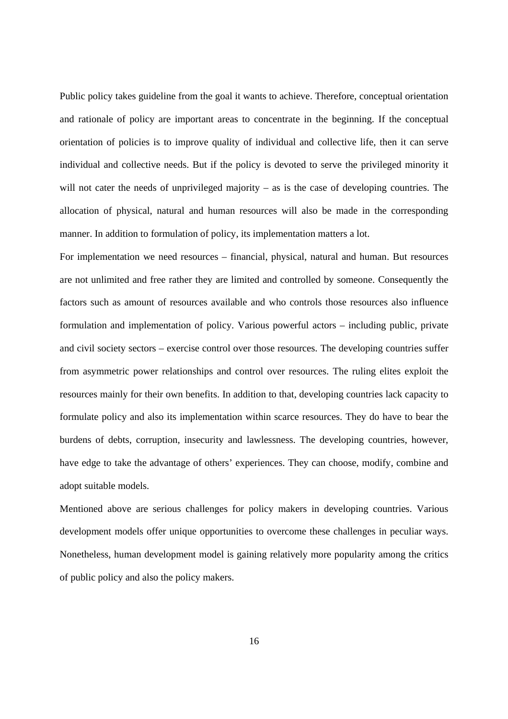Public policy takes guideline from the goal it wants to achieve. Therefore, conceptual orientation and rationale of policy are important areas to concentrate in the beginning. If the conceptual orientation of policies is to improve quality of individual and collective life, then it can serve individual and collective needs. But if the policy is devoted to serve the privileged minority it will not cater the needs of unprivileged majority – as is the case of developing countries. The allocation of physical, natural and human resources will also be made in the corresponding manner. In addition to formulation of policy, its implementation matters a lot.

For implementation we need resources – financial, physical, natural and human. But resources are not unlimited and free rather they are limited and controlled by someone. Consequently the factors such as amount of resources available and who controls those resources also influence formulation and implementation of policy. Various powerful actors – including public, private and civil society sectors – exercise control over those resources. The developing countries suffer from asymmetric power relationships and control over resources. The ruling elites exploit the resources mainly for their own benefits. In addition to that, developing countries lack capacity to formulate policy and also its implementation within scarce resources. They do have to bear the burdens of debts, corruption, insecurity and lawlessness. The developing countries, however, have edge to take the advantage of others' experiences. They can choose, modify, combine and adopt suitable models.

Mentioned above are serious challenges for policy makers in developing countries. Various development models offer unique opportunities to overcome these challenges in peculiar ways. Nonetheless, human development model is gaining relatively more popularity among the critics of public policy and also the policy makers.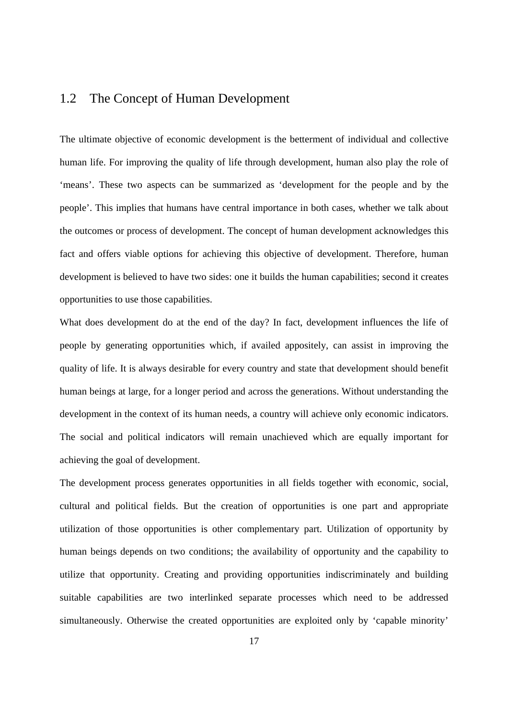# 1.2 The Concept of Human Development

The ultimate objective of economic development is the betterment of individual and collective human life. For improving the quality of life through development, human also play the role of 'means'. These two aspects can be summarized as 'development for the people and by the people'. This implies that humans have central importance in both cases, whether we talk about the outcomes or process of development. The concept of human development acknowledges this fact and offers viable options for achieving this objective of development. Therefore, human development is believed to have two sides: one it builds the human capabilities; second it creates opportunities to use those capabilities.

What does development do at the end of the day? In fact, development influences the life of people by generating opportunities which, if availed appositely, can assist in improving the quality of life. It is always desirable for every country and state that development should benefit human beings at large, for a longer period and across the generations. Without understanding the development in the context of its human needs, a country will achieve only economic indicators. The social and political indicators will remain unachieved which are equally important for achieving the goal of development.

The development process generates opportunities in all fields together with economic, social, cultural and political fields. But the creation of opportunities is one part and appropriate utilization of those opportunities is other complementary part. Utilization of opportunity by human beings depends on two conditions; the availability of opportunity and the capability to utilize that opportunity. Creating and providing opportunities indiscriminately and building suitable capabilities are two interlinked separate processes which need to be addressed simultaneously. Otherwise the created opportunities are exploited only by 'capable minority'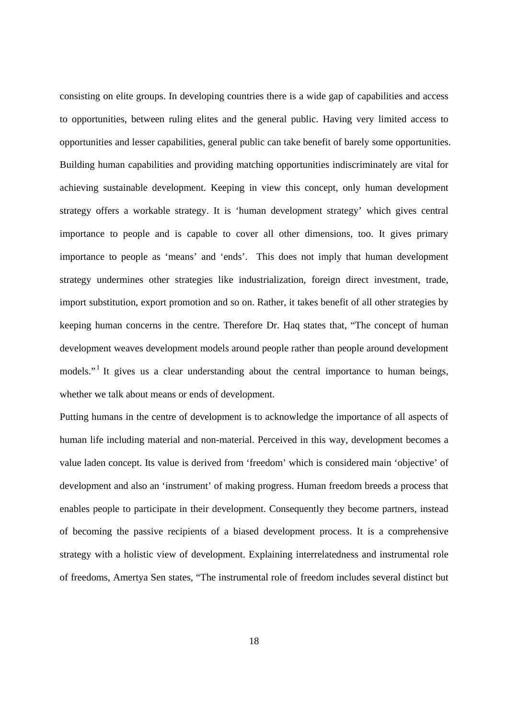consisting on elite groups. In developing countries there is a wide gap of capabilities and access to opportunities, between ruling elites and the general public. Having very limited access to opportunities and lesser capabilities, general public can take benefit of barely some opportunities. Building human capabilities and providing matching opportunities indiscriminately are vital for achieving sustainable development. Keeping in view this concept, only human development strategy offers a workable strategy. It is 'human development strategy' which gives central importance to people and is capable to cover all other dimensions, too. It gives primary importance to people as 'means' and 'ends'. This does not imply that human development strategy undermines other strategies like industrialization, foreign direct investment, trade, import substitution, export promotion and so on. Rather, it takes benefit of all other strategies by keeping human concerns in the centre. Therefore Dr. Haq states that, "The concept of human development weaves development models around people rather than people around development models."<sup>1</sup> It gives us a clear understanding about the central importance to human beings, whether we talk about means or ends of development.

Putting humans in the centre of development is to acknowledge the importance of all aspects of human life including material and non-material. Perceived in this way, development becomes a value laden concept. Its value is derived from 'freedom' which is considered main 'objective' of development and also an 'instrument' of making progress. Human freedom breeds a process that enables people to participate in their development. Consequently they become partners, instead of becoming the passive recipients of a biased development process. It is a comprehensive strategy with a holistic view of development. Explaining interrelatedness and instrumental role of freedoms, Amertya Sen states, "The instrumental role of freedom includes several distinct but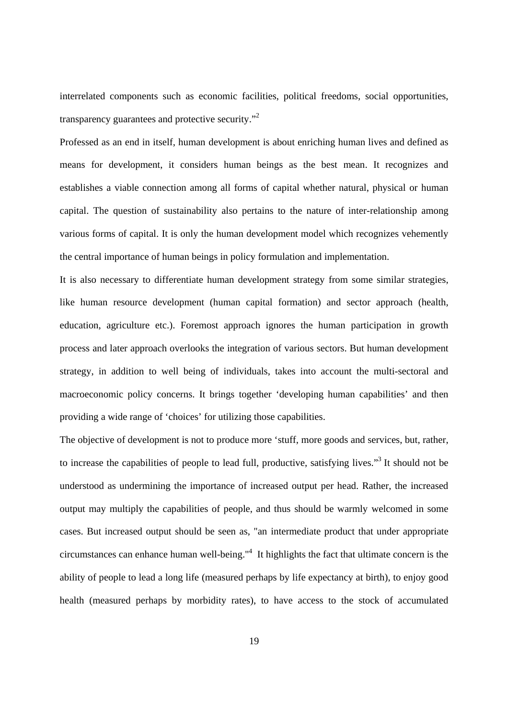interrelated components such as economic facilities, political freedoms, social opportunities, transparency guarantees and protective security."<sup>2</sup>

Professed as an end in itself, human development is about enriching human lives and defined as means for development, it considers human beings as the best mean. It recognizes and establishes a viable connection among all forms of capital whether natural, physical or human capital. The question of sustainability also pertains to the nature of inter-relationship among various forms of capital. It is only the human development model which recognizes vehemently the central importance of human beings in policy formulation and implementation.

It is also necessary to differentiate human development strategy from some similar strategies, like human resource development (human capital formation) and sector approach (health, education, agriculture etc.). Foremost approach ignores the human participation in growth process and later approach overlooks the integration of various sectors. But human development strategy, in addition to well being of individuals, takes into account the multi-sectoral and macroeconomic policy concerns. It brings together 'developing human capabilities' and then providing a wide range of 'choices' for utilizing those capabilities.

The objective of development is not to produce more 'stuff, more goods and services, but, rather, to increase the capabilities of people to lead full, productive, satisfying lives."<sup>3</sup> It should not be understood as undermining the importance of increased output per head. Rather, the increased output may multiply the capabilities of people, and thus should be warmly welcomed in some cases. But increased output should be seen as, "an intermediate product that under appropriate circumstances can enhance human well-being."4 It highlights the fact that ultimate concern is the ability of people to lead a long life (measured perhaps by life expectancy at birth), to enjoy good health (measured perhaps by morbidity rates), to have access to the stock of accumulated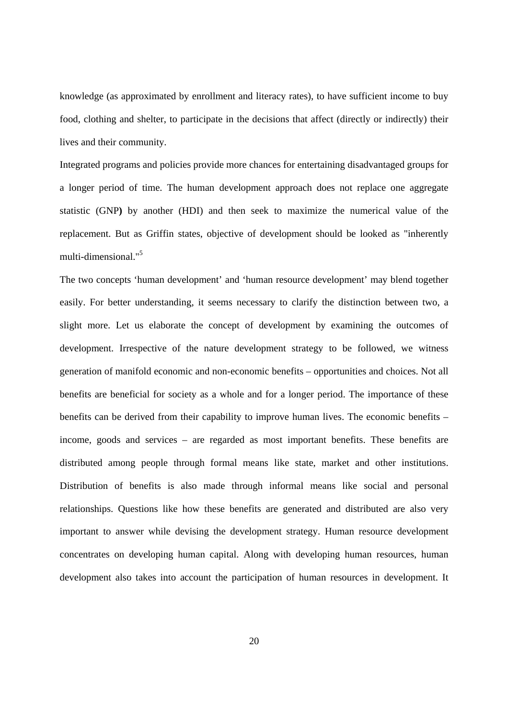knowledge (as approximated by enrollment and literacy rates), to have sufficient income to buy food, clothing and shelter, to participate in the decisions that affect (directly or indirectly) their lives and their community.

Integrated programs and policies provide more chances for entertaining disadvantaged groups for a longer period of time. The human development approach does not replace one aggregate statistic (GNP**)** by another (HDI) and then seek to maximize the numerical value of the replacement. But as Griffin states, objective of development should be looked as "inherently multi-dimensional."5

The two concepts 'human development' and 'human resource development' may blend together easily. For better understanding, it seems necessary to clarify the distinction between two, a slight more. Let us elaborate the concept of development by examining the outcomes of development. Irrespective of the nature development strategy to be followed, we witness generation of manifold economic and non-economic benefits – opportunities and choices. Not all benefits are beneficial for society as a whole and for a longer period. The importance of these benefits can be derived from their capability to improve human lives. The economic benefits – income, goods and services – are regarded as most important benefits. These benefits are distributed among people through formal means like state, market and other institutions. Distribution of benefits is also made through informal means like social and personal relationships. Questions like how these benefits are generated and distributed are also very important to answer while devising the development strategy. Human resource development concentrates on developing human capital. Along with developing human resources, human development also takes into account the participation of human resources in development. It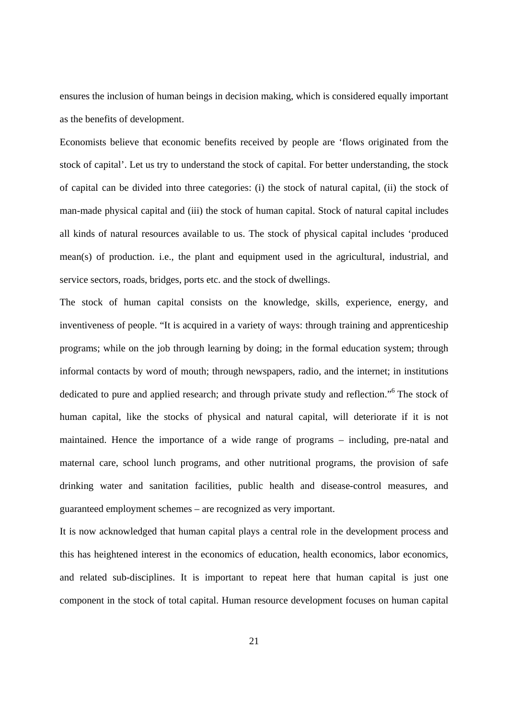ensures the inclusion of human beings in decision making, which is considered equally important as the benefits of development.

Economists believe that economic benefits received by people are 'flows originated from the stock of capital'. Let us try to understand the stock of capital. For better understanding, the stock of capital can be divided into three categories: (i) the stock of natural capital, (ii) the stock of man-made physical capital and (iii) the stock of human capital. Stock of natural capital includes all kinds of natural resources available to us. The stock of physical capital includes 'produced mean(s) of production. i.e., the plant and equipment used in the agricultural, industrial, and service sectors, roads, bridges, ports etc. and the stock of dwellings.

The stock of human capital consists on the knowledge, skills, experience, energy, and inventiveness of people. "It is acquired in a variety of ways: through training and apprenticeship programs; while on the job through learning by doing; in the formal education system; through informal contacts by word of mouth; through newspapers, radio, and the internet; in institutions dedicated to pure and applied research; and through private study and reflection."<sup>6</sup> The stock of human capital, like the stocks of physical and natural capital, will deteriorate if it is not maintained. Hence the importance of a wide range of programs – including, pre-natal and maternal care, school lunch programs, and other nutritional programs, the provision of safe drinking water and sanitation facilities, public health and disease-control measures, and guaranteed employment schemes – are recognized as very important.

It is now acknowledged that human capital plays a central role in the development process and this has heightened interest in the economics of education, health economics, labor economics, and related sub-disciplines. It is important to repeat here that human capital is just one component in the stock of total capital. Human resource development focuses on human capital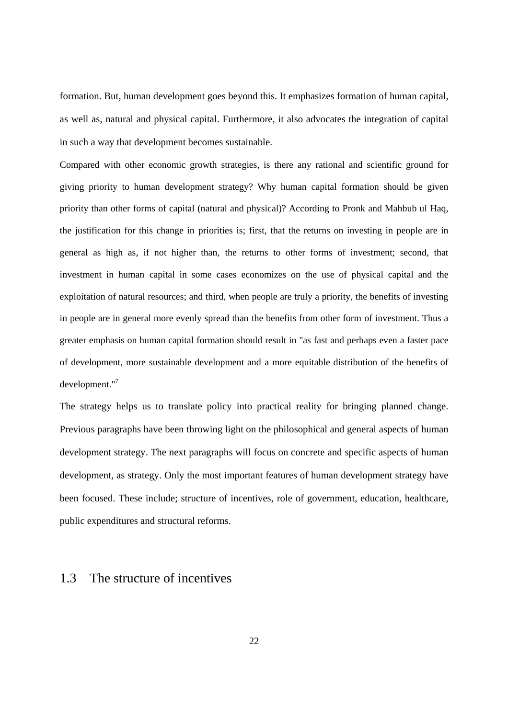formation. But, human development goes beyond this. It emphasizes formation of human capital, as well as, natural and physical capital. Furthermore, it also advocates the integration of capital in such a way that development becomes sustainable.

Compared with other economic growth strategies, is there any rational and scientific ground for giving priority to human development strategy? Why human capital formation should be given priority than other forms of capital (natural and physical)? According to Pronk and Mahbub ul Haq, the justification for this change in priorities is; first, that the returns on investing in people are in general as high as, if not higher than, the returns to other forms of investment; second, that investment in human capital in some cases economizes on the use of physical capital and the exploitation of natural resources; and third, when people are truly a priority, the benefits of investing in people are in general more evenly spread than the benefits from other form of investment. Thus a greater emphasis on human capital formation should result in "as fast and perhaps even a faster pace of development, more sustainable development and a more equitable distribution of the benefits of development."7

The strategy helps us to translate policy into practical reality for bringing planned change. Previous paragraphs have been throwing light on the philosophical and general aspects of human development strategy. The next paragraphs will focus on concrete and specific aspects of human development, as strategy. Only the most important features of human development strategy have been focused. These include; structure of incentives, role of government, education, healthcare, public expenditures and structural reforms.

## 1.3 The structure of incentives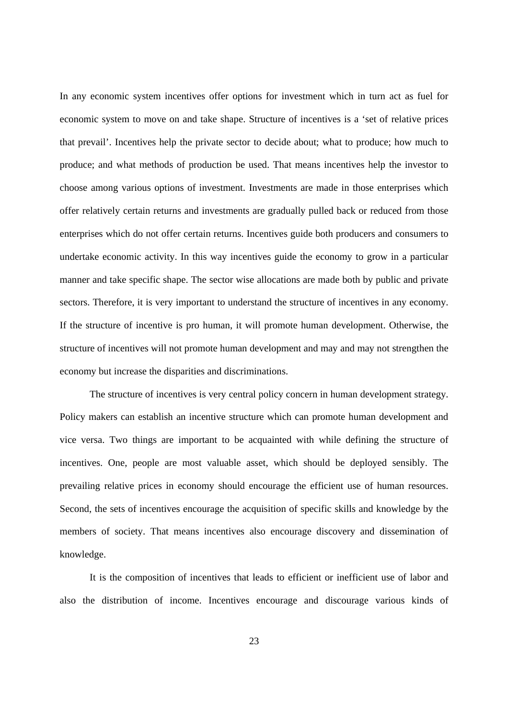In any economic system incentives offer options for investment which in turn act as fuel for economic system to move on and take shape. Structure of incentives is a 'set of relative prices that prevail'. Incentives help the private sector to decide about; what to produce; how much to produce; and what methods of production be used. That means incentives help the investor to choose among various options of investment. Investments are made in those enterprises which offer relatively certain returns and investments are gradually pulled back or reduced from those enterprises which do not offer certain returns. Incentives guide both producers and consumers to undertake economic activity. In this way incentives guide the economy to grow in a particular manner and take specific shape. The sector wise allocations are made both by public and private sectors. Therefore, it is very important to understand the structure of incentives in any economy. If the structure of incentive is pro human, it will promote human development. Otherwise, the structure of incentives will not promote human development and may and may not strengthen the economy but increase the disparities and discriminations.

The structure of incentives is very central policy concern in human development strategy. Policy makers can establish an incentive structure which can promote human development and vice versa. Two things are important to be acquainted with while defining the structure of incentives. One, people are most valuable asset, which should be deployed sensibly. The prevailing relative prices in economy should encourage the efficient use of human resources. Second, the sets of incentives encourage the acquisition of specific skills and knowledge by the members of society. That means incentives also encourage discovery and dissemination of knowledge.

It is the composition of incentives that leads to efficient or inefficient use of labor and also the distribution of income. Incentives encourage and discourage various kinds of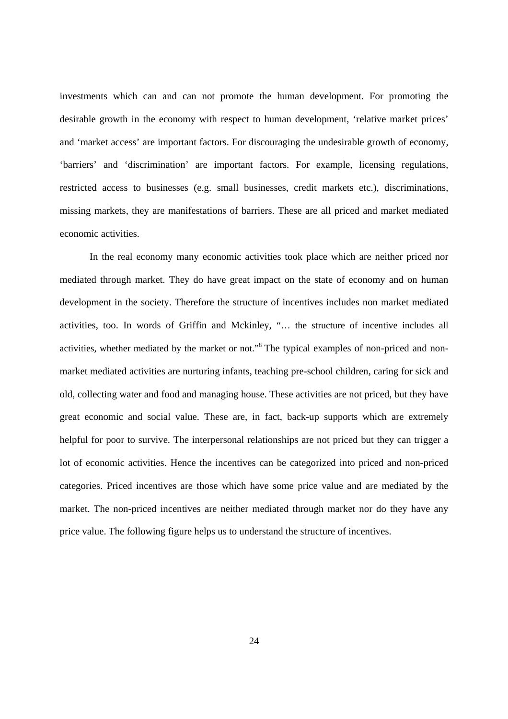investments which can and can not promote the human development. For promoting the desirable growth in the economy with respect to human development, 'relative market prices' and 'market access' are important factors. For discouraging the undesirable growth of economy, 'barriers' and 'discrimination' are important factors. For example, licensing regulations, restricted access to businesses (e.g. small businesses, credit markets etc.), discriminations, missing markets, they are manifestations of barriers. These are all priced and market mediated economic activities.

In the real economy many economic activities took place which are neither priced nor mediated through market. They do have great impact on the state of economy and on human development in the society. Therefore the structure of incentives includes non market mediated activities, too. In words of Griffin and Mckinley, "… the structure of incentive includes all activities, whether mediated by the market or not."8 The typical examples of non-priced and nonmarket mediated activities are nurturing infants, teaching pre-school children, caring for sick and old, collecting water and food and managing house. These activities are not priced, but they have great economic and social value. These are, in fact, back-up supports which are extremely helpful for poor to survive. The interpersonal relationships are not priced but they can trigger a lot of economic activities. Hence the incentives can be categorized into priced and non-priced categories. Priced incentives are those which have some price value and are mediated by the market. The non-priced incentives are neither mediated through market nor do they have any price value. The following figure helps us to understand the structure of incentives.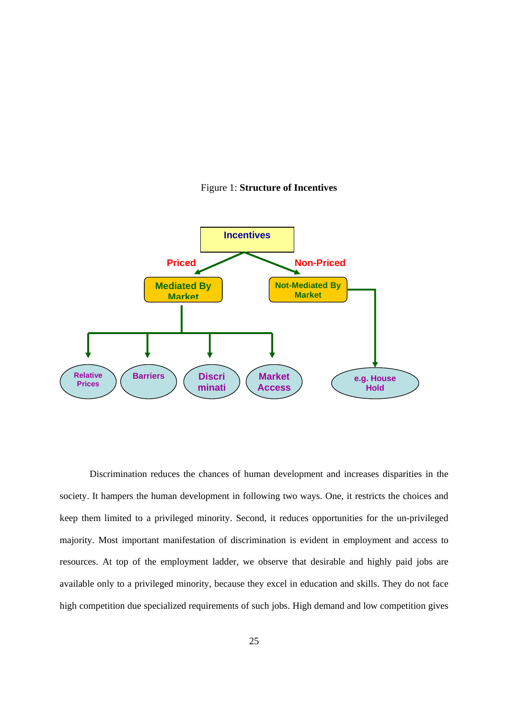



Discrimination reduces the chances of human development and increases disparities in the society. It hampers the human development in following two ways. One, it restricts the choices and keep them limited to a privileged minority. Second, it reduces opportunities for the un-privileged majority. Most important manifestation of discrimination is evident in employment and access to resources. At top of the employment ladder, we observe that desirable and highly paid jobs are available only to a privileged minority, because they excel in education and skills. They do not face high competition due specialized requirements of such jobs. High demand and low competition gives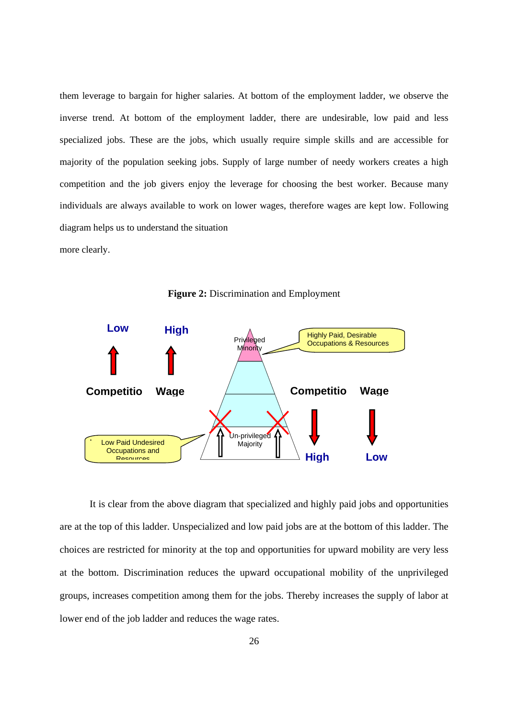them leverage to bargain for higher salaries. At bottom of the employment ladder, we observe the inverse trend. At bottom of the employment ladder, there are undesirable, low paid and less specialized jobs. These are the jobs, which usually require simple skills and are accessible for majority of the population seeking jobs. Supply of large number of needy workers creates a high competition and the job givers enjoy the leverage for choosing the best worker. Because many individuals are always available to work on lower wages, therefore wages are kept low. Following diagram helps us to understand the situation

more clearly.





It is clear from the above diagram that specialized and highly paid jobs and opportunities are at the top of this ladder. Unspecialized and low paid jobs are at the bottom of this ladder. The choices are restricted for minority at the top and opportunities for upward mobility are very less at the bottom. Discrimination reduces the upward occupational mobility of the unprivileged groups, increases competition among them for the jobs. Thereby increases the supply of labor at lower end of the job ladder and reduces the wage rates.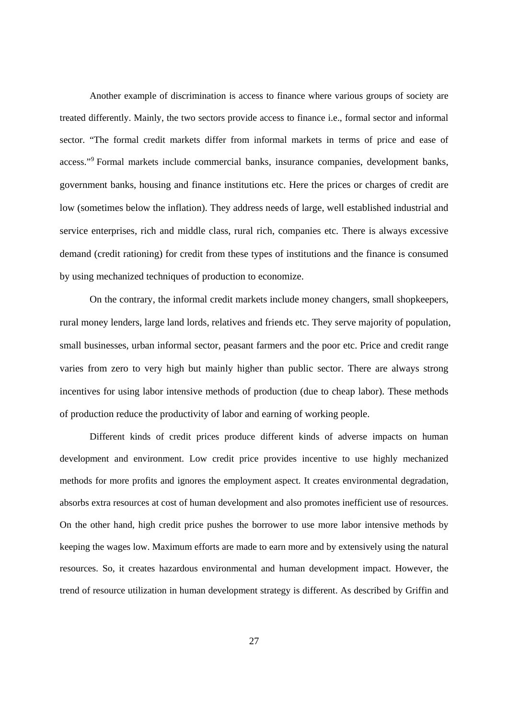Another example of discrimination is access to finance where various groups of society are treated differently. Mainly, the two sectors provide access to finance i.e., formal sector and informal sector. "The formal credit markets differ from informal markets in terms of price and ease of access."<sup>9</sup> Formal markets include commercial banks, insurance companies, development banks, government banks, housing and finance institutions etc. Here the prices or charges of credit are low (sometimes below the inflation). They address needs of large, well established industrial and service enterprises, rich and middle class, rural rich, companies etc. There is always excessive demand (credit rationing) for credit from these types of institutions and the finance is consumed by using mechanized techniques of production to economize.

On the contrary, the informal credit markets include money changers, small shopkeepers, rural money lenders, large land lords, relatives and friends etc. They serve majority of population, small businesses, urban informal sector, peasant farmers and the poor etc. Price and credit range varies from zero to very high but mainly higher than public sector. There are always strong incentives for using labor intensive methods of production (due to cheap labor). These methods of production reduce the productivity of labor and earning of working people.

Different kinds of credit prices produce different kinds of adverse impacts on human development and environment. Low credit price provides incentive to use highly mechanized methods for more profits and ignores the employment aspect. It creates environmental degradation, absorbs extra resources at cost of human development and also promotes inefficient use of resources. On the other hand, high credit price pushes the borrower to use more labor intensive methods by keeping the wages low. Maximum efforts are made to earn more and by extensively using the natural resources. So, it creates hazardous environmental and human development impact. However, the trend of resource utilization in human development strategy is different. As described by Griffin and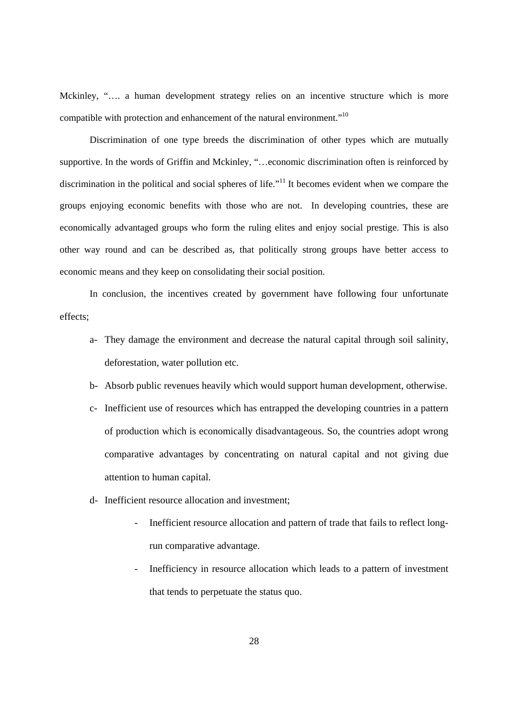Mckinley, "…. a human development strategy relies on an incentive structure which is more compatible with protection and enhancement of the natural environment."10

Discrimination of one type breeds the discrimination of other types which are mutually supportive. In the words of Griffin and Mckinley, "…economic discrimination often is reinforced by discrimination in the political and social spheres of life."<sup>11</sup> It becomes evident when we compare the groups enjoying economic benefits with those who are not. In developing countries, these are economically advantaged groups who form the ruling elites and enjoy social prestige. This is also other way round and can be described as, that politically strong groups have better access to economic means and they keep on consolidating their social position.

In conclusion, the incentives created by government have following four unfortunate effects;

- a- They damage the environment and decrease the natural capital through soil salinity, deforestation, water pollution etc.
- b- Absorb public revenues heavily which would support human development, otherwise.
- c- Inefficient use of resources which has entrapped the developing countries in a pattern of production which is economically disadvantageous. So, the countries adopt wrong comparative advantages by concentrating on natural capital and not giving due attention to human capital.
- d- Inefficient resource allocation and investment;
	- Inefficient resource allocation and pattern of trade that fails to reflect longrun comparative advantage.
	- Inefficiency in resource allocation which leads to a pattern of investment that tends to perpetuate the status quo.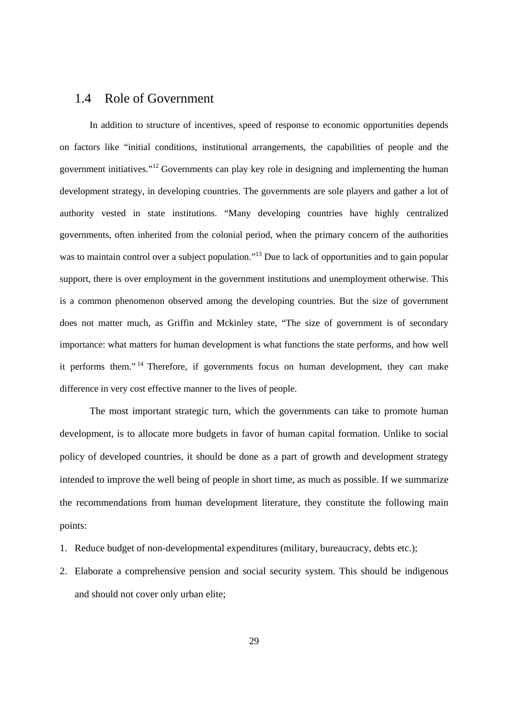## 1.4 Role of Government

In addition to structure of incentives, speed of response to economic opportunities depends on factors like "initial conditions, institutional arrangements, the capabilities of people and the government initiatives."12 Governments can play key role in designing and implementing the human development strategy, in developing countries. The governments are sole players and gather a lot of authority vested in state institutions. "Many developing countries have highly centralized governments, often inherited from the colonial period, when the primary concern of the authorities was to maintain control over a subject population."<sup>13</sup> Due to lack of opportunities and to gain popular support, there is over employment in the government institutions and unemployment otherwise. This is a common phenomenon observed among the developing countries. But the size of government does not matter much, as Griffin and Mckinley state, "The size of government is of secondary importance: what matters for human development is what functions the state performs, and how well it performs them." 14 Therefore, if governments focus on human development, they can make difference in very cost effective manner to the lives of people.

The most important strategic turn, which the governments can take to promote human development, is to allocate more budgets in favor of human capital formation. Unlike to social policy of developed countries, it should be done as a part of growth and development strategy intended to improve the well being of people in short time, as much as possible. If we summarize the recommendations from human development literature, they constitute the following main points:

- 1. Reduce budget of non-developmental expenditures (military, bureaucracy, debts etc.);
- 2. Elaborate a comprehensive pension and social security system. This should be indigenous and should not cover only urban elite;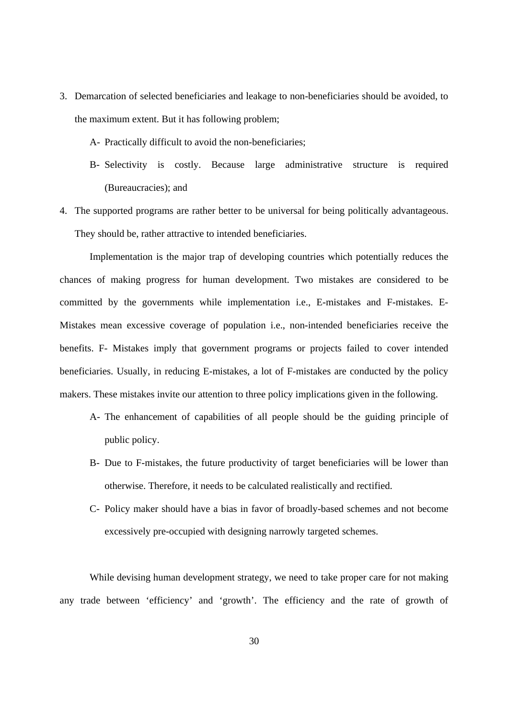- 3. Demarcation of selected beneficiaries and leakage to non-beneficiaries should be avoided, to the maximum extent. But it has following problem;
	- A- Practically difficult to avoid the non-beneficiaries;
	- B- Selectivity is costly. Because large administrative structure is required (Bureaucracies); and
- 4. The supported programs are rather better to be universal for being politically advantageous. They should be, rather attractive to intended beneficiaries.

Implementation is the major trap of developing countries which potentially reduces the chances of making progress for human development. Two mistakes are considered to be committed by the governments while implementation i.e., E-mistakes and F-mistakes. E-Mistakes mean excessive coverage of population i.e., non-intended beneficiaries receive the benefits. F- Mistakes imply that government programs or projects failed to cover intended beneficiaries. Usually, in reducing E-mistakes, a lot of F-mistakes are conducted by the policy makers. These mistakes invite our attention to three policy implications given in the following.

- A- The enhancement of capabilities of all people should be the guiding principle of public policy.
- B- Due to F-mistakes, the future productivity of target beneficiaries will be lower than otherwise. Therefore, it needs to be calculated realistically and rectified.
- C- Policy maker should have a bias in favor of broadly-based schemes and not become excessively pre-occupied with designing narrowly targeted schemes.

While devising human development strategy, we need to take proper care for not making any trade between 'efficiency' and 'growth'. The efficiency and the rate of growth of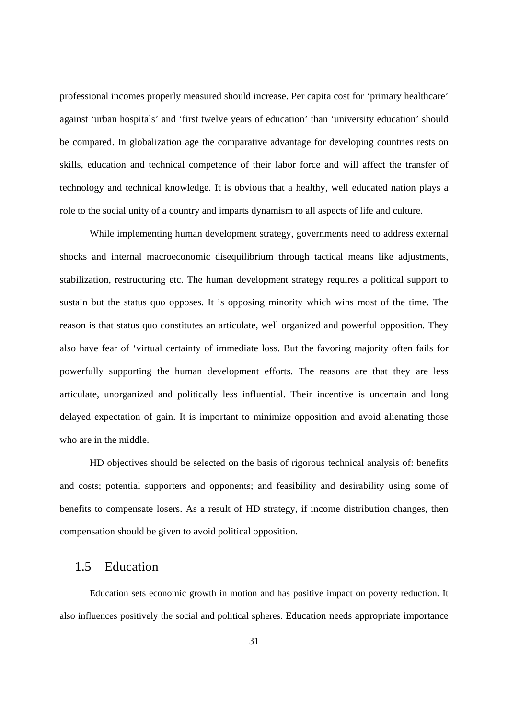professional incomes properly measured should increase. Per capita cost for 'primary healthcare' against 'urban hospitals' and 'first twelve years of education' than 'university education' should be compared. In globalization age the comparative advantage for developing countries rests on skills, education and technical competence of their labor force and will affect the transfer of technology and technical knowledge. It is obvious that a healthy, well educated nation plays a role to the social unity of a country and imparts dynamism to all aspects of life and culture.

While implementing human development strategy, governments need to address external shocks and internal macroeconomic disequilibrium through tactical means like adjustments, stabilization, restructuring etc. The human development strategy requires a political support to sustain but the status quo opposes. It is opposing minority which wins most of the time. The reason is that status quo constitutes an articulate, well organized and powerful opposition. They also have fear of 'virtual certainty of immediate loss. But the favoring majority often fails for powerfully supporting the human development efforts. The reasons are that they are less articulate, unorganized and politically less influential. Their incentive is uncertain and long delayed expectation of gain. It is important to minimize opposition and avoid alienating those who are in the middle.

HD objectives should be selected on the basis of rigorous technical analysis of: benefits and costs; potential supporters and opponents; and feasibility and desirability using some of benefits to compensate losers. As a result of HD strategy, if income distribution changes, then compensation should be given to avoid political opposition.

# 1.5 Education

Education sets economic growth in motion and has positive impact on poverty reduction. It also influences positively the social and political spheres. Education needs appropriate importance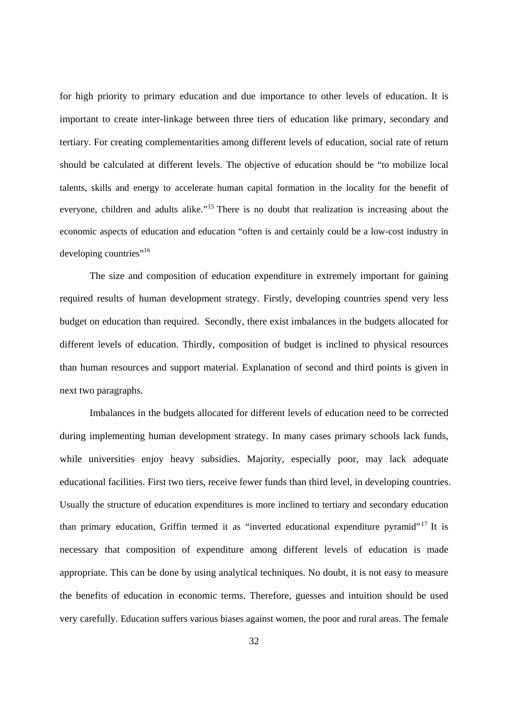for high priority to primary education and due importance to other levels of education. It is important to create inter-linkage between three tiers of education like primary, secondary and tertiary. For creating complementarities among different levels of education, social rate of return should be calculated at different levels. The objective of education should be "to mobilize local talents, skills and energy to accelerate human capital formation in the locality for the benefit of everyone, children and adults alike."<sup>15</sup> There is no doubt that realization is increasing about the economic aspects of education and education "often is and certainly could be a low-cost industry in developing countries"<sup>16</sup>

The size and composition of education expenditure in extremely important for gaining required results of human development strategy. Firstly, developing countries spend very less budget on education than required. Secondly, there exist imbalances in the budgets allocated for different levels of education. Thirdly, composition of budget is inclined to physical resources than human resources and support material. Explanation of second and third points is given in next two paragraphs.

Imbalances in the budgets allocated for different levels of education need to be corrected during implementing human development strategy. In many cases primary schools lack funds, while universities enjoy heavy subsidies. Majority, especially poor, may lack adequate educational facilities. First two tiers, receive fewer funds than third level, in developing countries. Usually the structure of education expenditures is more inclined to tertiary and secondary education than primary education, Griffin termed it as "inverted educational expenditure pyramid"<sup>17</sup> It is necessary that composition of expenditure among different levels of education is made appropriate. This can be done by using analytical techniques. No doubt, it is not easy to measure the benefits of education in economic terms. Therefore, guesses and intuition should be used very carefully. Education suffers various biases against women, the poor and rural areas. The female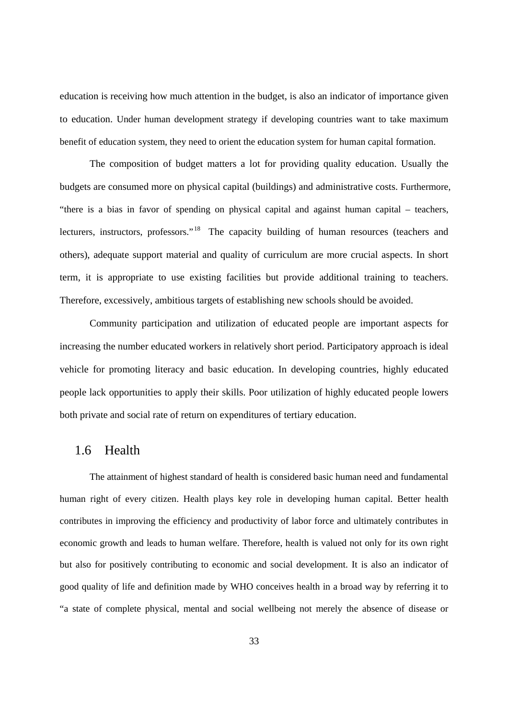education is receiving how much attention in the budget, is also an indicator of importance given to education. Under human development strategy if developing countries want to take maximum benefit of education system, they need to orient the education system for human capital formation.

The composition of budget matters a lot for providing quality education. Usually the budgets are consumed more on physical capital (buildings) and administrative costs. Furthermore, "there is a bias in favor of spending on physical capital and against human capital – teachers, lecturers, instructors, professors."<sup>18</sup> The capacity building of human resources (teachers and others), adequate support material and quality of curriculum are more crucial aspects. In short term, it is appropriate to use existing facilities but provide additional training to teachers. Therefore, excessively, ambitious targets of establishing new schools should be avoided.

Community participation and utilization of educated people are important aspects for increasing the number educated workers in relatively short period. Participatory approach is ideal vehicle for promoting literacy and basic education. In developing countries, highly educated people lack opportunities to apply their skills. Poor utilization of highly educated people lowers both private and social rate of return on expenditures of tertiary education.

### 1.6 Health

The attainment of highest standard of health is considered basic human need and fundamental human right of every citizen. Health plays key role in developing human capital. Better health contributes in improving the efficiency and productivity of labor force and ultimately contributes in economic growth and leads to human welfare. Therefore, health is valued not only for its own right but also for positively contributing to economic and social development. It is also an indicator of good quality of life and definition made by WHO conceives health in a broad way by referring it to "a state of complete physical, mental and social wellbeing not merely the absence of disease or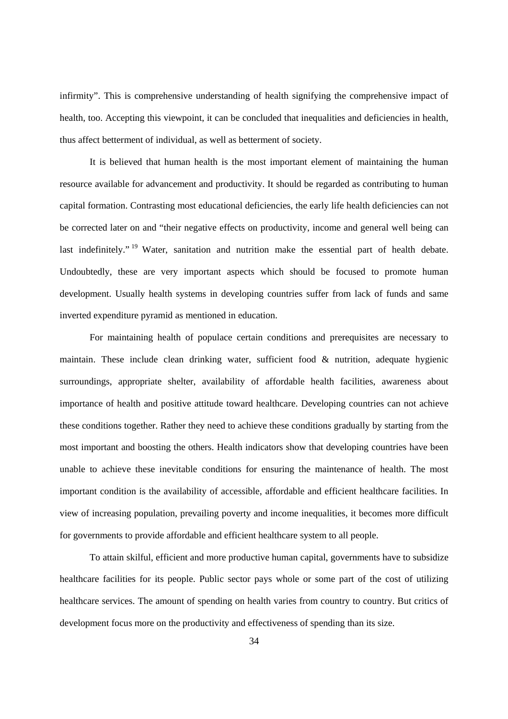infirmity". This is comprehensive understanding of health signifying the comprehensive impact of health, too. Accepting this viewpoint, it can be concluded that inequalities and deficiencies in health, thus affect betterment of individual, as well as betterment of society.

It is believed that human health is the most important element of maintaining the human resource available for advancement and productivity. It should be regarded as contributing to human capital formation. Contrasting most educational deficiencies, the early life health deficiencies can not be corrected later on and "their negative effects on productivity, income and general well being can last indefinitely." <sup>19</sup> Water, sanitation and nutrition make the essential part of health debate. Undoubtedly, these are very important aspects which should be focused to promote human development. Usually health systems in developing countries suffer from lack of funds and same inverted expenditure pyramid as mentioned in education.

For maintaining health of populace certain conditions and prerequisites are necessary to maintain. These include clean drinking water, sufficient food & nutrition, adequate hygienic surroundings, appropriate shelter, availability of affordable health facilities, awareness about importance of health and positive attitude toward healthcare. Developing countries can not achieve these conditions together. Rather they need to achieve these conditions gradually by starting from the most important and boosting the others. Health indicators show that developing countries have been unable to achieve these inevitable conditions for ensuring the maintenance of health. The most important condition is the availability of accessible, affordable and efficient healthcare facilities. In view of increasing population, prevailing poverty and income inequalities, it becomes more difficult for governments to provide affordable and efficient healthcare system to all people.

To attain skilful, efficient and more productive human capital, governments have to subsidize healthcare facilities for its people. Public sector pays whole or some part of the cost of utilizing healthcare services. The amount of spending on health varies from country to country. But critics of development focus more on the productivity and effectiveness of spending than its size.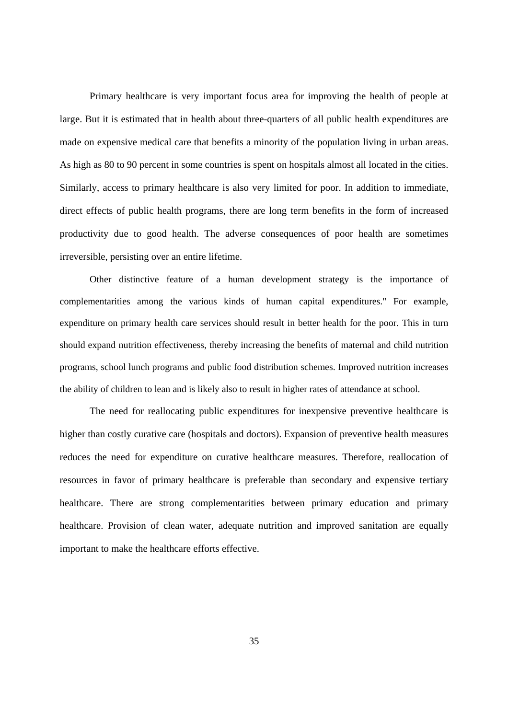Primary healthcare is very important focus area for improving the health of people at large. But it is estimated that in health about three-quarters of all public health expenditures are made on expensive medical care that benefits a minority of the population living in urban areas. As high as 80 to 90 percent in some countries is spent on hospitals almost all located in the cities. Similarly, access to primary healthcare is also very limited for poor. In addition to immediate, direct effects of public health programs, there are long term benefits in the form of increased productivity due to good health. The adverse consequences of poor health are sometimes irreversible, persisting over an entire lifetime.

Other distinctive feature of a human development strategy is the importance of complementarities among the various kinds of human capital expenditures." For example, expenditure on primary health care services should result in better health for the poor. This in turn should expand nutrition effectiveness, thereby increasing the benefits of maternal and child nutrition programs, school lunch programs and public food distribution schemes. Improved nutrition increases the ability of children to lean and is likely also to result in higher rates of attendance at school.

The need for reallocating public expenditures for inexpensive preventive healthcare is higher than costly curative care (hospitals and doctors). Expansion of preventive health measures reduces the need for expenditure on curative healthcare measures. Therefore, reallocation of resources in favor of primary healthcare is preferable than secondary and expensive tertiary healthcare. There are strong complementarities between primary education and primary healthcare. Provision of clean water, adequate nutrition and improved sanitation are equally important to make the healthcare efforts effective.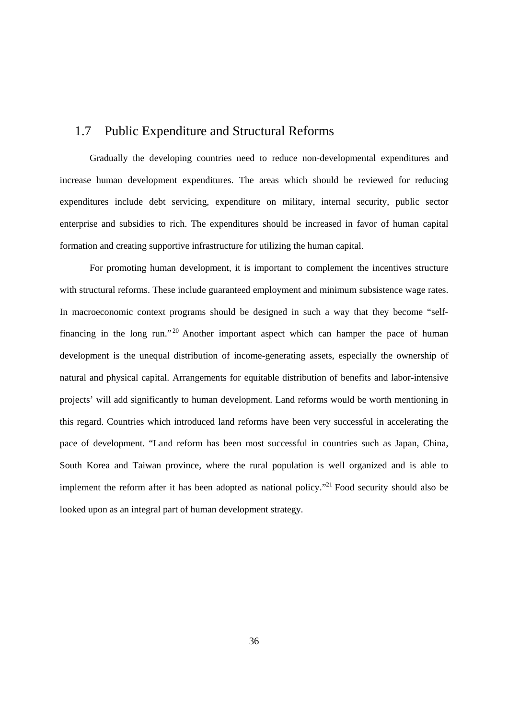# 1.7 Public Expenditure and Structural Reforms

Gradually the developing countries need to reduce non-developmental expenditures and increase human development expenditures. The areas which should be reviewed for reducing expenditures include debt servicing, expenditure on military, internal security, public sector enterprise and subsidies to rich. The expenditures should be increased in favor of human capital formation and creating supportive infrastructure for utilizing the human capital.

For promoting human development, it is important to complement the incentives structure with structural reforms. These include guaranteed employment and minimum subsistence wage rates. In macroeconomic context programs should be designed in such a way that they become "selffinancing in the long run."<sup>20</sup> Another important aspect which can hamper the pace of human development is the unequal distribution of income-generating assets, especially the ownership of natural and physical capital. Arrangements for equitable distribution of benefits and labor-intensive projects' will add significantly to human development. Land reforms would be worth mentioning in this regard. Countries which introduced land reforms have been very successful in accelerating the pace of development. "Land reform has been most successful in countries such as Japan, China, South Korea and Taiwan province, where the rural population is well organized and is able to implement the reform after it has been adopted as national policy."<sup>21</sup> Food security should also be looked upon as an integral part of human development strategy.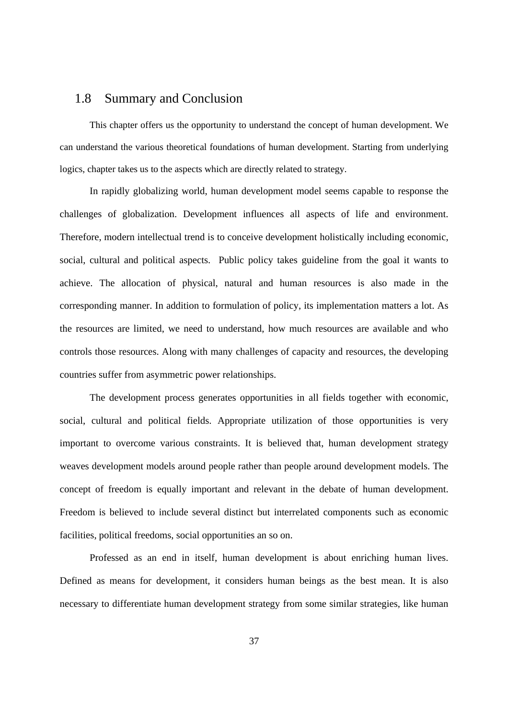# 1.8 Summary and Conclusion

This chapter offers us the opportunity to understand the concept of human development. We can understand the various theoretical foundations of human development. Starting from underlying logics, chapter takes us to the aspects which are directly related to strategy.

In rapidly globalizing world, human development model seems capable to response the challenges of globalization. Development influences all aspects of life and environment. Therefore, modern intellectual trend is to conceive development holistically including economic, social, cultural and political aspects. Public policy takes guideline from the goal it wants to achieve. The allocation of physical, natural and human resources is also made in the corresponding manner. In addition to formulation of policy, its implementation matters a lot. As the resources are limited, we need to understand, how much resources are available and who controls those resources. Along with many challenges of capacity and resources, the developing countries suffer from asymmetric power relationships.

The development process generates opportunities in all fields together with economic, social, cultural and political fields. Appropriate utilization of those opportunities is very important to overcome various constraints. It is believed that, human development strategy weaves development models around people rather than people around development models. The concept of freedom is equally important and relevant in the debate of human development. Freedom is believed to include several distinct but interrelated components such as economic facilities, political freedoms, social opportunities an so on.

Professed as an end in itself, human development is about enriching human lives. Defined as means for development, it considers human beings as the best mean. It is also necessary to differentiate human development strategy from some similar strategies, like human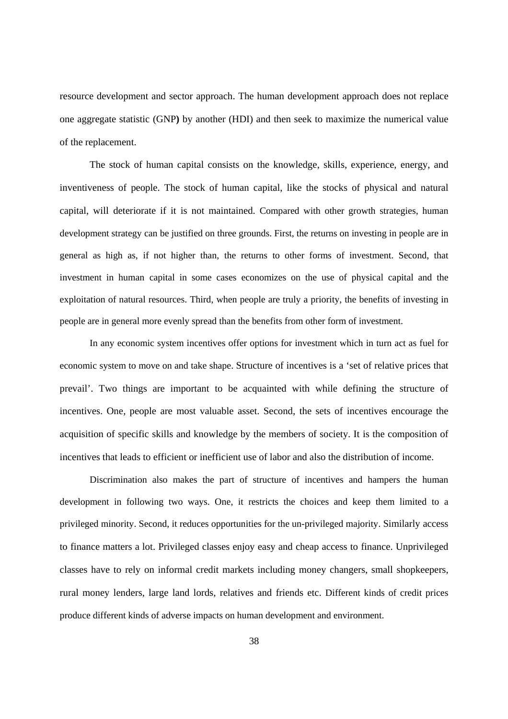resource development and sector approach. The human development approach does not replace one aggregate statistic (GNP**)** by another (HDI) and then seek to maximize the numerical value of the replacement.

The stock of human capital consists on the knowledge, skills, experience, energy, and inventiveness of people. The stock of human capital, like the stocks of physical and natural capital, will deteriorate if it is not maintained. Compared with other growth strategies, human development strategy can be justified on three grounds. First, the returns on investing in people are in general as high as, if not higher than, the returns to other forms of investment. Second, that investment in human capital in some cases economizes on the use of physical capital and the exploitation of natural resources. Third, when people are truly a priority, the benefits of investing in people are in general more evenly spread than the benefits from other form of investment.

In any economic system incentives offer options for investment which in turn act as fuel for economic system to move on and take shape. Structure of incentives is a 'set of relative prices that prevail'. Two things are important to be acquainted with while defining the structure of incentives. One, people are most valuable asset. Second, the sets of incentives encourage the acquisition of specific skills and knowledge by the members of society. It is the composition of incentives that leads to efficient or inefficient use of labor and also the distribution of income.

Discrimination also makes the part of structure of incentives and hampers the human development in following two ways. One, it restricts the choices and keep them limited to a privileged minority. Second, it reduces opportunities for the un-privileged majority. Similarly access to finance matters a lot. Privileged classes enjoy easy and cheap access to finance. Unprivileged classes have to rely on informal credit markets including money changers, small shopkeepers, rural money lenders, large land lords, relatives and friends etc. Different kinds of credit prices produce different kinds of adverse impacts on human development and environment.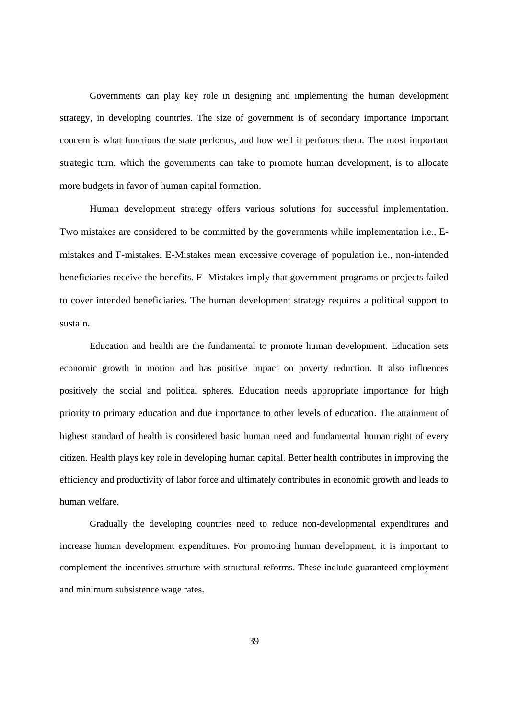Governments can play key role in designing and implementing the human development strategy, in developing countries. The size of government is of secondary importance important concern is what functions the state performs, and how well it performs them. The most important strategic turn, which the governments can take to promote human development, is to allocate more budgets in favor of human capital formation.

Human development strategy offers various solutions for successful implementation. Two mistakes are considered to be committed by the governments while implementation i.e., Emistakes and F-mistakes. E-Mistakes mean excessive coverage of population i.e., non-intended beneficiaries receive the benefits. F- Mistakes imply that government programs or projects failed to cover intended beneficiaries. The human development strategy requires a political support to sustain.

Education and health are the fundamental to promote human development. Education sets economic growth in motion and has positive impact on poverty reduction. It also influences positively the social and political spheres. Education needs appropriate importance for high priority to primary education and due importance to other levels of education. The attainment of highest standard of health is considered basic human need and fundamental human right of every citizen. Health plays key role in developing human capital. Better health contributes in improving the efficiency and productivity of labor force and ultimately contributes in economic growth and leads to human welfare.

Gradually the developing countries need to reduce non-developmental expenditures and increase human development expenditures. For promoting human development, it is important to complement the incentives structure with structural reforms. These include guaranteed employment and minimum subsistence wage rates.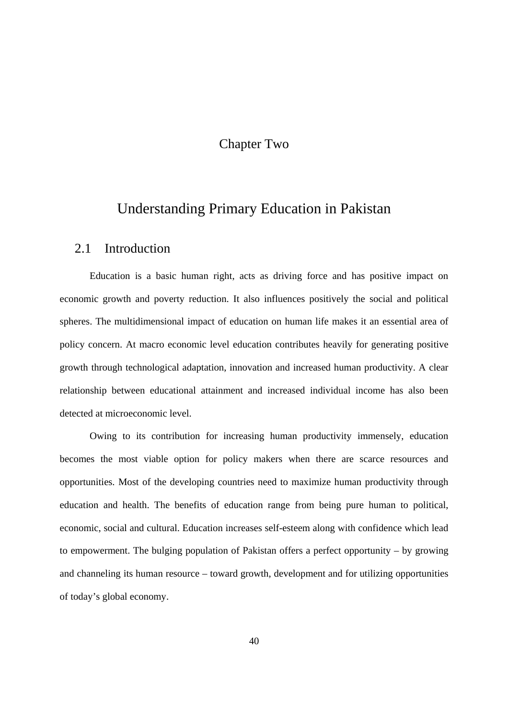# Chapter Two

# Understanding Primary Education in Pakistan

### 2.1 Introduction

Education is a basic human right, acts as driving force and has positive impact on economic growth and poverty reduction. It also influences positively the social and political spheres. The multidimensional impact of education on human life makes it an essential area of policy concern. At macro economic level education contributes heavily for generating positive growth through technological adaptation, innovation and increased human productivity. A clear relationship between educational attainment and increased individual income has also been detected at microeconomic level.

Owing to its contribution for increasing human productivity immensely, education becomes the most viable option for policy makers when there are scarce resources and opportunities. Most of the developing countries need to maximize human productivity through education and health. The benefits of education range from being pure human to political, economic, social and cultural. Education increases self-esteem along with confidence which lead to empowerment. The bulging population of Pakistan offers a perfect opportunity – by growing and channeling its human resource – toward growth, development and for utilizing opportunities of today's global economy.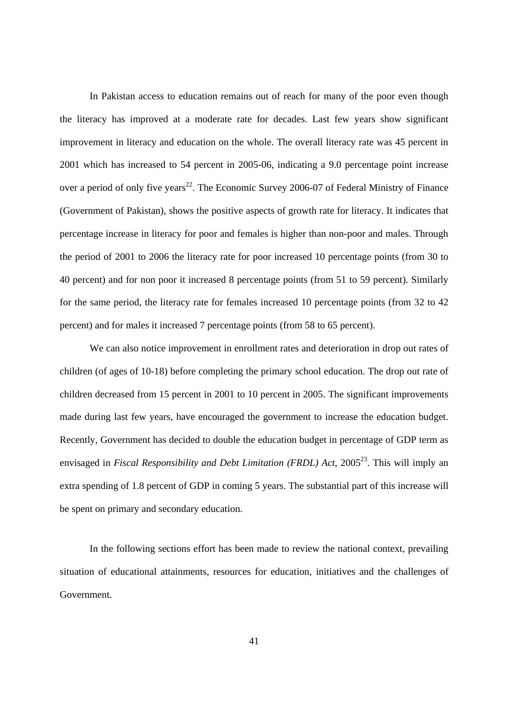In Pakistan access to education remains out of reach for many of the poor even though the literacy has improved at a moderate rate for decades. Last few years show significant improvement in literacy and education on the whole. The overall literacy rate was 45 percent in 2001 which has increased to 54 percent in 2005-06, indicating a 9.0 percentage point increase over a period of only five years<sup>22</sup>. The Economic Survey 2006-07 of Federal Ministry of Finance (Government of Pakistan), shows the positive aspects of growth rate for literacy. It indicates that percentage increase in literacy for poor and females is higher than non-poor and males. Through the period of 2001 to 2006 the literacy rate for poor increased 10 percentage points (from 30 to 40 percent) and for non poor it increased 8 percentage points (from 51 to 59 percent). Similarly for the same period, the literacy rate for females increased 10 percentage points (from 32 to 42 percent) and for males it increased 7 percentage points (from 58 to 65 percent).

We can also notice improvement in enrollment rates and deterioration in drop out rates of children (of ages of 10-18) before completing the primary school education. The drop out rate of children decreased from 15 percent in 2001 to 10 percent in 2005. The significant improvements made during last few years, have encouraged the government to increase the education budget. Recently, Government has decided to double the education budget in percentage of GDP term as envisaged in *Fiscal Responsibility and Debt Limitation (FRDL) Act*, 2005<sup>23</sup>. This will imply an extra spending of 1.8 percent of GDP in coming 5 years. The substantial part of this increase will be spent on primary and secondary education.

In the following sections effort has been made to review the national context, prevailing situation of educational attainments, resources for education, initiatives and the challenges of Government.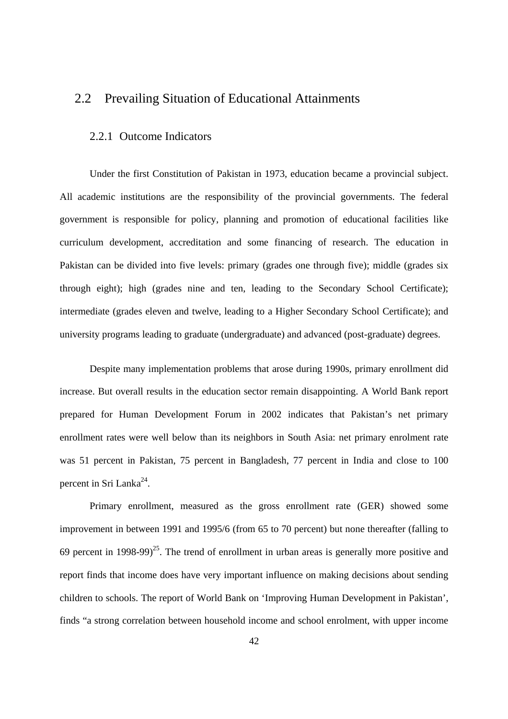# 2.2 Prevailing Situation of Educational Attainments

### 2.2.1 Outcome Indicators

Under the first Constitution of Pakistan in 1973, education became a provincial subject. All academic institutions are the responsibility of the provincial governments. The federal government is responsible for policy, planning and promotion of educational facilities like curriculum development, accreditation and some financing of research. The education in Pakistan can be divided into five levels: primary (grades one through five); middle (grades six through eight); high (grades nine and ten, leading to the Secondary School Certificate); intermediate (grades eleven and twelve, leading to a Higher Secondary School Certificate); and university programs leading to graduate (undergraduate) and advanced (post-graduate) degrees.

Despite many implementation problems that arose during 1990s, primary enrollment did increase. But overall results in the education sector remain disappointing. A World Bank report prepared for Human Development Forum in 2002 indicates that Pakistan's net primary enrollment rates were well below than its neighbors in South Asia: net primary enrolment rate was 51 percent in Pakistan, 75 percent in Bangladesh, 77 percent in India and close to 100 percent in Sri Lanka<sup>24</sup>.

Primary enrollment, measured as the gross enrollment rate (GER) showed some improvement in between 1991 and 1995/6 (from 65 to 70 percent) but none thereafter (falling to 69 percent in 1998-99 $^{25}$ . The trend of enrollment in urban areas is generally more positive and report finds that income does have very important influence on making decisions about sending children to schools. The report of World Bank on 'Improving Human Development in Pakistan', finds "a strong correlation between household income and school enrolment, with upper income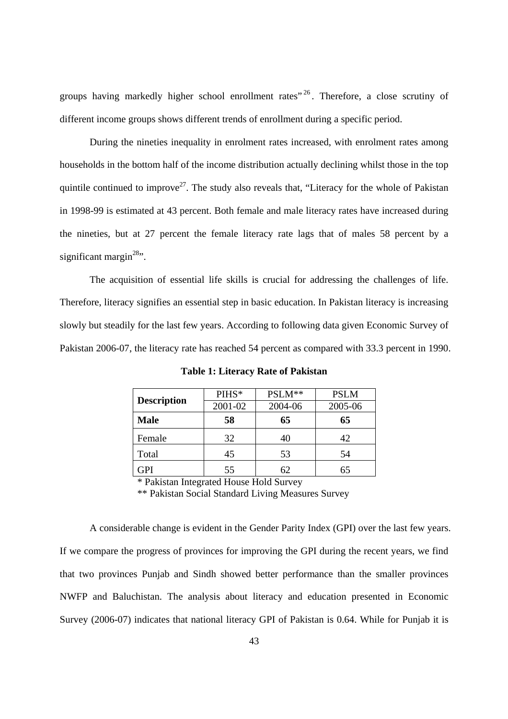groups having markedly higher school enrollment rates<sup> $26$ </sup>. Therefore, a close scrutiny of different income groups shows different trends of enrollment during a specific period.

During the nineties inequality in enrolment rates increased, with enrolment rates among households in the bottom half of the income distribution actually declining whilst those in the top quintile continued to improve<sup>27</sup>. The study also reveals that, "Literacy for the whole of Pakistan in 1998-99 is estimated at 43 percent. Both female and male literacy rates have increased during the nineties, but at 27 percent the female literacy rate lags that of males 58 percent by a significant margin $^{28}$ .

The acquisition of essential life skills is crucial for addressing the challenges of life. Therefore, literacy signifies an essential step in basic education. In Pakistan literacy is increasing slowly but steadily for the last few years. According to following data given Economic Survey of Pakistan 2006-07, the literacy rate has reached 54 percent as compared with 33.3 percent in 1990.

|                    | PIHS*   | PSLM**  | <b>PSLM</b> |  |
|--------------------|---------|---------|-------------|--|
| <b>Description</b> | 2001-02 | 2004-06 | 2005-06     |  |
| <b>Male</b>        | 58      | 65      | 65          |  |
| Female             | 32      | 40      | 42          |  |
| Total              | 45      | 53      | 54          |  |
| GPI                | 55      | 62      | 65          |  |

**Table 1: Literacy Rate of Pakistan** 

\* Pakistan Integrated House Hold Survey

\*\* Pakistan Social Standard Living Measures Survey

A considerable change is evident in the Gender Parity Index (GPI) over the last few years. If we compare the progress of provinces for improving the GPI during the recent years, we find that two provinces Punjab and Sindh showed better performance than the smaller provinces NWFP and Baluchistan. The analysis about literacy and education presented in Economic Survey (2006-07) indicates that national literacy GPI of Pakistan is 0.64. While for Punjab it is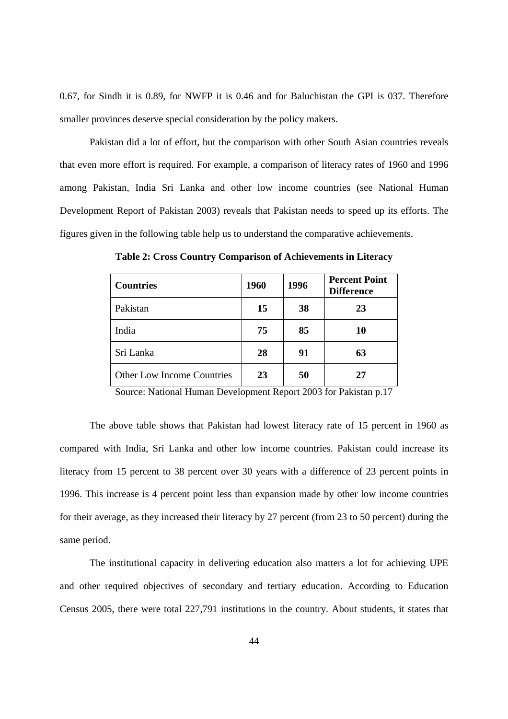0.67, for Sindh it is 0.89, for NWFP it is 0.46 and for Baluchistan the GPI is 037. Therefore smaller provinces deserve special consideration by the policy makers.

Pakistan did a lot of effort, but the comparison with other South Asian countries reveals that even more effort is required. For example, a comparison of literacy rates of 1960 and 1996 among Pakistan, India Sri Lanka and other low income countries (see National Human Development Report of Pakistan 2003) reveals that Pakistan needs to speed up its efforts. The figures given in the following table help us to understand the comparative achievements.

**Countries 1960 1996 Percent Point Difference**  Pakistan **15 38 23** India **75 85 10**  Sri Lanka **28 91 63** Other Low Income Countries **23 23 27** 

**Table 2: Cross Country Comparison of Achievements in Literacy** 

Source: National Human Development Report 2003 for Pakistan p.17

The above table shows that Pakistan had lowest literacy rate of 15 percent in 1960 as compared with India, Sri Lanka and other low income countries. Pakistan could increase its literacy from 15 percent to 38 percent over 30 years with a difference of 23 percent points in 1996. This increase is 4 percent point less than expansion made by other low income countries for their average, as they increased their literacy by 27 percent (from 23 to 50 percent) during the same period.

The institutional capacity in delivering education also matters a lot for achieving UPE and other required objectives of secondary and tertiary education. According to Education Census 2005, there were total 227,791 institutions in the country. About students, it states that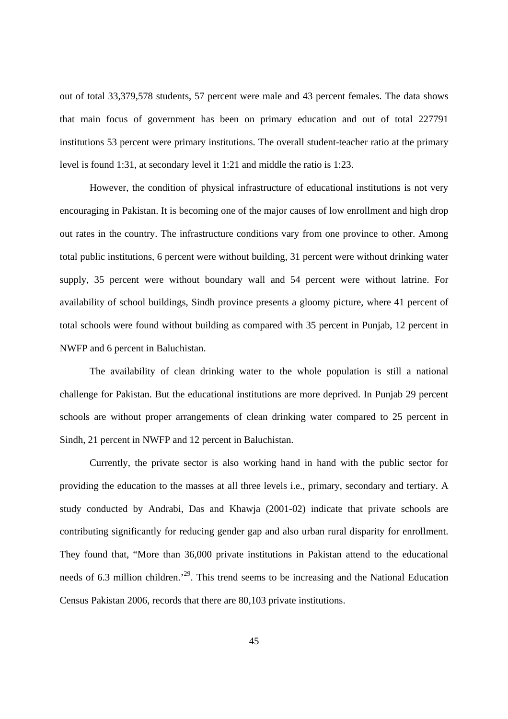out of total 33,379,578 students, 57 percent were male and 43 percent females. The data shows that main focus of government has been on primary education and out of total 227791 institutions 53 percent were primary institutions. The overall student-teacher ratio at the primary level is found 1:31, at secondary level it 1:21 and middle the ratio is 1:23.

However, the condition of physical infrastructure of educational institutions is not very encouraging in Pakistan. It is becoming one of the major causes of low enrollment and high drop out rates in the country. The infrastructure conditions vary from one province to other. Among total public institutions, 6 percent were without building, 31 percent were without drinking water supply, 35 percent were without boundary wall and 54 percent were without latrine. For availability of school buildings, Sindh province presents a gloomy picture, where 41 percent of total schools were found without building as compared with 35 percent in Punjab, 12 percent in NWFP and 6 percent in Baluchistan.

The availability of clean drinking water to the whole population is still a national challenge for Pakistan. But the educational institutions are more deprived. In Punjab 29 percent schools are without proper arrangements of clean drinking water compared to 25 percent in Sindh, 21 percent in NWFP and 12 percent in Baluchistan.

Currently, the private sector is also working hand in hand with the public sector for providing the education to the masses at all three levels i.e., primary, secondary and tertiary. A study conducted by Andrabi, Das and Khawja (2001-02) indicate that private schools are contributing significantly for reducing gender gap and also urban rural disparity for enrollment. They found that, "More than 36,000 private institutions in Pakistan attend to the educational needs of 6.3 million children.<sup>29</sup>. This trend seems to be increasing and the National Education Census Pakistan 2006, records that there are 80,103 private institutions.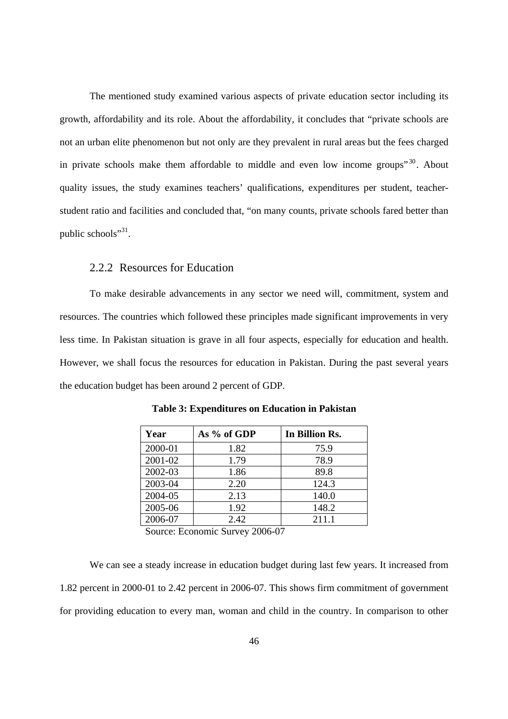The mentioned study examined various aspects of private education sector including its growth, affordability and its role. About the affordability, it concludes that "private schools are not an urban elite phenomenon but not only are they prevalent in rural areas but the fees charged in private schools make them affordable to middle and even low income groups<sup> $30$ </sup>. About quality issues, the study examines teachers' qualifications, expenditures per student, teacherstudent ratio and facilities and concluded that, "on many counts, private schools fared better than public schools"<sup>31</sup>.

### 2.2.2 Resources for Education

To make desirable advancements in any sector we need will, commitment, system and resources. The countries which followed these principles made significant improvements in very less time. In Pakistan situation is grave in all four aspects, especially for education and health. However, we shall focus the resources for education in Pakistan. During the past several years the education budget has been around 2 percent of GDP.

| Year    | As % of GDP                 | In Billion Rs. |
|---------|-----------------------------|----------------|
| 2000-01 | 1.82                        | 75.9           |
| 2001-02 | 1.79                        | 78.9           |
| 2002-03 | 1.86                        | 89.8           |
| 2003-04 | 2.20                        | 124.3          |
| 2004-05 | 2.13                        | 140.0          |
| 2005-06 | 1.92                        | 148.2          |
| 2006-07 | 2.42                        | 211.1          |
| $\sim$  | $\sim$ $\sim$<br>. <i>.</i> |                |

**Table 3: Expenditures on Education in Pakistan** 

Source: Economic Survey 2006-07

We can see a steady increase in education budget during last few years. It increased from 1.82 percent in 2000-01 to 2.42 percent in 2006-07. This shows firm commitment of government for providing education to every man, woman and child in the country. In comparison to other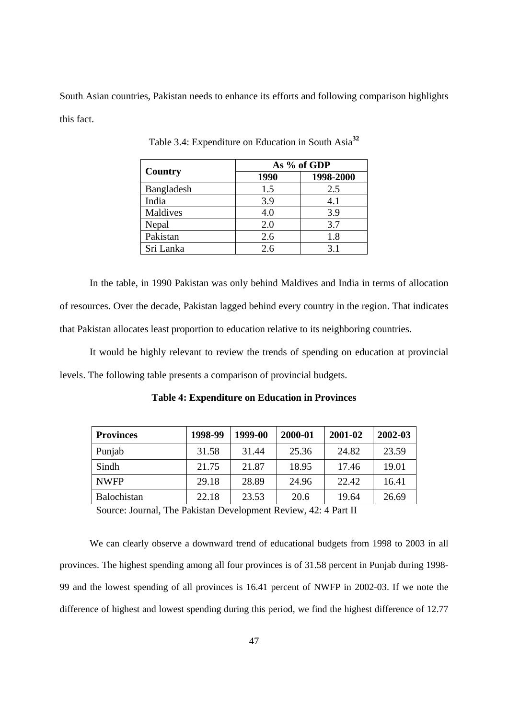South Asian countries, Pakistan needs to enhance its efforts and following comparison highlights this fact.

|            | As % of GDP |           |  |  |
|------------|-------------|-----------|--|--|
| Country    | 1990        | 1998-2000 |  |  |
| Bangladesh | 1.5         | 2.5       |  |  |
| India      | 3.9         | 4.1       |  |  |
| Maldives   | 4.0         | 3.9       |  |  |
| Nepal      | 2.0         | 3.7       |  |  |
| Pakistan   | 2.6         | 1.8       |  |  |
| Sri Lanka  | 2.6         | 31        |  |  |

Table 3.4: Expenditure on Education in South Asia**<sup>32</sup>**

In the table, in 1990 Pakistan was only behind Maldives and India in terms of allocation of resources. Over the decade, Pakistan lagged behind every country in the region. That indicates that Pakistan allocates least proportion to education relative to its neighboring countries.

It would be highly relevant to review the trends of spending on education at provincial levels. The following table presents a comparison of provincial budgets.

| <b>Provinces</b>   | 1998-99 | 1999-00 | 2000-01 | 2001-02 | 2002-03 |
|--------------------|---------|---------|---------|---------|---------|
| Punjab             | 31.58   | 31.44   | 25.36   | 24.82   | 23.59   |
| Sindh              | 21.75   | 21.87   | 18.95   | 17.46   | 19.01   |
| <b>NWFP</b>        | 29.18   | 28.89   | 24.96   | 22.42   | 16.41   |
| <b>Balochistan</b> | 22.18   | 23.53   | 20.6    | 19.64   | 26.69   |

**Table 4: Expenditure on Education in Provinces** 

Source: Journal, The Pakistan Development Review, 42: 4 Part II

We can clearly observe a downward trend of educational budgets from 1998 to 2003 in all provinces. The highest spending among all four provinces is of 31.58 percent in Punjab during 1998- 99 and the lowest spending of all provinces is 16.41 percent of NWFP in 2002-03. If we note the difference of highest and lowest spending during this period, we find the highest difference of 12.77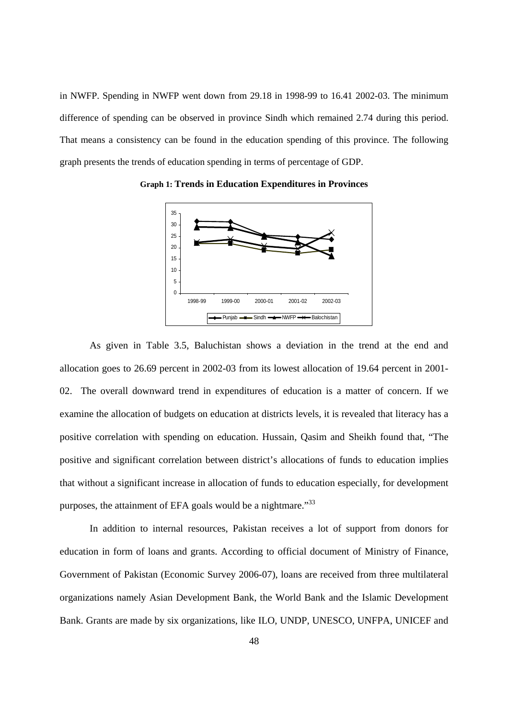in NWFP. Spending in NWFP went down from 29.18 in 1998-99 to 16.41 2002-03. The minimum difference of spending can be observed in province Sindh which remained 2.74 during this period. That means a consistency can be found in the education spending of this province. The following graph presents the trends of education spending in terms of percentage of GDP.



**Graph 1: Trends in Education Expenditures in Provinces** 

As given in Table 3.5, Baluchistan shows a deviation in the trend at the end and allocation goes to 26.69 percent in 2002-03 from its lowest allocation of 19.64 percent in 2001- 02. The overall downward trend in expenditures of education is a matter of concern. If we examine the allocation of budgets on education at districts levels, it is revealed that literacy has a positive correlation with spending on education. Hussain, Qasim and Sheikh found that, "The positive and significant correlation between district's allocations of funds to education implies that without a significant increase in allocation of funds to education especially, for development purposes, the attainment of EFA goals would be a nightmare.<sup>33</sup>

In addition to internal resources, Pakistan receives a lot of support from donors for education in form of loans and grants. According to official document of Ministry of Finance, Government of Pakistan (Economic Survey 2006-07), loans are received from three multilateral organizations namely Asian Development Bank, the World Bank and the Islamic Development Bank. Grants are made by six organizations, like ILO, UNDP, UNESCO, UNFPA, UNICEF and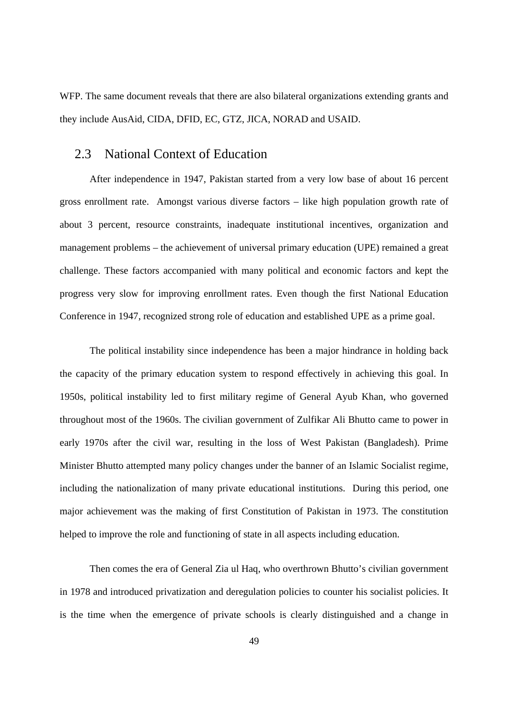WFP. The same document reveals that there are also bilateral organizations extending grants and they include AusAid, CIDA, DFID, EC, GTZ, JICA, NORAD and USAID.

# 2.3 National Context of Education

After independence in 1947, Pakistan started from a very low base of about 16 percent gross enrollment rate. Amongst various diverse factors – like high population growth rate of about 3 percent, resource constraints, inadequate institutional incentives, organization and management problems – the achievement of universal primary education (UPE) remained a great challenge. These factors accompanied with many political and economic factors and kept the progress very slow for improving enrollment rates. Even though the first National Education Conference in 1947, recognized strong role of education and established UPE as a prime goal.

The political instability since independence has been a major hindrance in holding back the capacity of the primary education system to respond effectively in achieving this goal. In 1950s, political instability led to first military regime of General Ayub Khan, who governed throughout most of the 1960s. The civilian government of Zulfikar Ali Bhutto came to power in early 1970s after the civil war, resulting in the loss of West Pakistan (Bangladesh). Prime Minister Bhutto attempted many policy changes under the banner of an Islamic Socialist regime, including the nationalization of many private educational institutions. During this period, one major achievement was the making of first Constitution of Pakistan in 1973. The constitution helped to improve the role and functioning of state in all aspects including education.

Then comes the era of General Zia ul Haq, who overthrown Bhutto's civilian government in 1978 and introduced privatization and deregulation policies to counter his socialist policies. It is the time when the emergence of private schools is clearly distinguished and a change in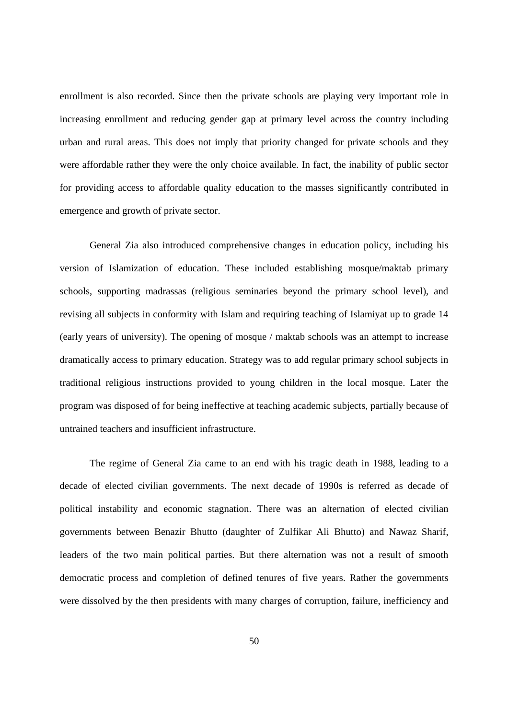enrollment is also recorded. Since then the private schools are playing very important role in increasing enrollment and reducing gender gap at primary level across the country including urban and rural areas. This does not imply that priority changed for private schools and they were affordable rather they were the only choice available. In fact, the inability of public sector for providing access to affordable quality education to the masses significantly contributed in emergence and growth of private sector.

General Zia also introduced comprehensive changes in education policy, including his version of Islamization of education. These included establishing mosque/maktab primary schools, supporting madrassas (religious seminaries beyond the primary school level), and revising all subjects in conformity with Islam and requiring teaching of Islamiyat up to grade 14 (early years of university). The opening of mosque / maktab schools was an attempt to increase dramatically access to primary education. Strategy was to add regular primary school subjects in traditional religious instructions provided to young children in the local mosque. Later the program was disposed of for being ineffective at teaching academic subjects, partially because of untrained teachers and insufficient infrastructure.

The regime of General Zia came to an end with his tragic death in 1988, leading to a decade of elected civilian governments. The next decade of 1990s is referred as decade of political instability and economic stagnation. There was an alternation of elected civilian governments between Benazir Bhutto (daughter of Zulfikar Ali Bhutto) and Nawaz Sharif, leaders of the two main political parties. But there alternation was not a result of smooth democratic process and completion of defined tenures of five years. Rather the governments were dissolved by the then presidents with many charges of corruption, failure, inefficiency and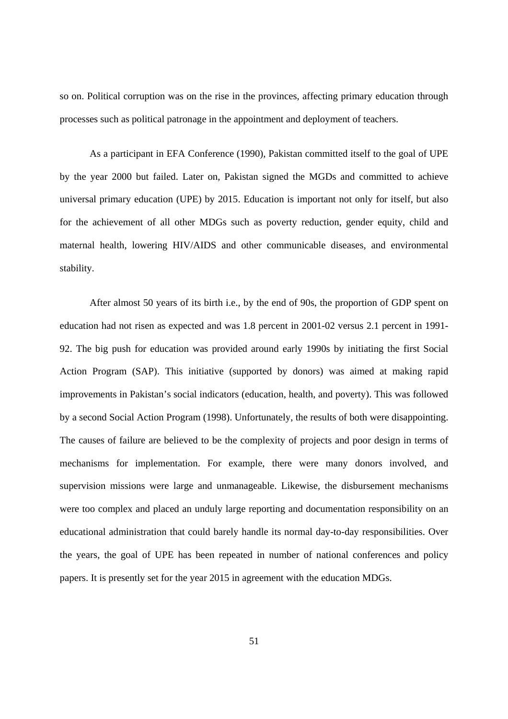so on. Political corruption was on the rise in the provinces, affecting primary education through processes such as political patronage in the appointment and deployment of teachers.

As a participant in EFA Conference (1990), Pakistan committed itself to the goal of UPE by the year 2000 but failed. Later on, Pakistan signed the MGDs and committed to achieve universal primary education (UPE) by 2015. Education is important not only for itself, but also for the achievement of all other MDGs such as poverty reduction, gender equity, child and maternal health, lowering HIV/AIDS and other communicable diseases, and environmental stability.

After almost 50 years of its birth i.e., by the end of 90s, the proportion of GDP spent on education had not risen as expected and was 1.8 percent in 2001-02 versus 2.1 percent in 1991- 92. The big push for education was provided around early 1990s by initiating the first Social Action Program (SAP). This initiative (supported by donors) was aimed at making rapid improvements in Pakistan's social indicators (education, health, and poverty). This was followed by a second Social Action Program (1998). Unfortunately, the results of both were disappointing. The causes of failure are believed to be the complexity of projects and poor design in terms of mechanisms for implementation. For example, there were many donors involved, and supervision missions were large and unmanageable. Likewise, the disbursement mechanisms were too complex and placed an unduly large reporting and documentation responsibility on an educational administration that could barely handle its normal day-to-day responsibilities. Over the years, the goal of UPE has been repeated in number of national conferences and policy papers. It is presently set for the year 2015 in agreement with the education MDGs.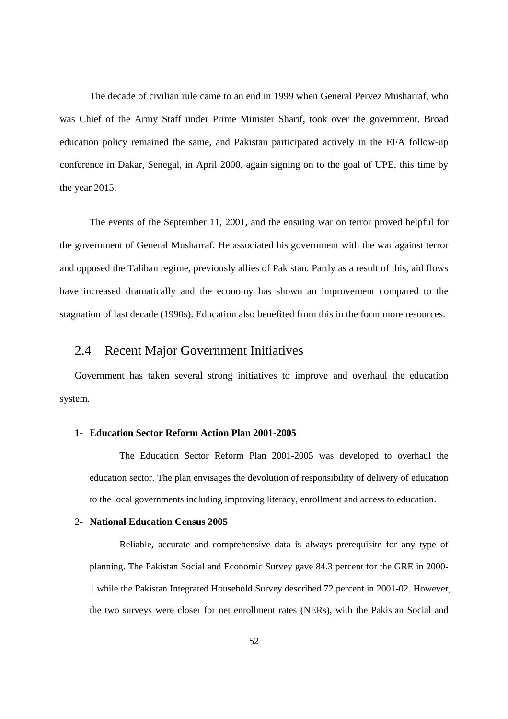The decade of civilian rule came to an end in 1999 when General Pervez Musharraf, who was Chief of the Army Staff under Prime Minister Sharif, took over the government. Broad education policy remained the same, and Pakistan participated actively in the EFA follow-up conference in Dakar, Senegal, in April 2000, again signing on to the goal of UPE, this time by the year 2015.

The events of the September 11, 2001, and the ensuing war on terror proved helpful for the government of General Musharraf. He associated his government with the war against terror and opposed the Taliban regime, previously allies of Pakistan. Partly as a result of this, aid flows have increased dramatically and the economy has shown an improvement compared to the stagnation of last decade (1990s). Education also benefited from this in the form more resources.

## 2.4 Recent Major Government Initiatives

Government has taken several strong initiatives to improve and overhaul the education system.

#### **1- Education Sector Reform Action Plan 2001-2005**

The Education Sector Reform Plan 2001-2005 was developed to overhaul the education sector. The plan envisages the devolution of responsibility of delivery of education to the local governments including improving literacy, enrollment and access to education.

#### 2- **National Education Census 2005**

Reliable, accurate and comprehensive data is always prerequisite for any type of planning. The Pakistan Social and Economic Survey gave 84.3 percent for the GRE in 2000- 1 while the Pakistan Integrated Household Survey described 72 percent in 2001-02. However, the two surveys were closer for net enrollment rates (NERs), with the Pakistan Social and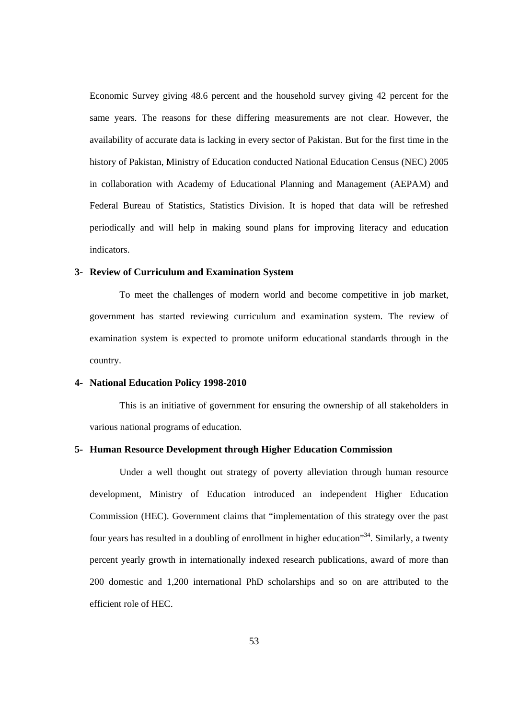Economic Survey giving 48.6 percent and the household survey giving 42 percent for the same years. The reasons for these differing measurements are not clear. However, the availability of accurate data is lacking in every sector of Pakistan. But for the first time in the history of Pakistan, Ministry of Education conducted National Education Census (NEC) 2005 in collaboration with Academy of Educational Planning and Management (AEPAM) and Federal Bureau of Statistics, Statistics Division. It is hoped that data will be refreshed periodically and will help in making sound plans for improving literacy and education indicators.

#### **3- Review of Curriculum and Examination System**

To meet the challenges of modern world and become competitive in job market, government has started reviewing curriculum and examination system. The review of examination system is expected to promote uniform educational standards through in the country.

#### **4- National Education Policy 1998-2010**

This is an initiative of government for ensuring the ownership of all stakeholders in various national programs of education.

#### **5- Human Resource Development through Higher Education Commission**

Under a well thought out strategy of poverty alleviation through human resource development, Ministry of Education introduced an independent Higher Education Commission (HEC). Government claims that "implementation of this strategy over the past four years has resulted in a doubling of enrollment in higher education<sup>34</sup>. Similarly, a twenty percent yearly growth in internationally indexed research publications, award of more than 200 domestic and 1,200 international PhD scholarships and so on are attributed to the efficient role of HEC.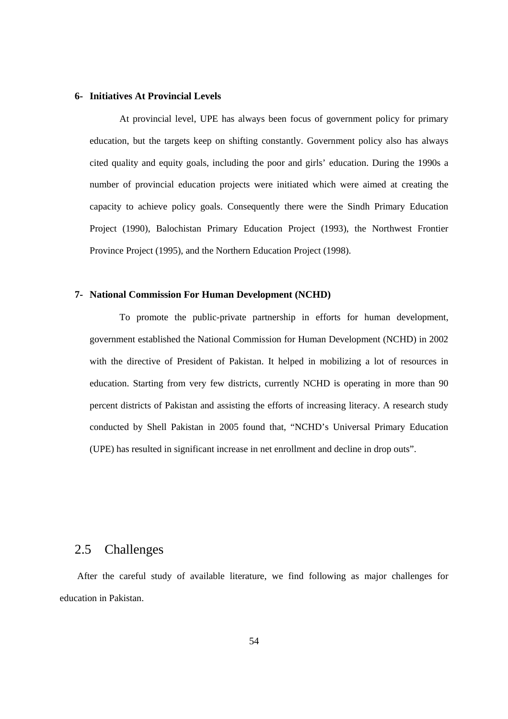#### **6- Initiatives At Provincial Levels**

At provincial level, UPE has always been focus of government policy for primary education, but the targets keep on shifting constantly. Government policy also has always cited quality and equity goals, including the poor and girls' education. During the 1990s a number of provincial education projects were initiated which were aimed at creating the capacity to achieve policy goals. Consequently there were the Sindh Primary Education Project (1990), Balochistan Primary Education Project (1993), the Northwest Frontier Province Project (1995), and the Northern Education Project (1998).

#### **7- National Commission For Human Development (NCHD)**

To promote the public-private partnership in efforts for human development, government established the National Commission for Human Development (NCHD) in 2002 with the directive of President of Pakistan. It helped in mobilizing a lot of resources in education. Starting from very few districts, currently NCHD is operating in more than 90 percent districts of Pakistan and assisting the efforts of increasing literacy. A research study conducted by Shell Pakistan in 2005 found that, "NCHD's Universal Primary Education (UPE) has resulted in significant increase in net enrollment and decline in drop outs".

### 2.5 Challenges

After the careful study of available literature, we find following as major challenges for education in Pakistan.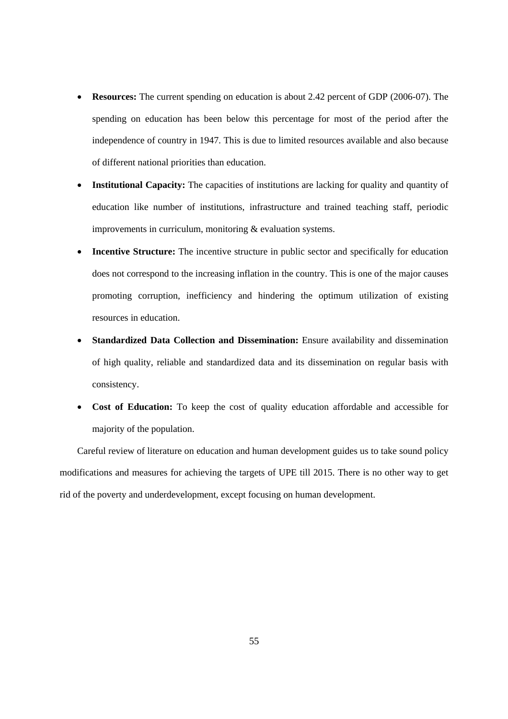- **Resources:** The current spending on education is about 2.42 percent of GDP (2006-07). The spending on education has been below this percentage for most of the period after the independence of country in 1947. This is due to limited resources available and also because of different national priorities than education.
- **Institutional Capacity:** The capacities of institutions are lacking for quality and quantity of education like number of institutions, infrastructure and trained teaching staff, periodic improvements in curriculum, monitoring & evaluation systems.
- **Incentive Structure:** The incentive structure in public sector and specifically for education does not correspond to the increasing inflation in the country. This is one of the major causes promoting corruption, inefficiency and hindering the optimum utilization of existing resources in education.
- **Standardized Data Collection and Dissemination:** Ensure availability and dissemination of high quality, reliable and standardized data and its dissemination on regular basis with consistency.
- **Cost of Education:** To keep the cost of quality education affordable and accessible for majority of the population.

Careful review of literature on education and human development guides us to take sound policy modifications and measures for achieving the targets of UPE till 2015. There is no other way to get rid of the poverty and underdevelopment, except focusing on human development.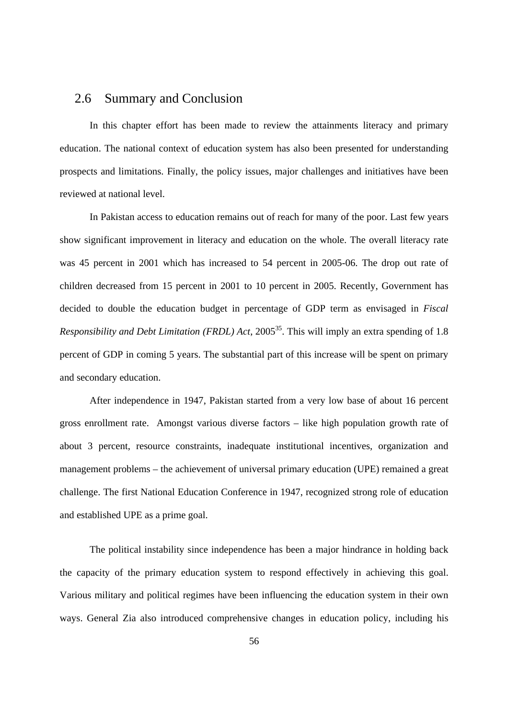## 2.6 Summary and Conclusion

In this chapter effort has been made to review the attainments literacy and primary education. The national context of education system has also been presented for understanding prospects and limitations. Finally, the policy issues, major challenges and initiatives have been reviewed at national level.

In Pakistan access to education remains out of reach for many of the poor. Last few years show significant improvement in literacy and education on the whole. The overall literacy rate was 45 percent in 2001 which has increased to 54 percent in 2005-06. The drop out rate of children decreased from 15 percent in 2001 to 10 percent in 2005. Recently, Government has decided to double the education budget in percentage of GDP term as envisaged in *Fiscal Responsibility and Debt Limitation (FRDL) Act*, 2005<sup>35</sup>. This will imply an extra spending of 1.8 percent of GDP in coming 5 years. The substantial part of this increase will be spent on primary and secondary education.

After independence in 1947, Pakistan started from a very low base of about 16 percent gross enrollment rate. Amongst various diverse factors – like high population growth rate of about 3 percent, resource constraints, inadequate institutional incentives, organization and management problems – the achievement of universal primary education (UPE) remained a great challenge. The first National Education Conference in 1947, recognized strong role of education and established UPE as a prime goal.

The political instability since independence has been a major hindrance in holding back the capacity of the primary education system to respond effectively in achieving this goal. Various military and political regimes have been influencing the education system in their own ways. General Zia also introduced comprehensive changes in education policy, including his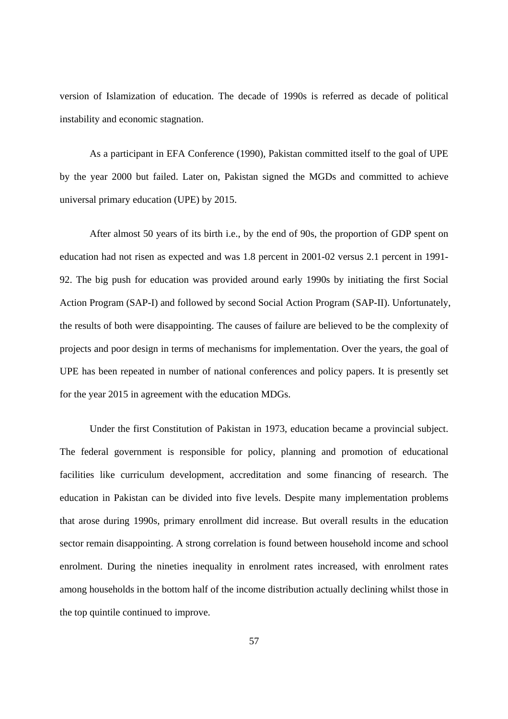version of Islamization of education. The decade of 1990s is referred as decade of political instability and economic stagnation.

As a participant in EFA Conference (1990), Pakistan committed itself to the goal of UPE by the year 2000 but failed. Later on, Pakistan signed the MGDs and committed to achieve universal primary education (UPE) by 2015.

After almost 50 years of its birth i.e., by the end of 90s, the proportion of GDP spent on education had not risen as expected and was 1.8 percent in 2001-02 versus 2.1 percent in 1991- 92. The big push for education was provided around early 1990s by initiating the first Social Action Program (SAP-I) and followed by second Social Action Program (SAP-II). Unfortunately, the results of both were disappointing. The causes of failure are believed to be the complexity of projects and poor design in terms of mechanisms for implementation. Over the years, the goal of UPE has been repeated in number of national conferences and policy papers. It is presently set for the year 2015 in agreement with the education MDGs.

Under the first Constitution of Pakistan in 1973, education became a provincial subject. The federal government is responsible for policy, planning and promotion of educational facilities like curriculum development, accreditation and some financing of research. The education in Pakistan can be divided into five levels. Despite many implementation problems that arose during 1990s, primary enrollment did increase. But overall results in the education sector remain disappointing. A strong correlation is found between household income and school enrolment. During the nineties inequality in enrolment rates increased, with enrolment rates among households in the bottom half of the income distribution actually declining whilst those in the top quintile continued to improve.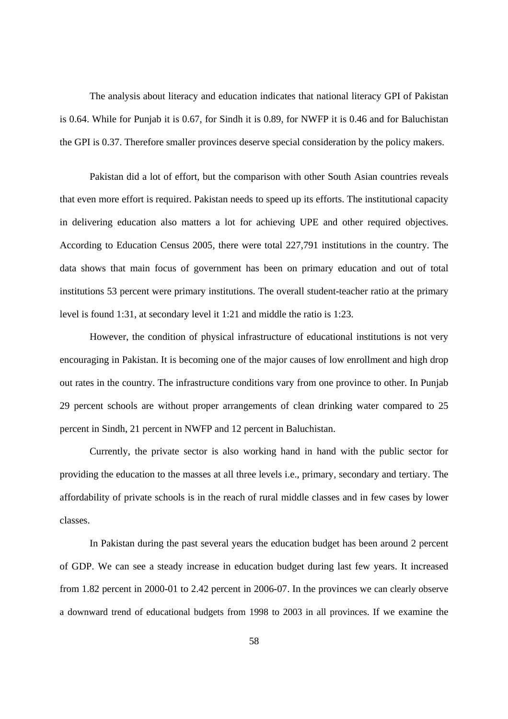The analysis about literacy and education indicates that national literacy GPI of Pakistan is 0.64. While for Punjab it is 0.67, for Sindh it is 0.89, for NWFP it is 0.46 and for Baluchistan the GPI is 0.37. Therefore smaller provinces deserve special consideration by the policy makers.

Pakistan did a lot of effort, but the comparison with other South Asian countries reveals that even more effort is required. Pakistan needs to speed up its efforts. The institutional capacity in delivering education also matters a lot for achieving UPE and other required objectives. According to Education Census 2005, there were total 227,791 institutions in the country. The data shows that main focus of government has been on primary education and out of total institutions 53 percent were primary institutions. The overall student-teacher ratio at the primary level is found 1:31, at secondary level it 1:21 and middle the ratio is 1:23.

However, the condition of physical infrastructure of educational institutions is not very encouraging in Pakistan. It is becoming one of the major causes of low enrollment and high drop out rates in the country. The infrastructure conditions vary from one province to other. In Punjab 29 percent schools are without proper arrangements of clean drinking water compared to 25 percent in Sindh, 21 percent in NWFP and 12 percent in Baluchistan.

Currently, the private sector is also working hand in hand with the public sector for providing the education to the masses at all three levels i.e., primary, secondary and tertiary. The affordability of private schools is in the reach of rural middle classes and in few cases by lower classes.

In Pakistan during the past several years the education budget has been around 2 percent of GDP. We can see a steady increase in education budget during last few years. It increased from 1.82 percent in 2000-01 to 2.42 percent in 2006-07. In the provinces we can clearly observe a downward trend of educational budgets from 1998 to 2003 in all provinces. If we examine the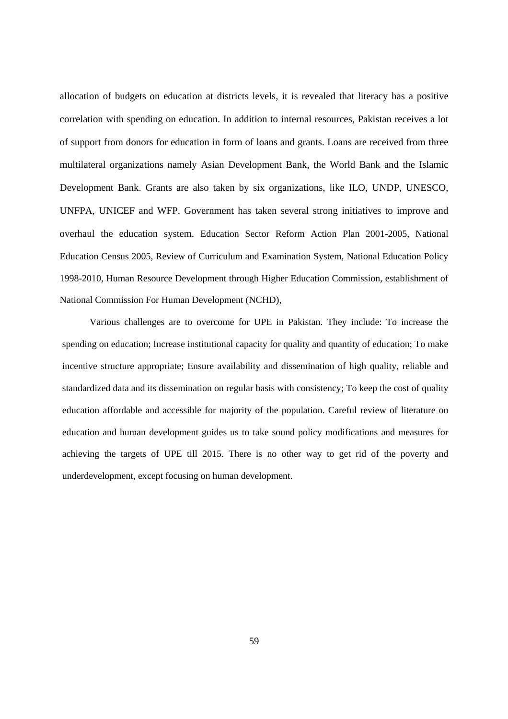allocation of budgets on education at districts levels, it is revealed that literacy has a positive correlation with spending on education. In addition to internal resources, Pakistan receives a lot of support from donors for education in form of loans and grants. Loans are received from three multilateral organizations namely Asian Development Bank, the World Bank and the Islamic Development Bank. Grants are also taken by six organizations, like ILO, UNDP, UNESCO, UNFPA, UNICEF and WFP. Government has taken several strong initiatives to improve and overhaul the education system. Education Sector Reform Action Plan 2001-2005, National Education Census 2005, Review of Curriculum and Examination System, National Education Policy 1998-2010, Human Resource Development through Higher Education Commission, establishment of National Commission For Human Development (NCHD),

Various challenges are to overcome for UPE in Pakistan. They include: To increase the spending on education; Increase institutional capacity for quality and quantity of education; To make incentive structure appropriate; Ensure availability and dissemination of high quality, reliable and standardized data and its dissemination on regular basis with consistency; To keep the cost of quality education affordable and accessible for majority of the population. Careful review of literature on education and human development guides us to take sound policy modifications and measures for achieving the targets of UPE till 2015. There is no other way to get rid of the poverty and underdevelopment, except focusing on human development.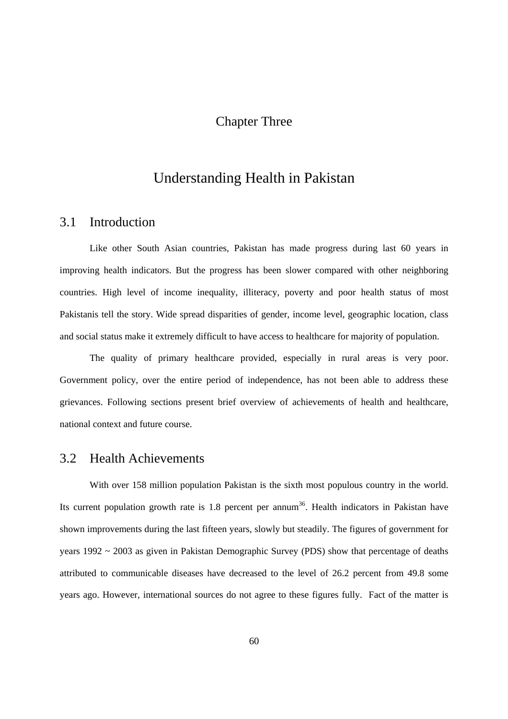# Chapter Three

# Understanding Health in Pakistan

### 3.1 Introduction

Like other South Asian countries, Pakistan has made progress during last 60 years in improving health indicators. But the progress has been slower compared with other neighboring countries. High level of income inequality, illiteracy, poverty and poor health status of most Pakistanis tell the story. Wide spread disparities of gender, income level, geographic location, class and social status make it extremely difficult to have access to healthcare for majority of population.

The quality of primary healthcare provided, especially in rural areas is very poor. Government policy, over the entire period of independence, has not been able to address these grievances. Following sections present brief overview of achievements of health and healthcare, national context and future course.

### 3.2 Health Achievements

With over 158 million population Pakistan is the sixth most populous country in the world. Its current population growth rate is  $1.8$  percent per annum<sup>36</sup>. Health indicators in Pakistan have shown improvements during the last fifteen years, slowly but steadily. The figures of government for years 1992 ~ 2003 as given in Pakistan Demographic Survey (PDS) show that percentage of deaths attributed to communicable diseases have decreased to the level of 26.2 percent from 49.8 some years ago. However, international sources do not agree to these figures fully. Fact of the matter is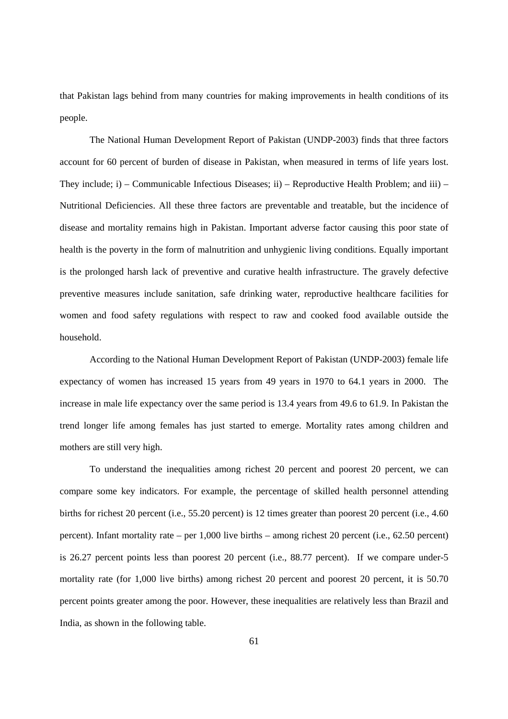that Pakistan lags behind from many countries for making improvements in health conditions of its people.

The National Human Development Report of Pakistan (UNDP-2003) finds that three factors account for 60 percent of burden of disease in Pakistan, when measured in terms of life years lost. They include; i) – Communicable Infectious Diseases; ii) – Reproductive Health Problem; and iii) – Nutritional Deficiencies. All these three factors are preventable and treatable, but the incidence of disease and mortality remains high in Pakistan. Important adverse factor causing this poor state of health is the poverty in the form of malnutrition and unhygienic living conditions. Equally important is the prolonged harsh lack of preventive and curative health infrastructure. The gravely defective preventive measures include sanitation, safe drinking water, reproductive healthcare facilities for women and food safety regulations with respect to raw and cooked food available outside the household.

According to the National Human Development Report of Pakistan (UNDP-2003) female life expectancy of women has increased 15 years from 49 years in 1970 to 64.1 years in 2000. The increase in male life expectancy over the same period is 13.4 years from 49.6 to 61.9. In Pakistan the trend longer life among females has just started to emerge. Mortality rates among children and mothers are still very high.

To understand the inequalities among richest 20 percent and poorest 20 percent, we can compare some key indicators. For example, the percentage of skilled health personnel attending births for richest 20 percent (i.e., 55.20 percent) is 12 times greater than poorest 20 percent (i.e., 4.60 percent). Infant mortality rate – per 1,000 live births – among richest 20 percent (i.e., 62.50 percent) is 26.27 percent points less than poorest 20 percent (i.e., 88.77 percent). If we compare under-5 mortality rate (for 1,000 live births) among richest 20 percent and poorest 20 percent, it is 50.70 percent points greater among the poor. However, these inequalities are relatively less than Brazil and India, as shown in the following table.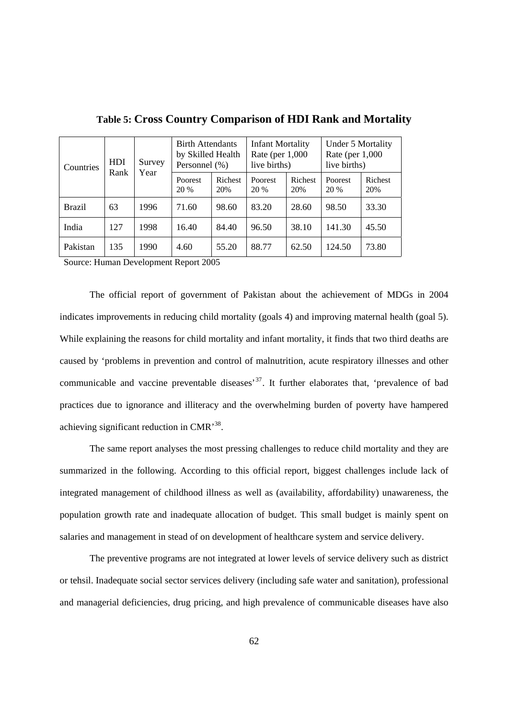| Countries | <b>HDI</b><br>Survey<br>Rank<br>Year |      | <b>Birth Attendants</b><br>by Skilled Health<br>Personnel (%) |                | <b>Infant Mortality</b><br>Rate (per $1,000$ )<br>live births) |                | Under 5 Mortality<br>Rate (per $1,000$<br>live births) |                |
|-----------|--------------------------------------|------|---------------------------------------------------------------|----------------|----------------------------------------------------------------|----------------|--------------------------------------------------------|----------------|
|           |                                      |      | Poorest<br>20 %                                               | Richest<br>20% | Poorest<br>20 %                                                | Richest<br>20% | Poorest<br>20 %                                        | Richest<br>20% |
| Brazil    | 63                                   | 1996 | 71.60                                                         | 98.60          | 83.20                                                          | 28.60          | 98.50                                                  | 33.30          |
| India     | 127                                  | 1998 | 16.40                                                         | 84.40          | 96.50                                                          | 38.10          | 141.30                                                 | 45.50          |
| Pakistan  | 135                                  | 1990 | 4.60                                                          | 55.20          | 88.77                                                          | 62.50          | 124.50                                                 | 73.80          |

**Table 5: Cross Country Comparison of HDI Rank and Mortality** 

Source: Human Development Report 2005

The official report of government of Pakistan about the achievement of MDGs in 2004 indicates improvements in reducing child mortality (goals 4) and improving maternal health (goal 5). While explaining the reasons for child mortality and infant mortality, it finds that two third deaths are caused by 'problems in prevention and control of malnutrition, acute respiratory illnesses and other communicable and vaccine preventable diseases<sup>37</sup>. It further elaborates that, 'prevalence of bad practices due to ignorance and illiteracy and the overwhelming burden of poverty have hampered achieving significant reduction in CMR'38.

The same report analyses the most pressing challenges to reduce child mortality and they are summarized in the following. According to this official report, biggest challenges include lack of integrated management of childhood illness as well as (availability, affordability) unawareness, the population growth rate and inadequate allocation of budget. This small budget is mainly spent on salaries and management in stead of on development of healthcare system and service delivery.

The preventive programs are not integrated at lower levels of service delivery such as district or tehsil. Inadequate social sector services delivery (including safe water and sanitation), professional and managerial deficiencies, drug pricing, and high prevalence of communicable diseases have also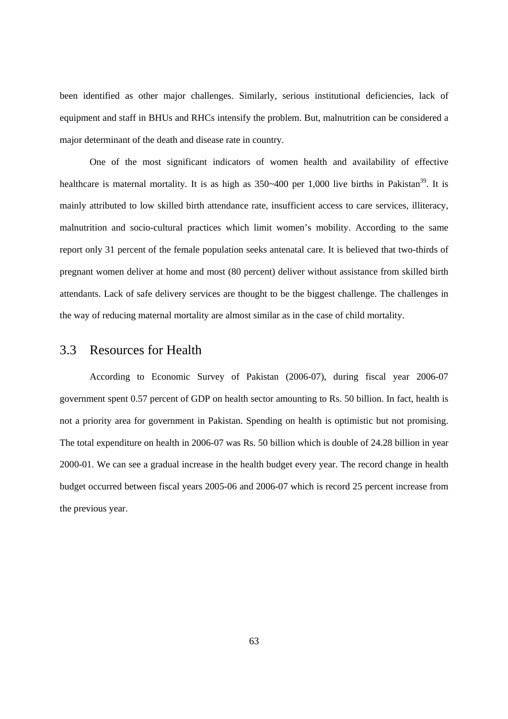been identified as other major challenges. Similarly, serious institutional deficiencies, lack of equipment and staff in BHUs and RHCs intensify the problem. But, malnutrition can be considered a major determinant of the death and disease rate in country.

 One of the most significant indicators of women health and availability of effective healthcare is maternal mortality. It is as high as  $350~-400$  per 1,000 live births in Pakistan<sup>39</sup>. It is mainly attributed to low skilled birth attendance rate, insufficient access to care services, illiteracy, malnutrition and socio-cultural practices which limit women's mobility. According to the same report only 31 percent of the female population seeks antenatal care. It is believed that two-thirds of pregnant women deliver at home and most (80 percent) deliver without assistance from skilled birth attendants. Lack of safe delivery services are thought to be the biggest challenge. The challenges in the way of reducing maternal mortality are almost similar as in the case of child mortality.

### 3.3 Resources for Health

According to Economic Survey of Pakistan (2006-07), during fiscal year 2006-07 government spent 0.57 percent of GDP on health sector amounting to Rs. 50 billion. In fact, health is not a priority area for government in Pakistan. Spending on health is optimistic but not promising. The total expenditure on health in 2006-07 was Rs. 50 billion which is double of 24.28 billion in year 2000-01. We can see a gradual increase in the health budget every year. The record change in health budget occurred between fiscal years 2005-06 and 2006-07 which is record 25 percent increase from the previous year.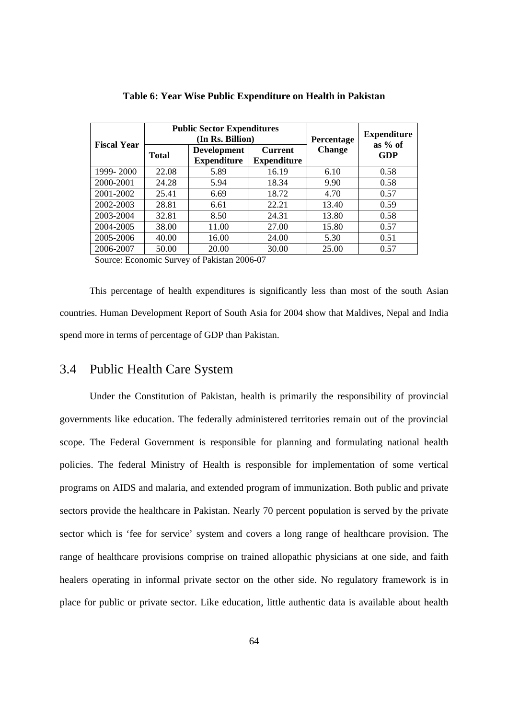| <b>Fiscal Year</b> |              | <b>Public Sector Expenditures</b><br>(In Rs. Billion) | Percentage                           | <b>Expenditure</b> |                  |
|--------------------|--------------|-------------------------------------------------------|--------------------------------------|--------------------|------------------|
|                    | <b>Total</b> | <b>Development</b><br><b>Expenditure</b>              | <b>Current</b><br><b>Expenditure</b> | <b>Change</b>      | as $%$ of<br>GDP |
| 1999-2000          | 22.08        | 5.89                                                  | 16.19                                | 6.10               | 0.58             |
| 2000-2001          | 24.28        | 5.94                                                  | 18.34                                | 9.90               | 0.58             |
| 2001-2002          | 25.41        | 6.69                                                  | 18.72                                | 4.70               | 0.57             |
| 2002-2003          | 28.81        | 6.61                                                  | 22.21                                | 13.40              | 0.59             |
| 2003-2004          | 32.81        | 8.50                                                  | 24.31                                | 13.80              | 0.58             |
| 2004-2005          | 38.00        | 11.00                                                 | 27.00                                | 15.80              | 0.57             |
| 2005-2006          | 40.00        | 16.00                                                 | 24.00                                | 5.30               | 0.51             |
| 2006-2007          | 50.00        | 20.00                                                 | 30.00                                | 25.00              | 0.57             |

**Table 6: Year Wise Public Expenditure on Health in Pakistan** 

Source: Economic Survey of Pakistan 2006-07

This percentage of health expenditures is significantly less than most of the south Asian countries. Human Development Report of South Asia for 2004 show that Maldives, Nepal and India spend more in terms of percentage of GDP than Pakistan.

# 3.4 Public Health Care System

Under the Constitution of Pakistan, health is primarily the responsibility of provincial governments like education. The federally administered territories remain out of the provincial scope. The Federal Government is responsible for planning and formulating national health policies. The federal Ministry of Health is responsible for implementation of some vertical programs on AIDS and malaria, and extended program of immunization. Both public and private sectors provide the healthcare in Pakistan. Nearly 70 percent population is served by the private sector which is 'fee for service' system and covers a long range of healthcare provision. The range of healthcare provisions comprise on trained allopathic physicians at one side, and faith healers operating in informal private sector on the other side. No regulatory framework is in place for public or private sector. Like education, little authentic data is available about health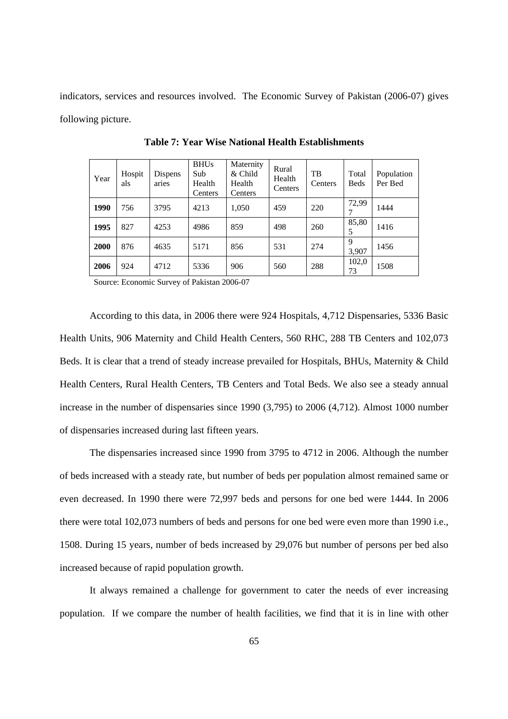indicators, services and resources involved. The Economic Survey of Pakistan (2006-07) gives following picture.

| Year | Hospit<br>als | Dispens<br>aries | <b>BHUs</b><br>Sub<br>Health<br>Centers | Maternity<br>& Child<br>Health<br>Centers | Rural<br>Health<br>Centers | <b>TB</b><br>Centers | Total<br><b>Beds</b> | Population<br>Per Bed |
|------|---------------|------------------|-----------------------------------------|-------------------------------------------|----------------------------|----------------------|----------------------|-----------------------|
| 1990 | 756           | 3795             | 4213                                    | 1,050                                     | 459                        | 220                  | 72,99                | 1444                  |
| 1995 | 827           | 4253             | 4986                                    | 859                                       | 498                        | 260                  | 85,80                | 1416                  |
| 2000 | 876           | 4635             | 5171                                    | 856                                       | 531                        | 274                  | 9<br>3,907           | 1456                  |
| 2006 | 924           | 4712             | 5336                                    | 906                                       | 560                        | 288                  | 102,0<br>73          | 1508                  |

**Table 7: Year Wise National Health Establishments** 

Source: Economic Survey of Pakistan 2006-07

According to this data, in 2006 there were 924 Hospitals, 4,712 Dispensaries, 5336 Basic Health Units, 906 Maternity and Child Health Centers, 560 RHC, 288 TB Centers and 102,073 Beds. It is clear that a trend of steady increase prevailed for Hospitals, BHUs, Maternity & Child Health Centers, Rural Health Centers, TB Centers and Total Beds. We also see a steady annual increase in the number of dispensaries since 1990 (3,795) to 2006 (4,712). Almost 1000 number of dispensaries increased during last fifteen years.

The dispensaries increased since 1990 from 3795 to 4712 in 2006. Although the number of beds increased with a steady rate, but number of beds per population almost remained same or even decreased. In 1990 there were 72,997 beds and persons for one bed were 1444. In 2006 there were total 102,073 numbers of beds and persons for one bed were even more than 1990 i.e., 1508. During 15 years, number of beds increased by 29,076 but number of persons per bed also increased because of rapid population growth.

It always remained a challenge for government to cater the needs of ever increasing population. If we compare the number of health facilities, we find that it is in line with other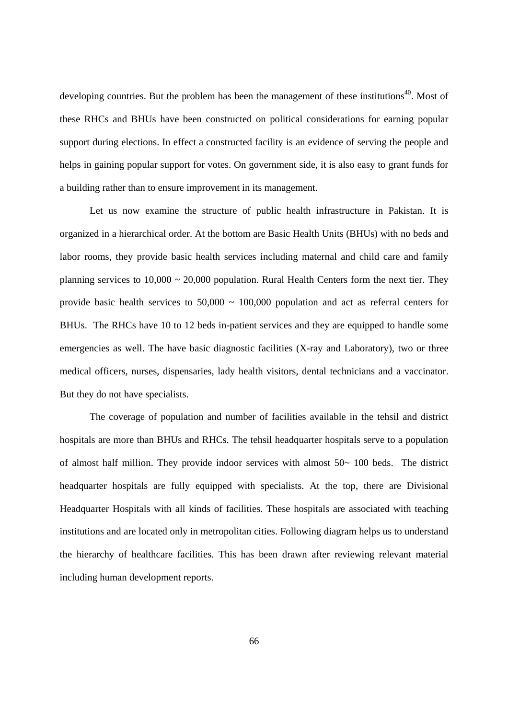developing countries. But the problem has been the management of these institutions<sup>40</sup>. Most of these RHCs and BHUs have been constructed on political considerations for earning popular support during elections. In effect a constructed facility is an evidence of serving the people and helps in gaining popular support for votes. On government side, it is also easy to grant funds for a building rather than to ensure improvement in its management.

Let us now examine the structure of public health infrastructure in Pakistan. It is organized in a hierarchical order. At the bottom are Basic Health Units (BHUs) with no beds and labor rooms, they provide basic health services including maternal and child care and family planning services to  $10,000 \sim 20,000$  population. Rural Health Centers form the next tier. They provide basic health services to  $50,000 \sim 100,000$  population and act as referral centers for BHUs. The RHCs have 10 to 12 beds in-patient services and they are equipped to handle some emergencies as well. The have basic diagnostic facilities (X-ray and Laboratory), two or three medical officers, nurses, dispensaries, lady health visitors, dental technicians and a vaccinator. But they do not have specialists.

The coverage of population and number of facilities available in the tehsil and district hospitals are more than BHUs and RHCs. The tehsil headquarter hospitals serve to a population of almost half million. They provide indoor services with almost  $50~\sim~100$  beds. The district headquarter hospitals are fully equipped with specialists. At the top, there are Divisional Headquarter Hospitals with all kinds of facilities. These hospitals are associated with teaching institutions and are located only in metropolitan cities. Following diagram helps us to understand the hierarchy of healthcare facilities. This has been drawn after reviewing relevant material including human development reports.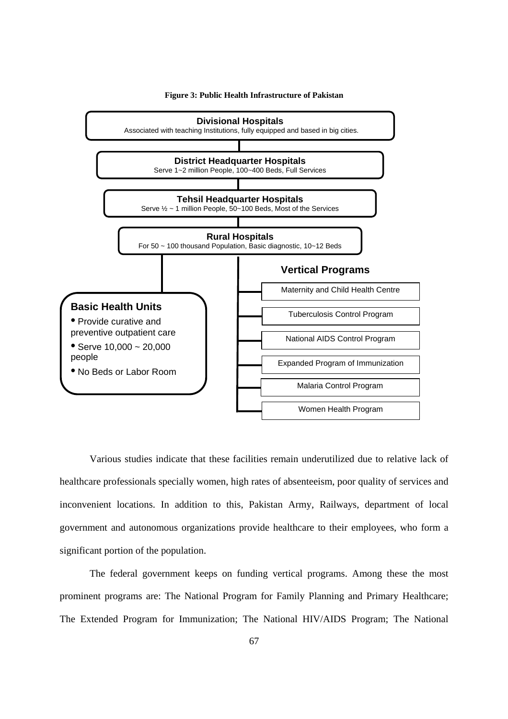

**Figure 3: Public Health Infrastructure of Pakistan** 

Various studies indicate that these facilities remain underutilized due to relative lack of healthcare professionals specially women, high rates of absenteeism, poor quality of services and inconvenient locations. In addition to this, Pakistan Army, Railways, department of local government and autonomous organizations provide healthcare to their employees, who form a significant portion of the population.

The federal government keeps on funding vertical programs. Among these the most prominent programs are: The National Program for Family Planning and Primary Healthcare; The Extended Program for Immunization; The National HIV/AIDS Program; The National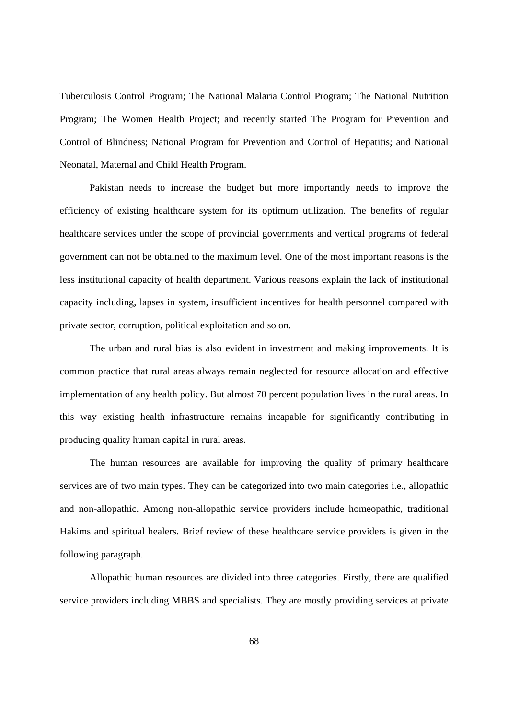Tuberculosis Control Program; The National Malaria Control Program; The National Nutrition Program; The Women Health Project; and recently started The Program for Prevention and Control of Blindness; National Program for Prevention and Control of Hepatitis; and National Neonatal, Maternal and Child Health Program.

Pakistan needs to increase the budget but more importantly needs to improve the efficiency of existing healthcare system for its optimum utilization. The benefits of regular healthcare services under the scope of provincial governments and vertical programs of federal government can not be obtained to the maximum level. One of the most important reasons is the less institutional capacity of health department. Various reasons explain the lack of institutional capacity including, lapses in system, insufficient incentives for health personnel compared with private sector, corruption, political exploitation and so on.

The urban and rural bias is also evident in investment and making improvements. It is common practice that rural areas always remain neglected for resource allocation and effective implementation of any health policy. But almost 70 percent population lives in the rural areas. In this way existing health infrastructure remains incapable for significantly contributing in producing quality human capital in rural areas.

The human resources are available for improving the quality of primary healthcare services are of two main types. They can be categorized into two main categories i.e., allopathic and non-allopathic. Among non-allopathic service providers include homeopathic, traditional Hakims and spiritual healers. Brief review of these healthcare service providers is given in the following paragraph.

Allopathic human resources are divided into three categories. Firstly, there are qualified service providers including MBBS and specialists. They are mostly providing services at private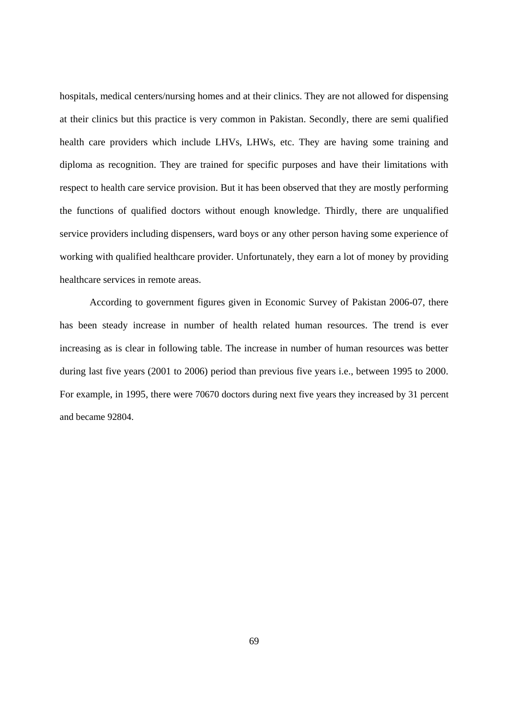hospitals, medical centers/nursing homes and at their clinics. They are not allowed for dispensing at their clinics but this practice is very common in Pakistan. Secondly, there are semi qualified health care providers which include LHVs, LHWs, etc. They are having some training and diploma as recognition. They are trained for specific purposes and have their limitations with respect to health care service provision. But it has been observed that they are mostly performing the functions of qualified doctors without enough knowledge. Thirdly, there are unqualified service providers including dispensers, ward boys or any other person having some experience of working with qualified healthcare provider. Unfortunately, they earn a lot of money by providing healthcare services in remote areas.

According to government figures given in Economic Survey of Pakistan 2006-07, there has been steady increase in number of health related human resources. The trend is ever increasing as is clear in following table. The increase in number of human resources was better during last five years (2001 to 2006) period than previous five years i.e., between 1995 to 2000. For example, in 1995, there were 70670 doctors during next five years they increased by 31 percent and became 92804.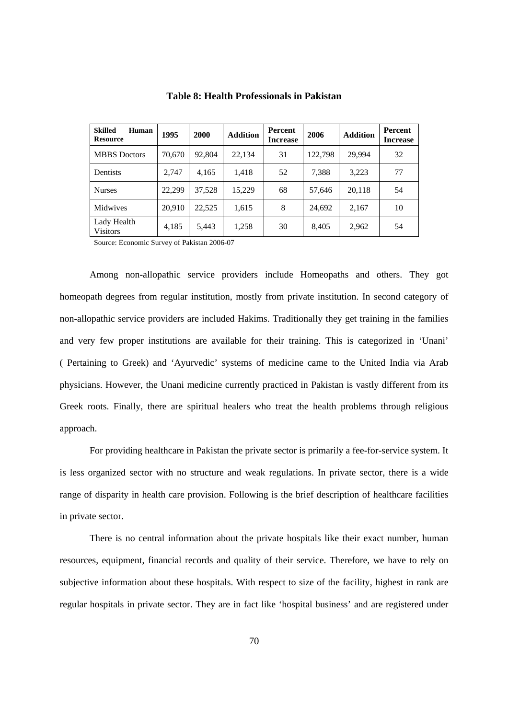| <b>Skilled</b><br>Human<br><b>Resource</b> | 1995   | 2000   | <b>Addition</b> | Percent<br><b>Increase</b> | 2006    | <b>Addition</b> | Percent<br><b>Increase</b> |
|--------------------------------------------|--------|--------|-----------------|----------------------------|---------|-----------------|----------------------------|
| <b>MBBS</b> Doctors                        | 70.670 | 92,804 | 22,134          | 31                         | 122.798 | 29.994          | 32                         |
| Dentists                                   | 2.747  | 4,165  | 1,418           | 52                         | 7.388   | 3,223           | 77                         |
| <b>Nurses</b>                              | 22,299 | 37,528 | 15,229          | 68                         | 57,646  | 20,118          | 54                         |
| <b>Midwives</b>                            | 20,910 | 22,525 | 1,615           | 8                          | 24,692  | 2,167           | 10                         |
| Lady Health<br><b>Visitors</b>             | 4,185  | 5,443  | 1,258           | 30                         | 8,405   | 2,962           | 54                         |

**Table 8: Health Professionals in Pakistan** 

Source: Economic Survey of Pakistan 2006-07

Among non-allopathic service providers include Homeopaths and others. They got homeopath degrees from regular institution, mostly from private institution. In second category of non-allopathic service providers are included Hakims. Traditionally they get training in the families and very few proper institutions are available for their training. This is categorized in 'Unani' ( Pertaining to Greek) and 'Ayurvedic' systems of medicine came to the United India via Arab physicians. However, the Unani medicine currently practiced in Pakistan is vastly different from its Greek roots. Finally, there are spiritual healers who treat the health problems through religious approach.

For providing healthcare in Pakistan the private sector is primarily a fee-for-service system. It is less organized sector with no structure and weak regulations. In private sector, there is a wide range of disparity in health care provision. Following is the brief description of healthcare facilities in private sector.

There is no central information about the private hospitals like their exact number, human resources, equipment, financial records and quality of their service. Therefore, we have to rely on subjective information about these hospitals. With respect to size of the facility, highest in rank are regular hospitals in private sector. They are in fact like 'hospital business' and are registered under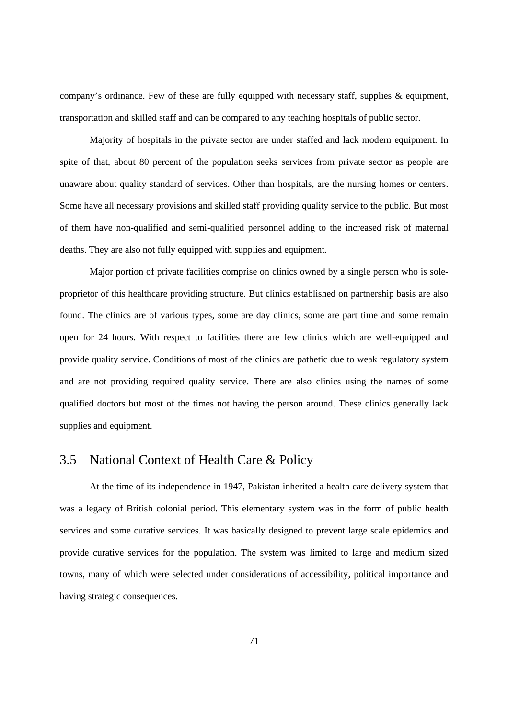company's ordinance. Few of these are fully equipped with necessary staff, supplies  $\&$  equipment, transportation and skilled staff and can be compared to any teaching hospitals of public sector.

Majority of hospitals in the private sector are under staffed and lack modern equipment. In spite of that, about 80 percent of the population seeks services from private sector as people are unaware about quality standard of services. Other than hospitals, are the nursing homes or centers. Some have all necessary provisions and skilled staff providing quality service to the public. But most of them have non-qualified and semi-qualified personnel adding to the increased risk of maternal deaths. They are also not fully equipped with supplies and equipment.

Major portion of private facilities comprise on clinics owned by a single person who is soleproprietor of this healthcare providing structure. But clinics established on partnership basis are also found. The clinics are of various types, some are day clinics, some are part time and some remain open for 24 hours. With respect to facilities there are few clinics which are well-equipped and provide quality service. Conditions of most of the clinics are pathetic due to weak regulatory system and are not providing required quality service. There are also clinics using the names of some qualified doctors but most of the times not having the person around. These clinics generally lack supplies and equipment.

### 3.5 National Context of Health Care & Policy

At the time of its independence in 1947, Pakistan inherited a health care delivery system that was a legacy of British colonial period. This elementary system was in the form of public health services and some curative services. It was basically designed to prevent large scale epidemics and provide curative services for the population. The system was limited to large and medium sized towns, many of which were selected under considerations of accessibility, political importance and having strategic consequences.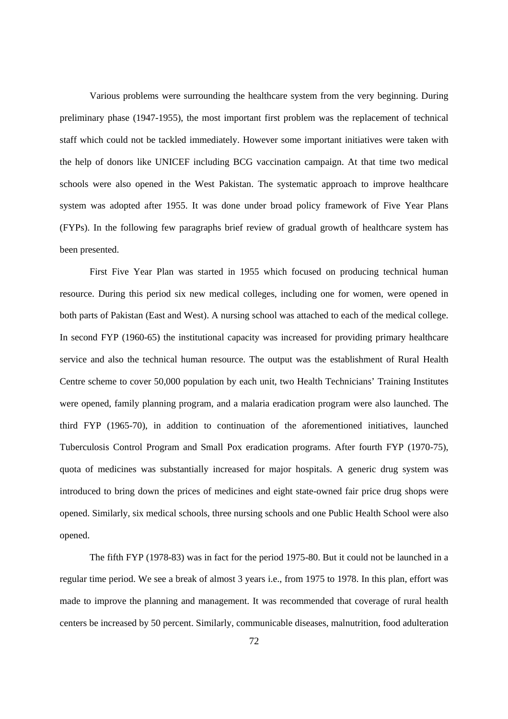Various problems were surrounding the healthcare system from the very beginning. During preliminary phase (1947-1955), the most important first problem was the replacement of technical staff which could not be tackled immediately. However some important initiatives were taken with the help of donors like UNICEF including BCG vaccination campaign. At that time two medical schools were also opened in the West Pakistan. The systematic approach to improve healthcare system was adopted after 1955. It was done under broad policy framework of Five Year Plans (FYPs). In the following few paragraphs brief review of gradual growth of healthcare system has been presented.

First Five Year Plan was started in 1955 which focused on producing technical human resource. During this period six new medical colleges, including one for women, were opened in both parts of Pakistan (East and West). A nursing school was attached to each of the medical college. In second FYP (1960-65) the institutional capacity was increased for providing primary healthcare service and also the technical human resource. The output was the establishment of Rural Health Centre scheme to cover 50,000 population by each unit, two Health Technicians' Training Institutes were opened, family planning program, and a malaria eradication program were also launched. The third FYP (1965-70), in addition to continuation of the aforementioned initiatives, launched Tuberculosis Control Program and Small Pox eradication programs. After fourth FYP (1970-75), quota of medicines was substantially increased for major hospitals. A generic drug system was introduced to bring down the prices of medicines and eight state-owned fair price drug shops were opened. Similarly, six medical schools, three nursing schools and one Public Health School were also opened.

The fifth FYP (1978-83) was in fact for the period 1975-80. But it could not be launched in a regular time period. We see a break of almost 3 years i.e., from 1975 to 1978. In this plan, effort was made to improve the planning and management. It was recommended that coverage of rural health centers be increased by 50 percent. Similarly, communicable diseases, malnutrition, food adulteration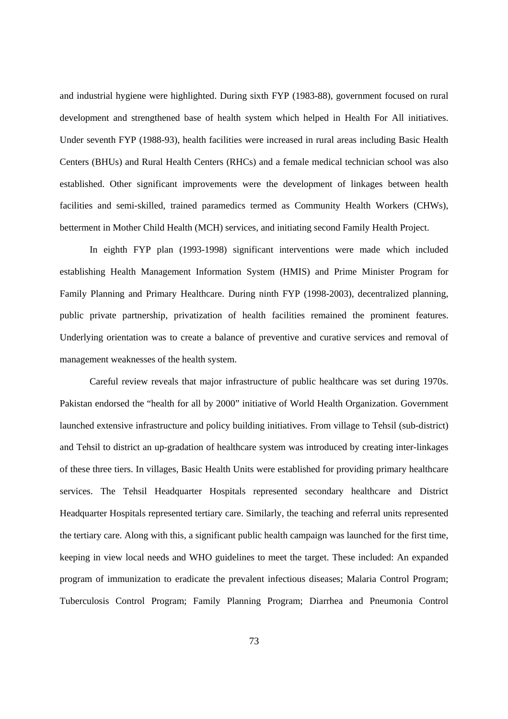and industrial hygiene were highlighted. During sixth FYP (1983-88), government focused on rural development and strengthened base of health system which helped in Health For All initiatives. Under seventh FYP (1988-93), health facilities were increased in rural areas including Basic Health Centers (BHUs) and Rural Health Centers (RHCs) and a female medical technician school was also established. Other significant improvements were the development of linkages between health facilities and semi-skilled, trained paramedics termed as Community Health Workers (CHWs), betterment in Mother Child Health (MCH) services, and initiating second Family Health Project.

In eighth FYP plan (1993-1998) significant interventions were made which included establishing Health Management Information System (HMIS) and Prime Minister Program for Family Planning and Primary Healthcare. During ninth FYP (1998-2003), decentralized planning, public private partnership, privatization of health facilities remained the prominent features. Underlying orientation was to create a balance of preventive and curative services and removal of management weaknesses of the health system.

Careful review reveals that major infrastructure of public healthcare was set during 1970s. Pakistan endorsed the "health for all by 2000" initiative of World Health Organization. Government launched extensive infrastructure and policy building initiatives. From village to Tehsil (sub-district) and Tehsil to district an up-gradation of healthcare system was introduced by creating inter-linkages of these three tiers. In villages, Basic Health Units were established for providing primary healthcare services. The Tehsil Headquarter Hospitals represented secondary healthcare and District Headquarter Hospitals represented tertiary care. Similarly, the teaching and referral units represented the tertiary care. Along with this, a significant public health campaign was launched for the first time, keeping in view local needs and WHO guidelines to meet the target. These included: An expanded program of immunization to eradicate the prevalent infectious diseases; Malaria Control Program; Tuberculosis Control Program; Family Planning Program; Diarrhea and Pneumonia Control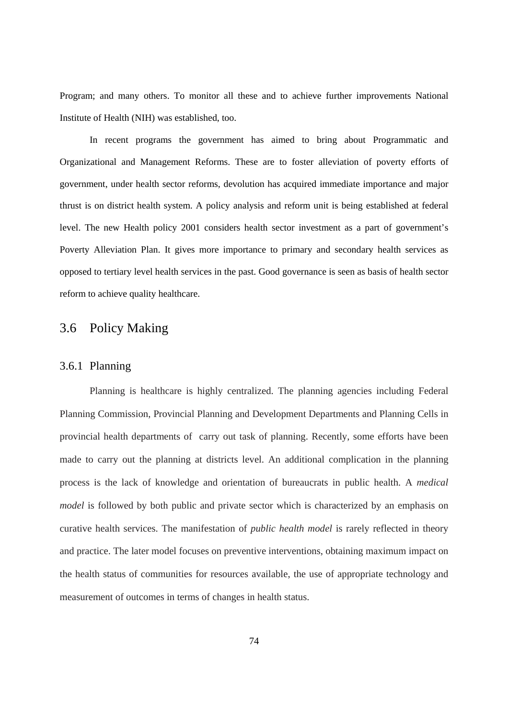Program; and many others. To monitor all these and to achieve further improvements National Institute of Health (NIH) was established, too.

In recent programs the government has aimed to bring about Programmatic and Organizational and Management Reforms. These are to foster alleviation of poverty efforts of government, under health sector reforms, devolution has acquired immediate importance and major thrust is on district health system. A policy analysis and reform unit is being established at federal level. The new Health policy 2001 considers health sector investment as a part of government's Poverty Alleviation Plan. It gives more importance to primary and secondary health services as opposed to tertiary level health services in the past. Good governance is seen as basis of health sector reform to achieve quality healthcare.

# 3.6 Policy Making

### 3.6.1 Planning

Planning is healthcare is highly centralized. The planning agencies including Federal Planning Commission, Provincial Planning and Development Departments and Planning Cells in provincial health departments of carry out task of planning. Recently, some efforts have been made to carry out the planning at districts level. An additional complication in the planning process is the lack of knowledge and orientation of bureaucrats in public health. A *medical model* is followed by both public and private sector which is characterized by an emphasis on curative health services. The manifestation of *public health model* is rarely reflected in theory and practice. The later model focuses on preventive interventions, obtaining maximum impact on the health status of communities for resources available, the use of appropriate technology and measurement of outcomes in terms of changes in health status.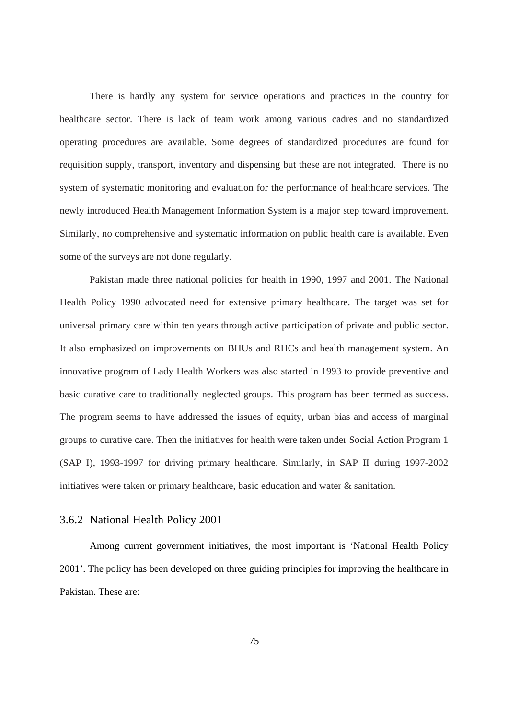There is hardly any system for service operations and practices in the country for healthcare sector. There is lack of team work among various cadres and no standardized operating procedures are available. Some degrees of standardized procedures are found for requisition supply, transport, inventory and dispensing but these are not integrated. There is no system of systematic monitoring and evaluation for the performance of healthcare services. The newly introduced Health Management Information System is a major step toward improvement. Similarly, no comprehensive and systematic information on public health care is available. Even some of the surveys are not done regularly.

Pakistan made three national policies for health in 1990, 1997 and 2001. The National Health Policy 1990 advocated need for extensive primary healthcare. The target was set for universal primary care within ten years through active participation of private and public sector. It also emphasized on improvements on BHUs and RHCs and health management system. An innovative program of Lady Health Workers was also started in 1993 to provide preventive and basic curative care to traditionally neglected groups. This program has been termed as success. The program seems to have addressed the issues of equity, urban bias and access of marginal groups to curative care. Then the initiatives for health were taken under Social Action Program 1 (SAP I), 1993-1997 for driving primary healthcare. Similarly, in SAP II during 1997-2002 initiatives were taken or primary healthcare, basic education and water & sanitation.

### 3.6.2 National Health Policy 2001

Among current government initiatives, the most important is 'National Health Policy 2001'. The policy has been developed on three guiding principles for improving the healthcare in Pakistan. These are: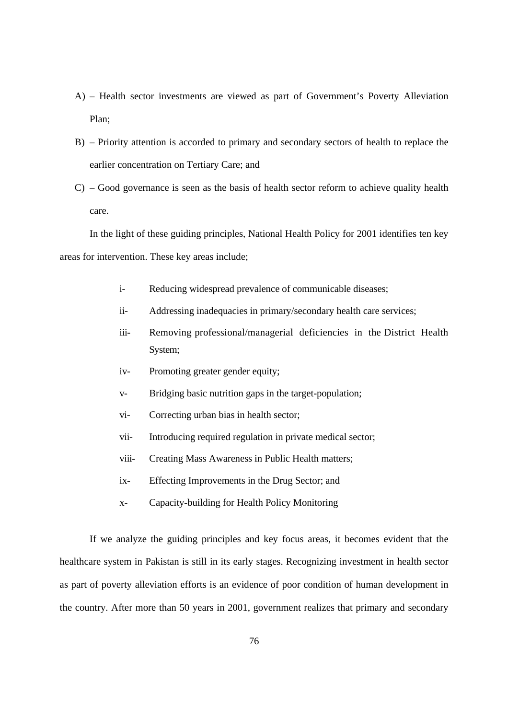- A) Health sector investments are viewed as part of Government's Poverty Alleviation Plan;
- B) Priority attention is accorded to primary and secondary sectors of health to replace the earlier concentration on Tertiary Care; and
- C) Good governance is seen as the basis of health sector reform to achieve quality health care.

In the light of these guiding principles, National Health Policy for 2001 identifies ten key areas for intervention. These key areas include;

- i- Reducing widespread prevalence of communicable diseases;
- ii- Addressing inadequacies in primary/secondary health care services;
- iii- Removing professional/managerial deficiencies in the District Health System;
- iv- Promoting greater gender equity;
- v- Bridging basic nutrition gaps in the target-population;
- vi- Correcting urban bias in health sector;
- vii- Introducing required regulation in private medical sector;
- viii- Creating Mass Awareness in Public Health matters;
- ix- Effecting Improvements in the Drug Sector; and
- x- Capacity-building for Health Policy Monitoring

If we analyze the guiding principles and key focus areas, it becomes evident that the healthcare system in Pakistan is still in its early stages. Recognizing investment in health sector as part of poverty alleviation efforts is an evidence of poor condition of human development in the country. After more than 50 years in 2001, government realizes that primary and secondary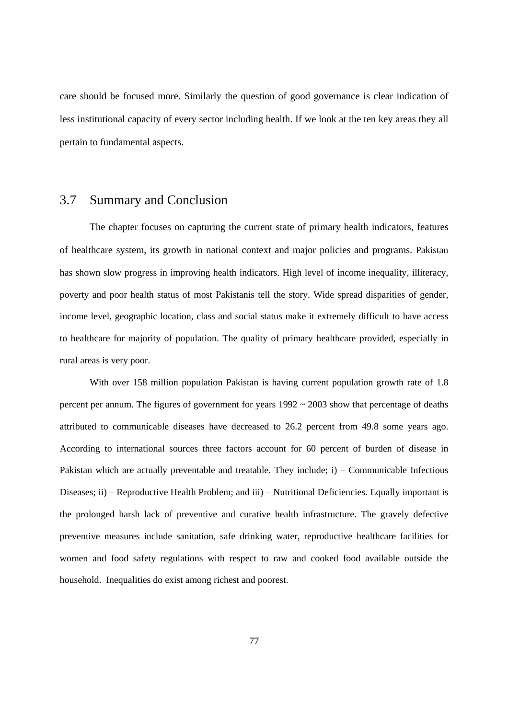care should be focused more. Similarly the question of good governance is clear indication of less institutional capacity of every sector including health. If we look at the ten key areas they all pertain to fundamental aspects.

### 3.7 Summary and Conclusion

The chapter focuses on capturing the current state of primary health indicators, features of healthcare system, its growth in national context and major policies and programs. Pakistan has shown slow progress in improving health indicators. High level of income inequality, illiteracy, poverty and poor health status of most Pakistanis tell the story. Wide spread disparities of gender, income level, geographic location, class and social status make it extremely difficult to have access to healthcare for majority of population. The quality of primary healthcare provided, especially in rural areas is very poor.

With over 158 million population Pakistan is having current population growth rate of 1.8 percent per annum. The figures of government for years  $1992 \sim 2003$  show that percentage of deaths attributed to communicable diseases have decreased to 26.2 percent from 49.8 some years ago. According to international sources three factors account for 60 percent of burden of disease in Pakistan which are actually preventable and treatable. They include; i) – Communicable Infectious Diseases; ii) – Reproductive Health Problem; and iii) – Nutritional Deficiencies. Equally important is the prolonged harsh lack of preventive and curative health infrastructure. The gravely defective preventive measures include sanitation, safe drinking water, reproductive healthcare facilities for women and food safety regulations with respect to raw and cooked food available outside the household. Inequalities do exist among richest and poorest.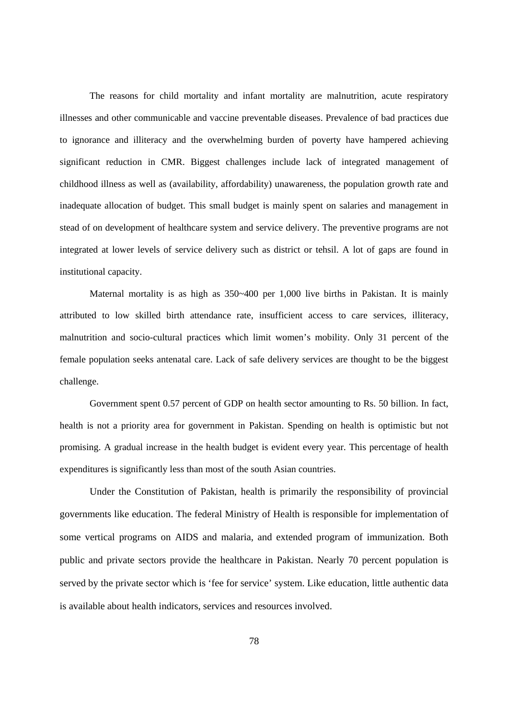The reasons for child mortality and infant mortality are malnutrition, acute respiratory illnesses and other communicable and vaccine preventable diseases. Prevalence of bad practices due to ignorance and illiteracy and the overwhelming burden of poverty have hampered achieving significant reduction in CMR. Biggest challenges include lack of integrated management of childhood illness as well as (availability, affordability) unawareness, the population growth rate and inadequate allocation of budget. This small budget is mainly spent on salaries and management in stead of on development of healthcare system and service delivery. The preventive programs are not integrated at lower levels of service delivery such as district or tehsil. A lot of gaps are found in institutional capacity.

 Maternal mortality is as high as 350~400 per 1,000 live births in Pakistan. It is mainly attributed to low skilled birth attendance rate, insufficient access to care services, illiteracy, malnutrition and socio-cultural practices which limit women's mobility. Only 31 percent of the female population seeks antenatal care. Lack of safe delivery services are thought to be the biggest challenge.

Government spent 0.57 percent of GDP on health sector amounting to Rs. 50 billion. In fact, health is not a priority area for government in Pakistan. Spending on health is optimistic but not promising. A gradual increase in the health budget is evident every year. This percentage of health expenditures is significantly less than most of the south Asian countries.

Under the Constitution of Pakistan, health is primarily the responsibility of provincial governments like education. The federal Ministry of Health is responsible for implementation of some vertical programs on AIDS and malaria, and extended program of immunization. Both public and private sectors provide the healthcare in Pakistan. Nearly 70 percent population is served by the private sector which is 'fee for service' system. Like education, little authentic data is available about health indicators, services and resources involved.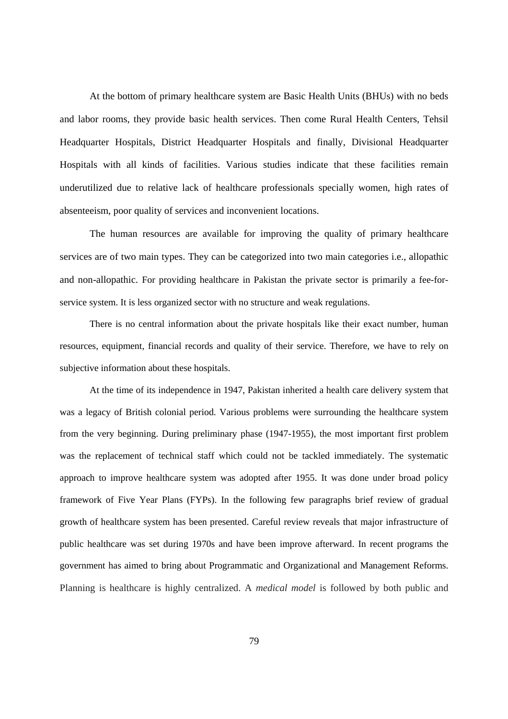At the bottom of primary healthcare system are Basic Health Units (BHUs) with no beds and labor rooms, they provide basic health services. Then come Rural Health Centers, Tehsil Headquarter Hospitals, District Headquarter Hospitals and finally, Divisional Headquarter Hospitals with all kinds of facilities. Various studies indicate that these facilities remain underutilized due to relative lack of healthcare professionals specially women, high rates of absenteeism, poor quality of services and inconvenient locations.

The human resources are available for improving the quality of primary healthcare services are of two main types. They can be categorized into two main categories i.e., allopathic and non-allopathic. For providing healthcare in Pakistan the private sector is primarily a fee-forservice system. It is less organized sector with no structure and weak regulations.

There is no central information about the private hospitals like their exact number, human resources, equipment, financial records and quality of their service. Therefore, we have to rely on subjective information about these hospitals.

At the time of its independence in 1947, Pakistan inherited a health care delivery system that was a legacy of British colonial period. Various problems were surrounding the healthcare system from the very beginning. During preliminary phase (1947-1955), the most important first problem was the replacement of technical staff which could not be tackled immediately. The systematic approach to improve healthcare system was adopted after 1955. It was done under broad policy framework of Five Year Plans (FYPs). In the following few paragraphs brief review of gradual growth of healthcare system has been presented. Careful review reveals that major infrastructure of public healthcare was set during 1970s and have been improve afterward. In recent programs the government has aimed to bring about Programmatic and Organizational and Management Reforms. Planning is healthcare is highly centralized. A *medical model* is followed by both public and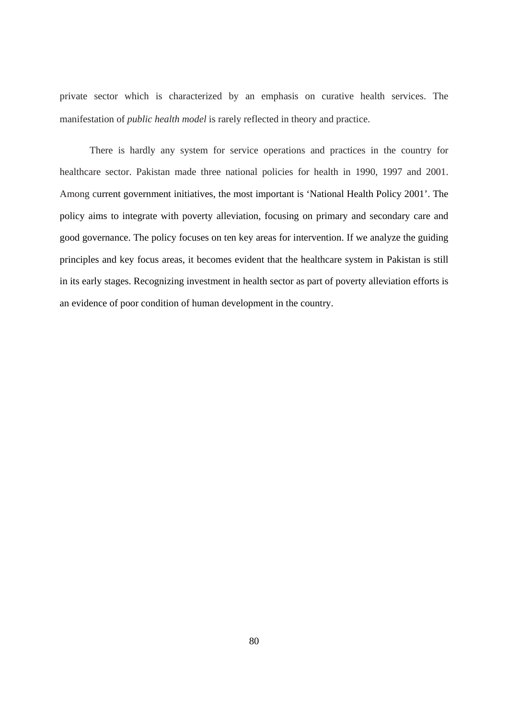private sector which is characterized by an emphasis on curative health services. The manifestation of *public health model* is rarely reflected in theory and practice.

 There is hardly any system for service operations and practices in the country for healthcare sector. Pakistan made three national policies for health in 1990, 1997 and 2001. Among current government initiatives, the most important is 'National Health Policy 2001'. The policy aims to integrate with poverty alleviation, focusing on primary and secondary care and good governance. The policy focuses on ten key areas for intervention. If we analyze the guiding principles and key focus areas, it becomes evident that the healthcare system in Pakistan is still in its early stages. Recognizing investment in health sector as part of poverty alleviation efforts is an evidence of poor condition of human development in the country.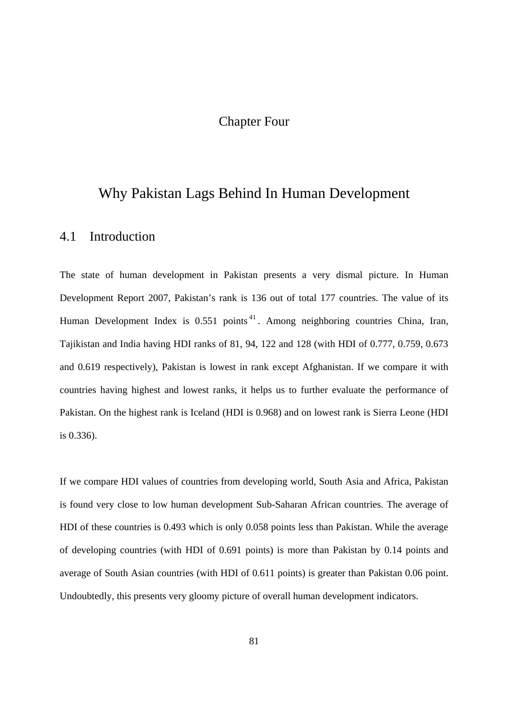# Chapter Four

# Why Pakistan Lags Behind In Human Development

### 4.1 Introduction

The state of human development in Pakistan presents a very dismal picture. In Human Development Report 2007, Pakistan's rank is 136 out of total 177 countries. The value of its Human Development Index is 0.551 points<sup>41</sup>. Among neighboring countries China, Iran, Tajikistan and India having HDI ranks of 81, 94, 122 and 128 (with HDI of 0.777, 0.759, 0.673 and 0.619 respectively), Pakistan is lowest in rank except Afghanistan. If we compare it with countries having highest and lowest ranks, it helps us to further evaluate the performance of Pakistan. On the highest rank is Iceland (HDI is 0.968) and on lowest rank is Sierra Leone (HDI is 0.336).

If we compare HDI values of countries from developing world, South Asia and Africa, Pakistan is found very close to low human development Sub-Saharan African countries. The average of HDI of these countries is 0.493 which is only 0.058 points less than Pakistan. While the average of developing countries (with HDI of 0.691 points) is more than Pakistan by 0.14 points and average of South Asian countries (with HDI of 0.611 points) is greater than Pakistan 0.06 point. Undoubtedly, this presents very gloomy picture of overall human development indicators.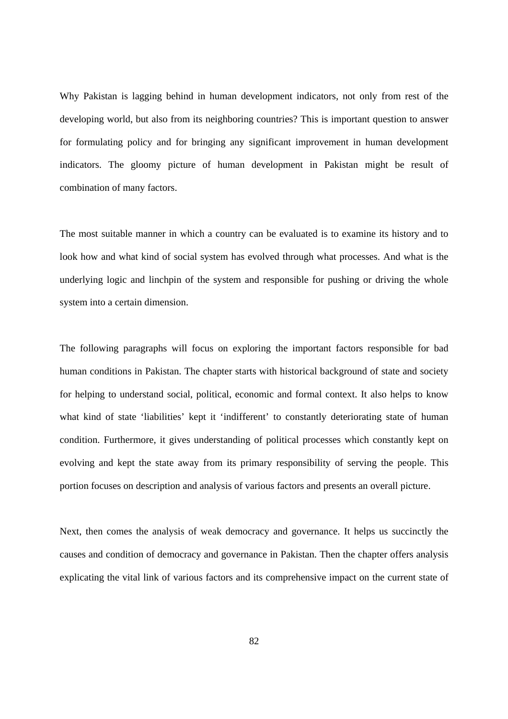Why Pakistan is lagging behind in human development indicators, not only from rest of the developing world, but also from its neighboring countries? This is important question to answer for formulating policy and for bringing any significant improvement in human development indicators. The gloomy picture of human development in Pakistan might be result of combination of many factors.

The most suitable manner in which a country can be evaluated is to examine its history and to look how and what kind of social system has evolved through what processes. And what is the underlying logic and linchpin of the system and responsible for pushing or driving the whole system into a certain dimension.

The following paragraphs will focus on exploring the important factors responsible for bad human conditions in Pakistan. The chapter starts with historical background of state and society for helping to understand social, political, economic and formal context. It also helps to know what kind of state 'liabilities' kept it 'indifferent' to constantly deteriorating state of human condition. Furthermore, it gives understanding of political processes which constantly kept on evolving and kept the state away from its primary responsibility of serving the people. This portion focuses on description and analysis of various factors and presents an overall picture.

Next, then comes the analysis of weak democracy and governance. It helps us succinctly the causes and condition of democracy and governance in Pakistan. Then the chapter offers analysis explicating the vital link of various factors and its comprehensive impact on the current state of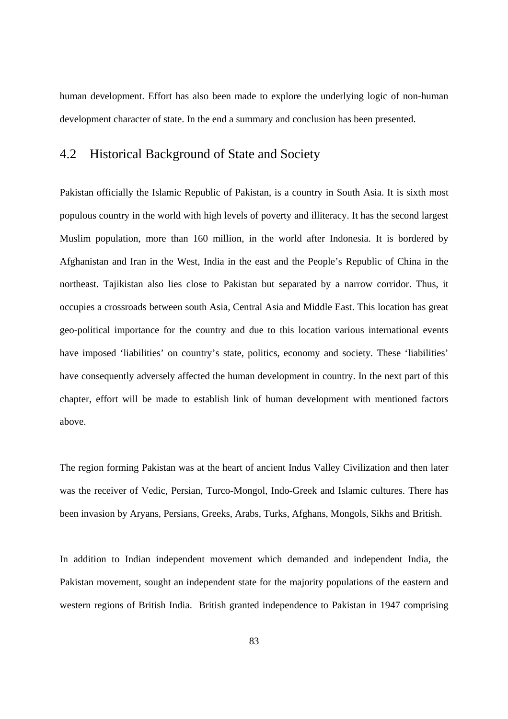human development. Effort has also been made to explore the underlying logic of non-human development character of state. In the end a summary and conclusion has been presented.

### 4.2 Historical Background of State and Society

Pakistan officially the Islamic Republic of Pakistan, is a country in South Asia. It is sixth most populous country in the world with high levels of poverty and illiteracy. It has the second largest Muslim population, more than 160 million, in the world after Indonesia. It is bordered by Afghanistan and Iran in the West, India in the east and the People's Republic of China in the northeast. Tajikistan also lies close to Pakistan but separated by a narrow corridor. Thus, it occupies a crossroads between south Asia, Central Asia and Middle East. This location has great geo-political importance for the country and due to this location various international events have imposed 'liabilities' on country's state, politics, economy and society. These 'liabilities' have consequently adversely affected the human development in country. In the next part of this chapter, effort will be made to establish link of human development with mentioned factors above.

The region forming Pakistan was at the heart of ancient Indus Valley Civilization and then later was the receiver of Vedic, Persian, Turco-Mongol, Indo-Greek and Islamic cultures. There has been invasion by Aryans, Persians, Greeks, Arabs, Turks, Afghans, Mongols, Sikhs and British.

In addition to Indian independent movement which demanded and independent India, the Pakistan movement, sought an independent state for the majority populations of the eastern and western regions of British India. British granted independence to Pakistan in 1947 comprising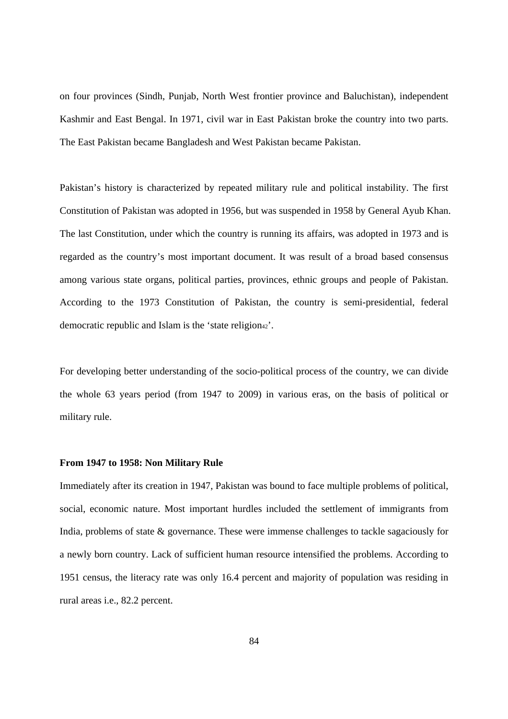on four provinces (Sindh, Punjab, North West frontier province and Baluchistan), independent Kashmir and East Bengal. In 1971, civil war in East Pakistan broke the country into two parts. The East Pakistan became Bangladesh and West Pakistan became Pakistan.

Pakistan's history is characterized by repeated military rule and political instability. The first Constitution of Pakistan was adopted in 1956, but was suspended in 1958 by General Ayub Khan. The last Constitution, under which the country is running its affairs, was adopted in 1973 and is regarded as the country's most important document. It was result of a broad based consensus among various state organs, political parties, provinces, ethnic groups and people of Pakistan. According to the 1973 Constitution of Pakistan, the country is semi-presidential, federal democratic republic and Islam is the 'state religion<sup>42'</sup>.

For developing better understanding of the socio-political process of the country, we can divide the whole 63 years period (from 1947 to 2009) in various eras, on the basis of political or military rule.

#### **From 1947 to 1958: Non Military Rule**

Immediately after its creation in 1947, Pakistan was bound to face multiple problems of political, social, economic nature. Most important hurdles included the settlement of immigrants from India, problems of state & governance. These were immense challenges to tackle sagaciously for a newly born country. Lack of sufficient human resource intensified the problems. According to 1951 census, the literacy rate was only 16.4 percent and majority of population was residing in rural areas i.e., 82.2 percent.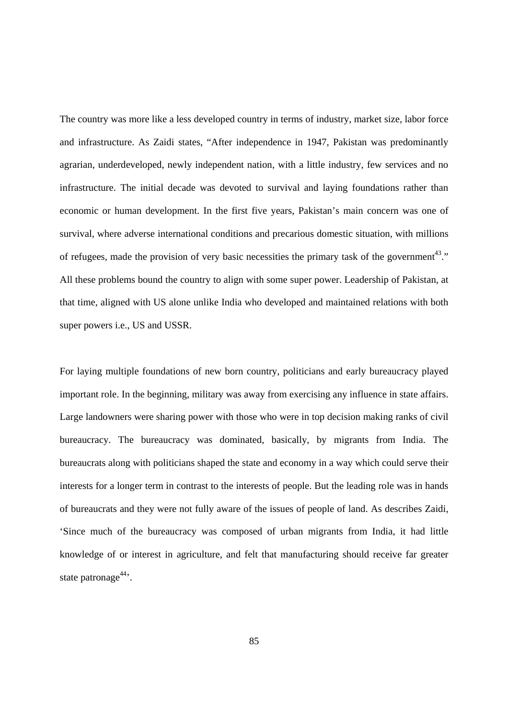The country was more like a less developed country in terms of industry, market size, labor force and infrastructure. As Zaidi states, "After independence in 1947, Pakistan was predominantly agrarian, underdeveloped, newly independent nation, with a little industry, few services and no infrastructure. The initial decade was devoted to survival and laying foundations rather than economic or human development. In the first five years, Pakistan's main concern was one of survival, where adverse international conditions and precarious domestic situation, with millions of refugees, made the provision of very basic necessities the primary task of the government<sup>43</sup>." All these problems bound the country to align with some super power. Leadership of Pakistan, at that time, aligned with US alone unlike India who developed and maintained relations with both super powers i.e., US and USSR.

For laying multiple foundations of new born country, politicians and early bureaucracy played important role. In the beginning, military was away from exercising any influence in state affairs. Large landowners were sharing power with those who were in top decision making ranks of civil bureaucracy. The bureaucracy was dominated, basically, by migrants from India. The bureaucrats along with politicians shaped the state and economy in a way which could serve their interests for a longer term in contrast to the interests of people. But the leading role was in hands of bureaucrats and they were not fully aware of the issues of people of land. As describes Zaidi, 'Since much of the bureaucracy was composed of urban migrants from India, it had little knowledge of or interest in agriculture, and felt that manufacturing should receive far greater state patronage $44$ <sup>.</sup>.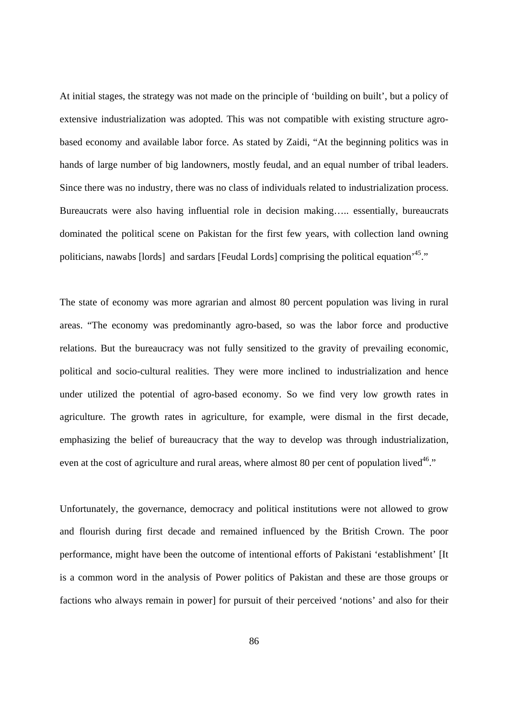At initial stages, the strategy was not made on the principle of 'building on built', but a policy of extensive industrialization was adopted. This was not compatible with existing structure agrobased economy and available labor force. As stated by Zaidi, "At the beginning politics was in hands of large number of big landowners, mostly feudal, and an equal number of tribal leaders. Since there was no industry, there was no class of individuals related to industrialization process. Bureaucrats were also having influential role in decision making….. essentially, bureaucrats dominated the political scene on Pakistan for the first few years, with collection land owning politicians, nawabs [lords] and sardars [Feudal Lords] comprising the political equation<sup>45</sup>."

The state of economy was more agrarian and almost 80 percent population was living in rural areas. "The economy was predominantly agro-based, so was the labor force and productive relations. But the bureaucracy was not fully sensitized to the gravity of prevailing economic, political and socio-cultural realities. They were more inclined to industrialization and hence under utilized the potential of agro-based economy. So we find very low growth rates in agriculture. The growth rates in agriculture, for example, were dismal in the first decade, emphasizing the belief of bureaucracy that the way to develop was through industrialization, even at the cost of agriculture and rural areas, where almost 80 per cent of population lived<sup>46</sup>."

Unfortunately, the governance, democracy and political institutions were not allowed to grow and flourish during first decade and remained influenced by the British Crown. The poor performance, might have been the outcome of intentional efforts of Pakistani 'establishment' [It is a common word in the analysis of Power politics of Pakistan and these are those groups or factions who always remain in power] for pursuit of their perceived 'notions' and also for their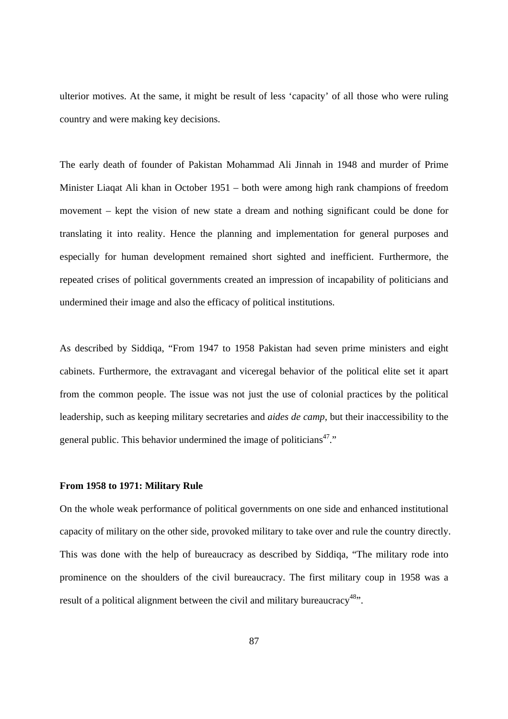ulterior motives. At the same, it might be result of less 'capacity' of all those who were ruling country and were making key decisions.

The early death of founder of Pakistan Mohammad Ali Jinnah in 1948 and murder of Prime Minister Liaqat Ali khan in October 1951 – both were among high rank champions of freedom movement – kept the vision of new state a dream and nothing significant could be done for translating it into reality. Hence the planning and implementation for general purposes and especially for human development remained short sighted and inefficient. Furthermore, the repeated crises of political governments created an impression of incapability of politicians and undermined their image and also the efficacy of political institutions.

As described by Siddiqa, "From 1947 to 1958 Pakistan had seven prime ministers and eight cabinets. Furthermore, the extravagant and viceregal behavior of the political elite set it apart from the common people. The issue was not just the use of colonial practices by the political leadership, such as keeping military secretaries and *aides de camp*, but their inaccessibility to the general public. This behavior undermined the image of politicians<sup>47</sup>."

#### **From 1958 to 1971: Military Rule**

On the whole weak performance of political governments on one side and enhanced institutional capacity of military on the other side, provoked military to take over and rule the country directly. This was done with the help of bureaucracy as described by Siddiqa, "The military rode into prominence on the shoulders of the civil bureaucracy. The first military coup in 1958 was a result of a political alignment between the civil and military bureaucracy<sup>48</sup>.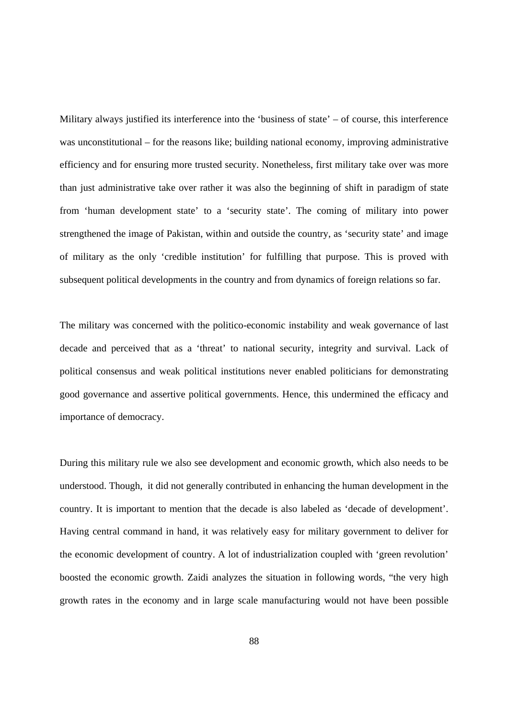Military always justified its interference into the 'business of state' – of course, this interference was unconstitutional – for the reasons like; building national economy, improving administrative efficiency and for ensuring more trusted security. Nonetheless, first military take over was more than just administrative take over rather it was also the beginning of shift in paradigm of state from 'human development state' to a 'security state'. The coming of military into power strengthened the image of Pakistan, within and outside the country, as 'security state' and image of military as the only 'credible institution' for fulfilling that purpose. This is proved with subsequent political developments in the country and from dynamics of foreign relations so far.

The military was concerned with the politico-economic instability and weak governance of last decade and perceived that as a 'threat' to national security, integrity and survival. Lack of political consensus and weak political institutions never enabled politicians for demonstrating good governance and assertive political governments. Hence, this undermined the efficacy and importance of democracy.

During this military rule we also see development and economic growth, which also needs to be understood. Though, it did not generally contributed in enhancing the human development in the country. It is important to mention that the decade is also labeled as 'decade of development'. Having central command in hand, it was relatively easy for military government to deliver for the economic development of country. A lot of industrialization coupled with 'green revolution' boosted the economic growth. Zaidi analyzes the situation in following words, "the very high growth rates in the economy and in large scale manufacturing would not have been possible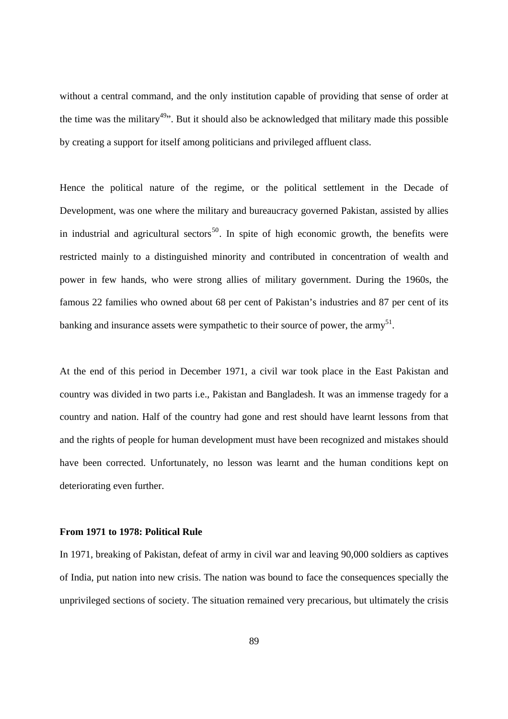without a central command, and the only institution capable of providing that sense of order at the time was the military<sup>49</sup>. But it should also be acknowledged that military made this possible by creating a support for itself among politicians and privileged affluent class.

Hence the political nature of the regime, or the political settlement in the Decade of Development, was one where the military and bureaucracy governed Pakistan, assisted by allies in industrial and agricultural sectors<sup>50</sup>. In spite of high economic growth, the benefits were restricted mainly to a distinguished minority and contributed in concentration of wealth and power in few hands, who were strong allies of military government. During the 1960s, the famous 22 families who owned about 68 per cent of Pakistan's industries and 87 per cent of its banking and insurance assets were sympathetic to their source of power, the army $^{51}$ .

At the end of this period in December 1971, a civil war took place in the East Pakistan and country was divided in two parts i.e., Pakistan and Bangladesh. It was an immense tragedy for a country and nation. Half of the country had gone and rest should have learnt lessons from that and the rights of people for human development must have been recognized and mistakes should have been corrected. Unfortunately, no lesson was learnt and the human conditions kept on deteriorating even further.

#### **From 1971 to 1978: Political Rule**

In 1971, breaking of Pakistan, defeat of army in civil war and leaving 90,000 soldiers as captives of India, put nation into new crisis. The nation was bound to face the consequences specially the unprivileged sections of society. The situation remained very precarious, but ultimately the crisis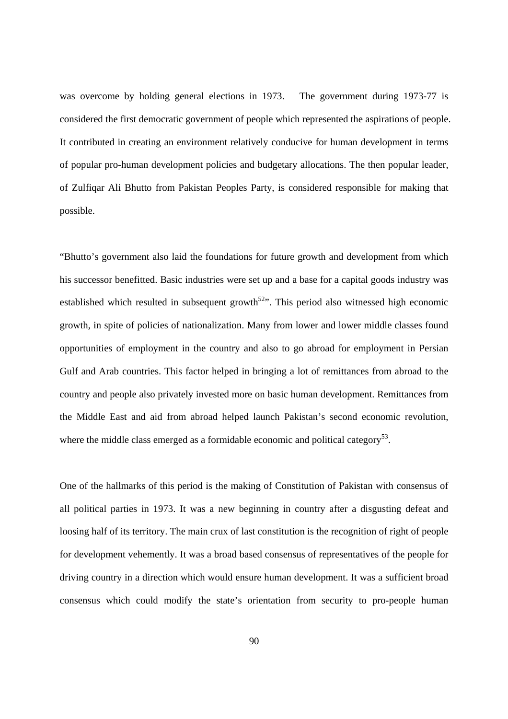was overcome by holding general elections in 1973. The government during 1973-77 is considered the first democratic government of people which represented the aspirations of people. It contributed in creating an environment relatively conducive for human development in terms of popular pro-human development policies and budgetary allocations. The then popular leader, of Zulfiqar Ali Bhutto from Pakistan Peoples Party, is considered responsible for making that possible.

"Bhutto's government also laid the foundations for future growth and development from which his successor benefitted. Basic industries were set up and a base for a capital goods industry was established which resulted in subsequent growth<sup>52</sup>. This period also witnessed high economic growth, in spite of policies of nationalization. Many from lower and lower middle classes found opportunities of employment in the country and also to go abroad for employment in Persian Gulf and Arab countries. This factor helped in bringing a lot of remittances from abroad to the country and people also privately invested more on basic human development. Remittances from the Middle East and aid from abroad helped launch Pakistan's second economic revolution, where the middle class emerged as a formidable economic and political category<sup>53</sup>.

One of the hallmarks of this period is the making of Constitution of Pakistan with consensus of all political parties in 1973. It was a new beginning in country after a disgusting defeat and loosing half of its territory. The main crux of last constitution is the recognition of right of people for development vehemently. It was a broad based consensus of representatives of the people for driving country in a direction which would ensure human development. It was a sufficient broad consensus which could modify the state's orientation from security to pro-people human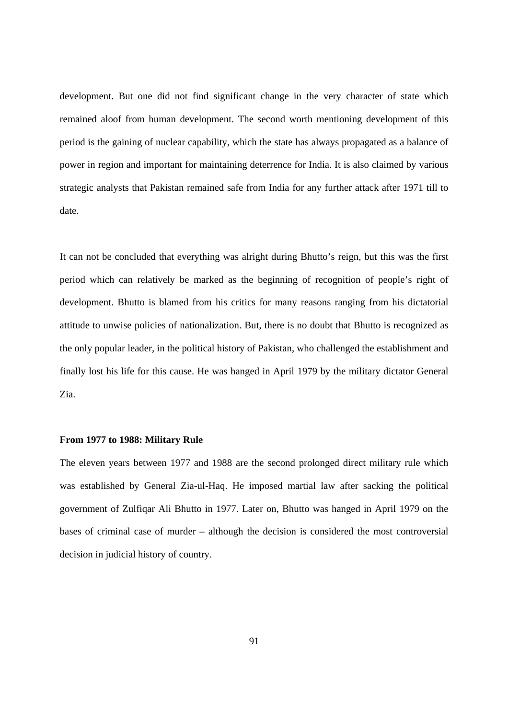development. But one did not find significant change in the very character of state which remained aloof from human development. The second worth mentioning development of this period is the gaining of nuclear capability, which the state has always propagated as a balance of power in region and important for maintaining deterrence for India. It is also claimed by various strategic analysts that Pakistan remained safe from India for any further attack after 1971 till to date.

It can not be concluded that everything was alright during Bhutto's reign, but this was the first period which can relatively be marked as the beginning of recognition of people's right of development. Bhutto is blamed from his critics for many reasons ranging from his dictatorial attitude to unwise policies of nationalization. But, there is no doubt that Bhutto is recognized as the only popular leader, in the political history of Pakistan, who challenged the establishment and finally lost his life for this cause. He was hanged in April 1979 by the military dictator General Zia.

#### **From 1977 to 1988: Military Rule**

The eleven years between 1977 and 1988 are the second prolonged direct military rule which was established by General Zia-ul-Haq. He imposed martial law after sacking the political government of Zulfiqar Ali Bhutto in 1977. Later on, Bhutto was hanged in April 1979 on the bases of criminal case of murder – although the decision is considered the most controversial decision in judicial history of country.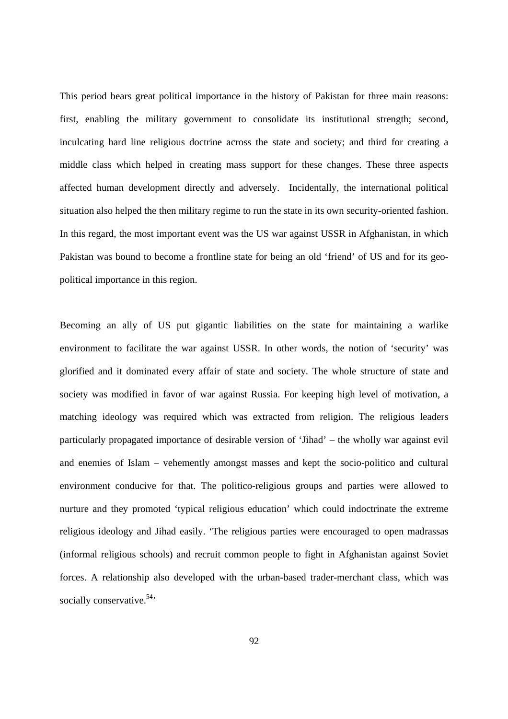This period bears great political importance in the history of Pakistan for three main reasons: first, enabling the military government to consolidate its institutional strength; second, inculcating hard line religious doctrine across the state and society; and third for creating a middle class which helped in creating mass support for these changes. These three aspects affected human development directly and adversely. Incidentally, the international political situation also helped the then military regime to run the state in its own security-oriented fashion. In this regard, the most important event was the US war against USSR in Afghanistan, in which Pakistan was bound to become a frontline state for being an old 'friend' of US and for its geopolitical importance in this region.

Becoming an ally of US put gigantic liabilities on the state for maintaining a warlike environment to facilitate the war against USSR. In other words, the notion of 'security' was glorified and it dominated every affair of state and society. The whole structure of state and society was modified in favor of war against Russia. For keeping high level of motivation, a matching ideology was required which was extracted from religion. The religious leaders particularly propagated importance of desirable version of 'Jihad' – the wholly war against evil and enemies of Islam – vehemently amongst masses and kept the socio-politico and cultural environment conducive for that. The politico-religious groups and parties were allowed to nurture and they promoted 'typical religious education' which could indoctrinate the extreme religious ideology and Jihad easily. 'The religious parties were encouraged to open madrassas (informal religious schools) and recruit common people to fight in Afghanistan against Soviet forces. A relationship also developed with the urban-based trader-merchant class, which was socially conservative.  $54$ ,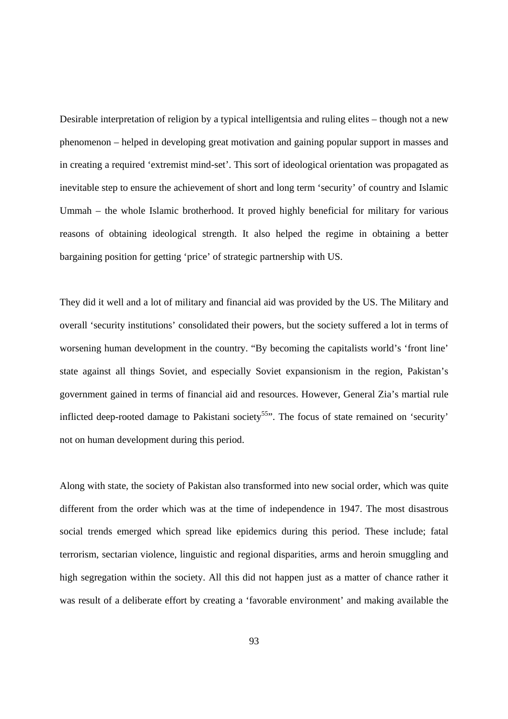Desirable interpretation of religion by a typical intelligentsia and ruling elites – though not a new phenomenon – helped in developing great motivation and gaining popular support in masses and in creating a required 'extremist mind-set'. This sort of ideological orientation was propagated as inevitable step to ensure the achievement of short and long term 'security' of country and Islamic Ummah – the whole Islamic brotherhood. It proved highly beneficial for military for various reasons of obtaining ideological strength. It also helped the regime in obtaining a better bargaining position for getting 'price' of strategic partnership with US.

They did it well and a lot of military and financial aid was provided by the US. The Military and overall 'security institutions' consolidated their powers, but the society suffered a lot in terms of worsening human development in the country. "By becoming the capitalists world's 'front line' state against all things Soviet, and especially Soviet expansionism in the region, Pakistan's government gained in terms of financial aid and resources. However, General Zia's martial rule inflicted deep-rooted damage to Pakistani society<sup>55</sup>". The focus of state remained on 'security' not on human development during this period.

Along with state, the society of Pakistan also transformed into new social order, which was quite different from the order which was at the time of independence in 1947. The most disastrous social trends emerged which spread like epidemics during this period. These include; fatal terrorism, sectarian violence, linguistic and regional disparities, arms and heroin smuggling and high segregation within the society. All this did not happen just as a matter of chance rather it was result of a deliberate effort by creating a 'favorable environment' and making available the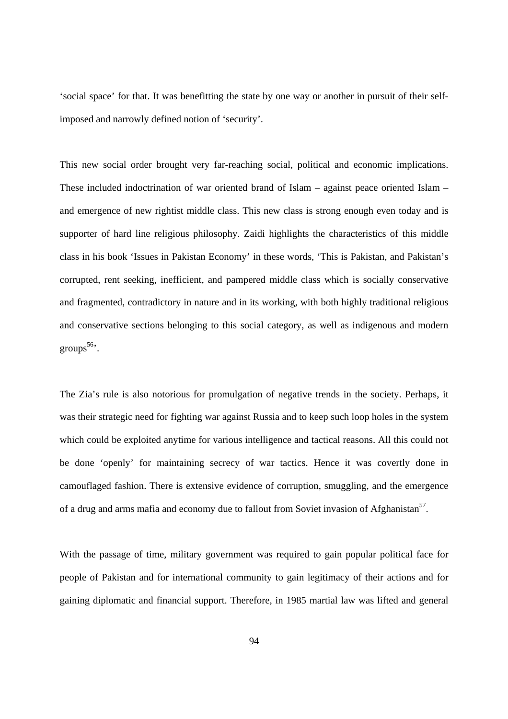'social space' for that. It was benefitting the state by one way or another in pursuit of their selfimposed and narrowly defined notion of 'security'.

This new social order brought very far-reaching social, political and economic implications. These included indoctrination of war oriented brand of Islam – against peace oriented Islam – and emergence of new rightist middle class. This new class is strong enough even today and is supporter of hard line religious philosophy. Zaidi highlights the characteristics of this middle class in his book 'Issues in Pakistan Economy' in these words, 'This is Pakistan, and Pakistan's corrupted, rent seeking, inefficient, and pampered middle class which is socially conservative and fragmented, contradictory in nature and in its working, with both highly traditional religious and conservative sections belonging to this social category, as well as indigenous and modern groups $56$ <sup>6</sup>.

The Zia's rule is also notorious for promulgation of negative trends in the society. Perhaps, it was their strategic need for fighting war against Russia and to keep such loop holes in the system which could be exploited anytime for various intelligence and tactical reasons. All this could not be done 'openly' for maintaining secrecy of war tactics. Hence it was covertly done in camouflaged fashion. There is extensive evidence of corruption, smuggling, and the emergence of a drug and arms mafia and economy due to fallout from Soviet invasion of Afghanistan<sup>57</sup>.

With the passage of time, military government was required to gain popular political face for people of Pakistan and for international community to gain legitimacy of their actions and for gaining diplomatic and financial support. Therefore, in 1985 martial law was lifted and general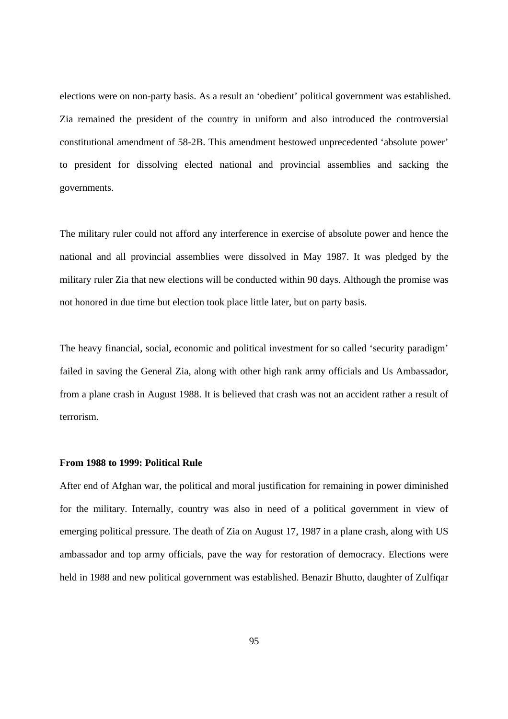elections were on non-party basis. As a result an 'obedient' political government was established. Zia remained the president of the country in uniform and also introduced the controversial constitutional amendment of 58-2B. This amendment bestowed unprecedented 'absolute power' to president for dissolving elected national and provincial assemblies and sacking the governments.

The military ruler could not afford any interference in exercise of absolute power and hence the national and all provincial assemblies were dissolved in May 1987. It was pledged by the military ruler Zia that new elections will be conducted within 90 days. Although the promise was not honored in due time but election took place little later, but on party basis.

The heavy financial, social, economic and political investment for so called 'security paradigm' failed in saving the General Zia, along with other high rank army officials and Us Ambassador, from a plane crash in August 1988. It is believed that crash was not an accident rather a result of terrorism.

#### **From 1988 to 1999: Political Rule**

After end of Afghan war, the political and moral justification for remaining in power diminished for the military. Internally, country was also in need of a political government in view of emerging political pressure. The death of Zia on August 17, 1987 in a plane crash, along with US ambassador and top army officials, pave the way for restoration of democracy. Elections were held in 1988 and new political government was established. Benazir Bhutto, daughter of Zulfiqar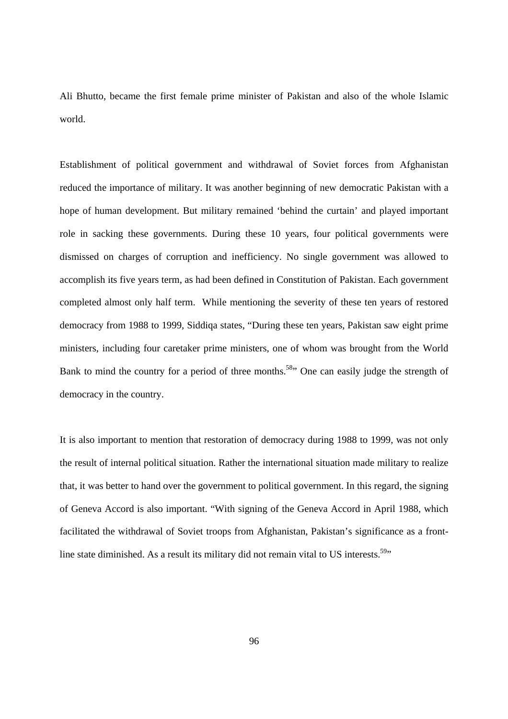Ali Bhutto, became the first female prime minister of Pakistan and also of the whole Islamic world.

Establishment of political government and withdrawal of Soviet forces from Afghanistan reduced the importance of military. It was another beginning of new democratic Pakistan with a hope of human development. But military remained 'behind the curtain' and played important role in sacking these governments. During these 10 years, four political governments were dismissed on charges of corruption and inefficiency. No single government was allowed to accomplish its five years term, as had been defined in Constitution of Pakistan. Each government completed almost only half term. While mentioning the severity of these ten years of restored democracy from 1988 to 1999, Siddiqa states, "During these ten years, Pakistan saw eight prime ministers, including four caretaker prime ministers, one of whom was brought from the World Bank to mind the country for a period of three months.<sup>58</sup> One can easily judge the strength of democracy in the country.

It is also important to mention that restoration of democracy during 1988 to 1999, was not only the result of internal political situation. Rather the international situation made military to realize that, it was better to hand over the government to political government. In this regard, the signing of Geneva Accord is also important. "With signing of the Geneva Accord in April 1988, which facilitated the withdrawal of Soviet troops from Afghanistan, Pakistan's significance as a frontline state diminished. As a result its military did not remain vital to US interests.<sup>59</sup>"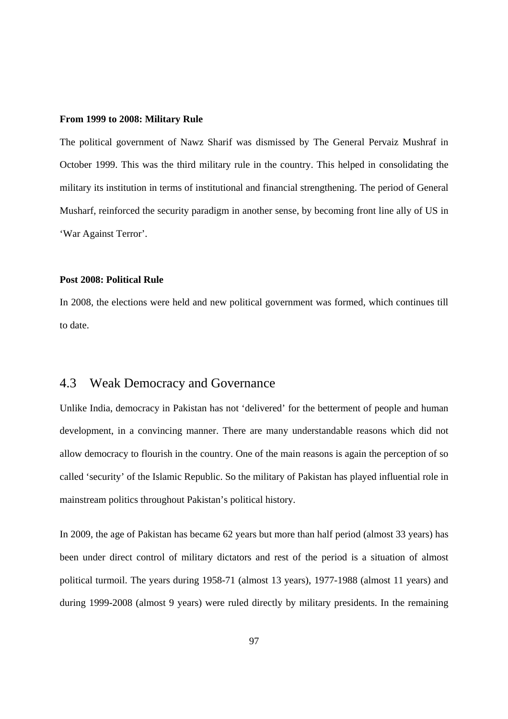### **From 1999 to 2008: Military Rule**

The political government of Nawz Sharif was dismissed by The General Pervaiz Mushraf in October 1999. This was the third military rule in the country. This helped in consolidating the military its institution in terms of institutional and financial strengthening. The period of General Musharf, reinforced the security paradigm in another sense, by becoming front line ally of US in 'War Against Terror'.

### **Post 2008: Political Rule**

In 2008, the elections were held and new political government was formed, which continues till to date.

# 4.3 Weak Democracy and Governance

Unlike India, democracy in Pakistan has not 'delivered' for the betterment of people and human development, in a convincing manner. There are many understandable reasons which did not allow democracy to flourish in the country. One of the main reasons is again the perception of so called 'security' of the Islamic Republic. So the military of Pakistan has played influential role in mainstream politics throughout Pakistan's political history.

In 2009, the age of Pakistan has became 62 years but more than half period (almost 33 years) has been under direct control of military dictators and rest of the period is a situation of almost political turmoil. The years during 1958-71 (almost 13 years), 1977-1988 (almost 11 years) and during 1999-2008 (almost 9 years) were ruled directly by military presidents. In the remaining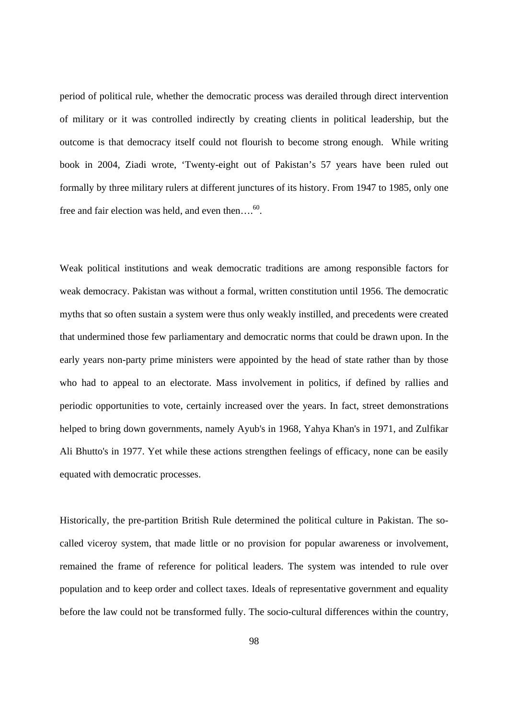period of political rule, whether the democratic process was derailed through direct intervention of military or it was controlled indirectly by creating clients in political leadership, but the outcome is that democracy itself could not flourish to become strong enough. While writing book in 2004, Ziadi wrote, 'Twenty-eight out of Pakistan's 57 years have been ruled out formally by three military rulers at different junctures of its history. From 1947 to 1985, only one free and fair election was held, and even then.... $60$ .

Weak political institutions and weak democratic traditions are among responsible factors for weak democracy. Pakistan was without a formal, written constitution until 1956. The democratic myths that so often sustain a system were thus only weakly instilled, and precedents were created that undermined those few parliamentary and democratic norms that could be drawn upon. In the early years non-party prime ministers were appointed by the head of state rather than by those who had to appeal to an electorate. Mass involvement in politics, if defined by rallies and periodic opportunities to vote, certainly increased over the years. In fact, street demonstrations helped to bring down governments, namely Ayub's in 1968, Yahya Khan's in 1971, and Zulfikar Ali Bhutto's in 1977. Yet while these actions strengthen feelings of efficacy, none can be easily equated with democratic processes.

Historically, the pre-partition British Rule determined the political culture in Pakistan. The socalled viceroy system, that made little or no provision for popular awareness or involvement, remained the frame of reference for political leaders. The system was intended to rule over population and to keep order and collect taxes. Ideals of representative government and equality before the law could not be transformed fully. The socio-cultural differences within the country,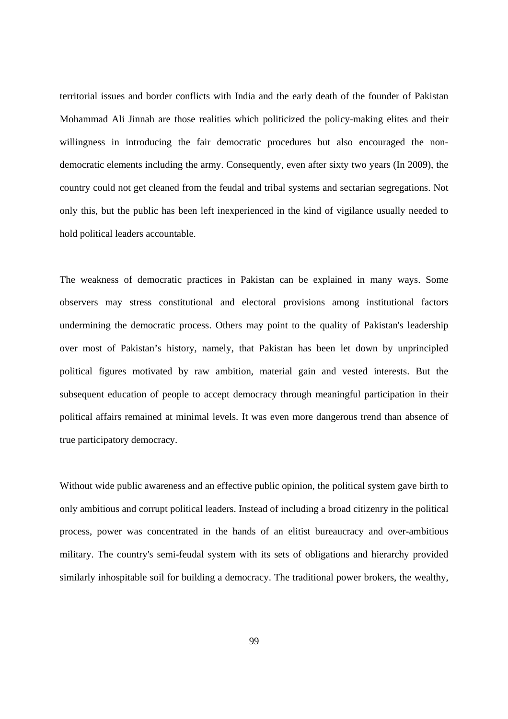territorial issues and border conflicts with India and the early death of the founder of Pakistan Mohammad Ali Jinnah are those realities which politicized the policy-making elites and their willingness in introducing the fair democratic procedures but also encouraged the nondemocratic elements including the army. Consequently, even after sixty two years (In 2009), the country could not get cleaned from the feudal and tribal systems and sectarian segregations. Not only this, but the public has been left inexperienced in the kind of vigilance usually needed to hold political leaders accountable.

The weakness of democratic practices in Pakistan can be explained in many ways. Some observers may stress constitutional and electoral provisions among institutional factors undermining the democratic process. Others may point to the quality of Pakistan's leadership over most of Pakistan's history, namely, that Pakistan has been let down by unprincipled political figures motivated by raw ambition, material gain and vested interests. But the subsequent education of people to accept democracy through meaningful participation in their political affairs remained at minimal levels. It was even more dangerous trend than absence of true participatory democracy.

Without wide public awareness and an effective public opinion, the political system gave birth to only ambitious and corrupt political leaders. Instead of including a broad citizenry in the political process, power was concentrated in the hands of an elitist bureaucracy and over-ambitious military. The country's semi-feudal system with its sets of obligations and hierarchy provided similarly inhospitable soil for building a democracy. The traditional power brokers, the wealthy,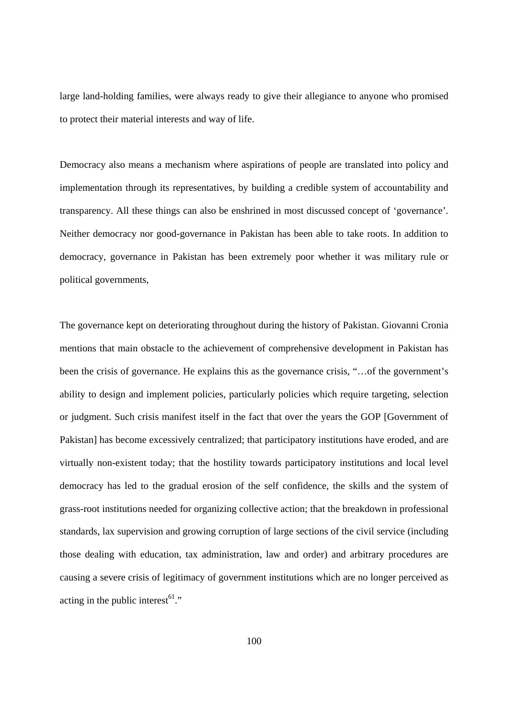large land-holding families, were always ready to give their allegiance to anyone who promised to protect their material interests and way of life.

Democracy also means a mechanism where aspirations of people are translated into policy and implementation through its representatives, by building a credible system of accountability and transparency. All these things can also be enshrined in most discussed concept of 'governance'. Neither democracy nor good-governance in Pakistan has been able to take roots. In addition to democracy, governance in Pakistan has been extremely poor whether it was military rule or political governments,

The governance kept on deteriorating throughout during the history of Pakistan. Giovanni Cronia mentions that main obstacle to the achievement of comprehensive development in Pakistan has been the crisis of governance. He explains this as the governance crisis, "…of the government's ability to design and implement policies, particularly policies which require targeting, selection or judgment. Such crisis manifest itself in the fact that over the years the GOP [Government of Pakistan] has become excessively centralized; that participatory institutions have eroded, and are virtually non-existent today; that the hostility towards participatory institutions and local level democracy has led to the gradual erosion of the self confidence, the skills and the system of grass-root institutions needed for organizing collective action; that the breakdown in professional standards, lax supervision and growing corruption of large sections of the civil service (including those dealing with education, tax administration, law and order) and arbitrary procedures are causing a severe crisis of legitimacy of government institutions which are no longer perceived as acting in the public interest $61$ ."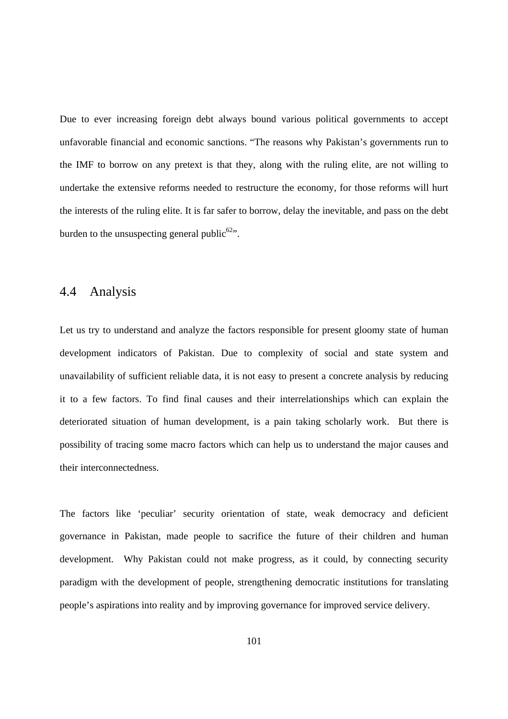Due to ever increasing foreign debt always bound various political governments to accept unfavorable financial and economic sanctions. "The reasons why Pakistan's governments run to the IMF to borrow on any pretext is that they, along with the ruling elite, are not willing to undertake the extensive reforms needed to restructure the economy, for those reforms will hurt the interests of the ruling elite. It is far safer to borrow, delay the inevitable, and pass on the debt burden to the unsuspecting general public<sup>62</sup>".

## 4.4 Analysis

Let us try to understand and analyze the factors responsible for present gloomy state of human development indicators of Pakistan. Due to complexity of social and state system and unavailability of sufficient reliable data, it is not easy to present a concrete analysis by reducing it to a few factors. To find final causes and their interrelationships which can explain the deteriorated situation of human development, is a pain taking scholarly work. But there is possibility of tracing some macro factors which can help us to understand the major causes and their interconnectedness.

The factors like 'peculiar' security orientation of state, weak democracy and deficient governance in Pakistan, made people to sacrifice the future of their children and human development. Why Pakistan could not make progress, as it could, by connecting security paradigm with the development of people, strengthening democratic institutions for translating people's aspirations into reality and by improving governance for improved service delivery.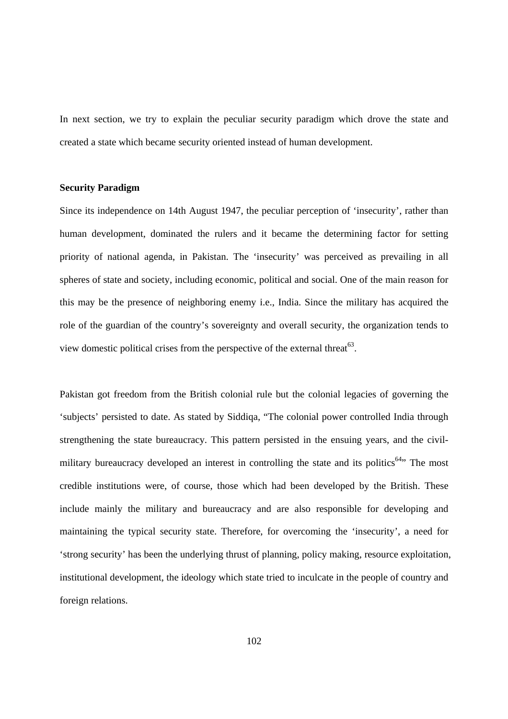In next section, we try to explain the peculiar security paradigm which drove the state and created a state which became security oriented instead of human development.

#### **Security Paradigm**

Since its independence on 14th August 1947, the peculiar perception of 'insecurity', rather than human development, dominated the rulers and it became the determining factor for setting priority of national agenda, in Pakistan. The 'insecurity' was perceived as prevailing in all spheres of state and society, including economic, political and social. One of the main reason for this may be the presence of neighboring enemy i.e., India. Since the military has acquired the role of the guardian of the country's sovereignty and overall security, the organization tends to view domestic political crises from the perspective of the external threat<sup>63</sup>.

Pakistan got freedom from the British colonial rule but the colonial legacies of governing the 'subjects' persisted to date. As stated by Siddiqa, "The colonial power controlled India through strengthening the state bureaucracy. This pattern persisted in the ensuing years, and the civilmilitary bureaucracy developed an interest in controlling the state and its politics<sup>64</sup>. The most credible institutions were, of course, those which had been developed by the British. These include mainly the military and bureaucracy and are also responsible for developing and maintaining the typical security state. Therefore, for overcoming the 'insecurity', a need for 'strong security' has been the underlying thrust of planning, policy making, resource exploitation, institutional development, the ideology which state tried to inculcate in the people of country and foreign relations.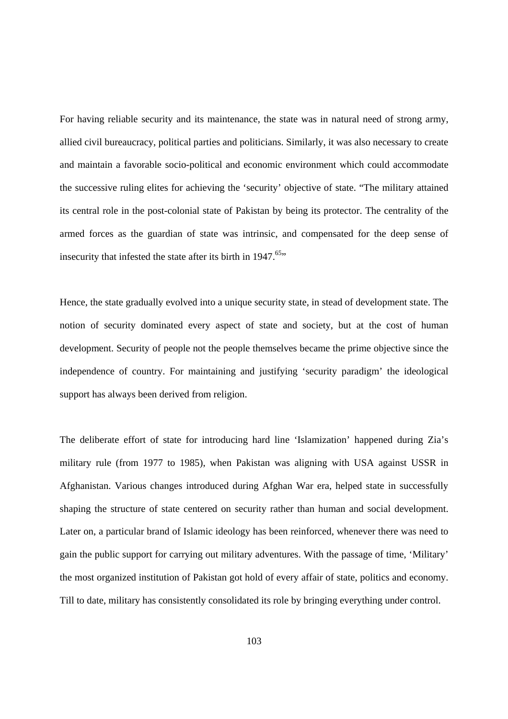For having reliable security and its maintenance, the state was in natural need of strong army, allied civil bureaucracy, political parties and politicians. Similarly, it was also necessary to create and maintain a favorable socio-political and economic environment which could accommodate the successive ruling elites for achieving the 'security' objective of state. "The military attained its central role in the post-colonial state of Pakistan by being its protector. The centrality of the armed forces as the guardian of state was intrinsic, and compensated for the deep sense of insecurity that infested the state after its birth in  $1947$ .<sup>65</sup>"

Hence, the state gradually evolved into a unique security state, in stead of development state. The notion of security dominated every aspect of state and society, but at the cost of human development. Security of people not the people themselves became the prime objective since the independence of country. For maintaining and justifying 'security paradigm' the ideological support has always been derived from religion.

The deliberate effort of state for introducing hard line 'Islamization' happened during Zia's military rule (from 1977 to 1985), when Pakistan was aligning with USA against USSR in Afghanistan. Various changes introduced during Afghan War era, helped state in successfully shaping the structure of state centered on security rather than human and social development. Later on, a particular brand of Islamic ideology has been reinforced, whenever there was need to gain the public support for carrying out military adventures. With the passage of time, 'Military' the most organized institution of Pakistan got hold of every affair of state, politics and economy. Till to date, military has consistently consolidated its role by bringing everything under control.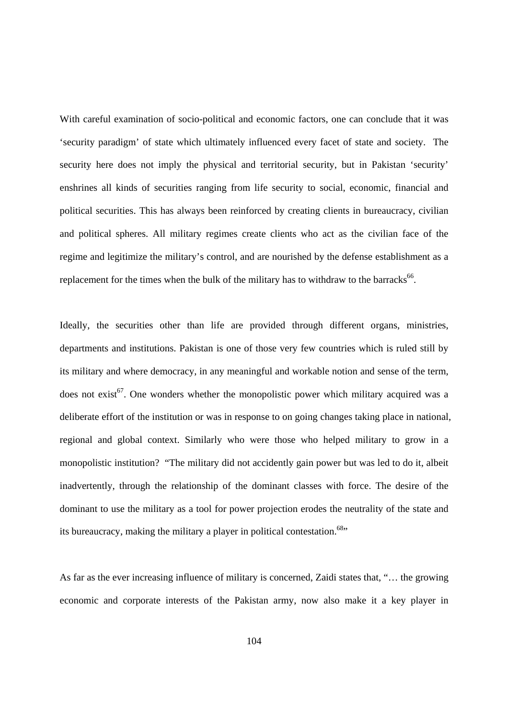With careful examination of socio-political and economic factors, one can conclude that it was 'security paradigm' of state which ultimately influenced every facet of state and society. The security here does not imply the physical and territorial security, but in Pakistan 'security' enshrines all kinds of securities ranging from life security to social, economic, financial and political securities. This has always been reinforced by creating clients in bureaucracy, civilian and political spheres. All military regimes create clients who act as the civilian face of the regime and legitimize the military's control, and are nourished by the defense establishment as a replacement for the times when the bulk of the military has to withdraw to the barracks<sup>66</sup>.

Ideally, the securities other than life are provided through different organs, ministries, departments and institutions. Pakistan is one of those very few countries which is ruled still by its military and where democracy, in any meaningful and workable notion and sense of the term, does not exist<sup>67</sup>. One wonders whether the monopolistic power which military acquired was a deliberate effort of the institution or was in response to on going changes taking place in national, regional and global context. Similarly who were those who helped military to grow in a monopolistic institution? "The military did not accidently gain power but was led to do it, albeit inadvertently, through the relationship of the dominant classes with force. The desire of the dominant to use the military as a tool for power projection erodes the neutrality of the state and its bureaucracy, making the military a player in political contestation.<sup>68</sup>"

As far as the ever increasing influence of military is concerned, Zaidi states that, "… the growing economic and corporate interests of the Pakistan army, now also make it a key player in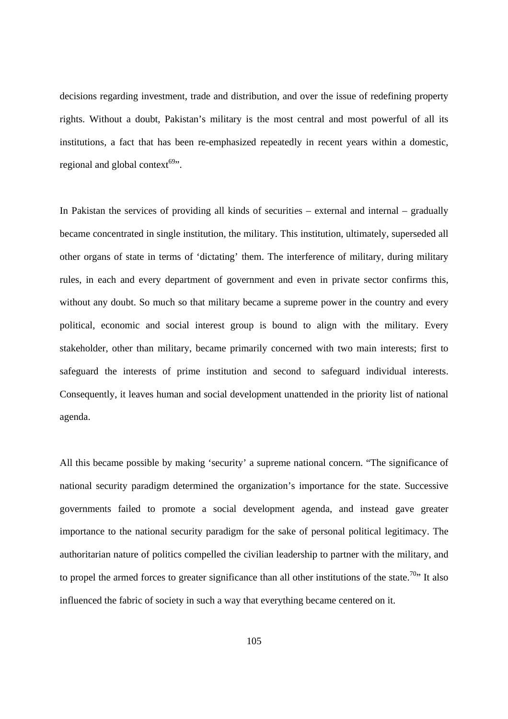decisions regarding investment, trade and distribution, and over the issue of redefining property rights. Without a doubt, Pakistan's military is the most central and most powerful of all its institutions, a fact that has been re-emphasized repeatedly in recent years within a domestic, regional and global context $69$ .

In Pakistan the services of providing all kinds of securities – external and internal – gradually became concentrated in single institution, the military. This institution, ultimately, superseded all other organs of state in terms of 'dictating' them. The interference of military, during military rules, in each and every department of government and even in private sector confirms this, without any doubt. So much so that military became a supreme power in the country and every political, economic and social interest group is bound to align with the military. Every stakeholder, other than military, became primarily concerned with two main interests; first to safeguard the interests of prime institution and second to safeguard individual interests. Consequently, it leaves human and social development unattended in the priority list of national agenda.

All this became possible by making 'security' a supreme national concern. "The significance of national security paradigm determined the organization's importance for the state. Successive governments failed to promote a social development agenda, and instead gave greater importance to the national security paradigm for the sake of personal political legitimacy. The authoritarian nature of politics compelled the civilian leadership to partner with the military, and to propel the armed forces to greater significance than all other institutions of the state.<sup>70</sup>" It also influenced the fabric of society in such a way that everything became centered on it.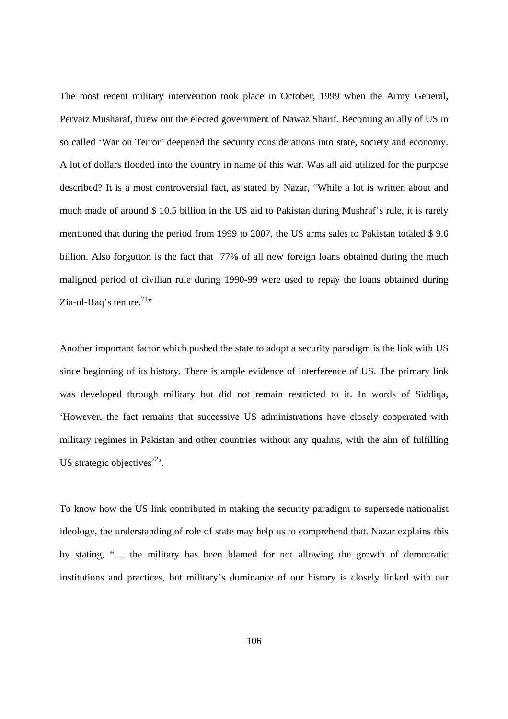The most recent military intervention took place in October, 1999 when the Army General, Pervaiz Musharaf, threw out the elected government of Nawaz Sharif. Becoming an ally of US in so called 'War on Terror' deepened the security considerations into state, society and economy. A lot of dollars flooded into the country in name of this war. Was all aid utilized for the purpose described? It is a most controversial fact, as stated by Nazar, "While a lot is written about and much made of around \$ 10.5 billion in the US aid to Pakistan during Mushraf's rule, it is rarely mentioned that during the period from 1999 to 2007, the US arms sales to Pakistan totaled \$ 9.6 billion. Also forgotton is the fact that 77% of all new foreign loans obtained during the much maligned period of civilian rule during 1990-99 were used to repay the loans obtained during Zia-ul-Haq's tenure.<sup>71</sup>"

Another important factor which pushed the state to adopt a security paradigm is the link with US since beginning of its history. There is ample evidence of interference of US. The primary link was developed through military but did not remain restricted to it. In words of Siddiqa, 'However, the fact remains that successive US administrations have closely cooperated with military regimes in Pakistan and other countries without any qualms, with the aim of fulfilling US strategic objectives<sup>72</sup>.

To know how the US link contributed in making the security paradigm to supersede nationalist ideology, the understanding of role of state may help us to comprehend that. Nazar explains this by stating, "… the military has been blamed for not allowing the growth of democratic institutions and practices, but military's dominance of our history is closely linked with our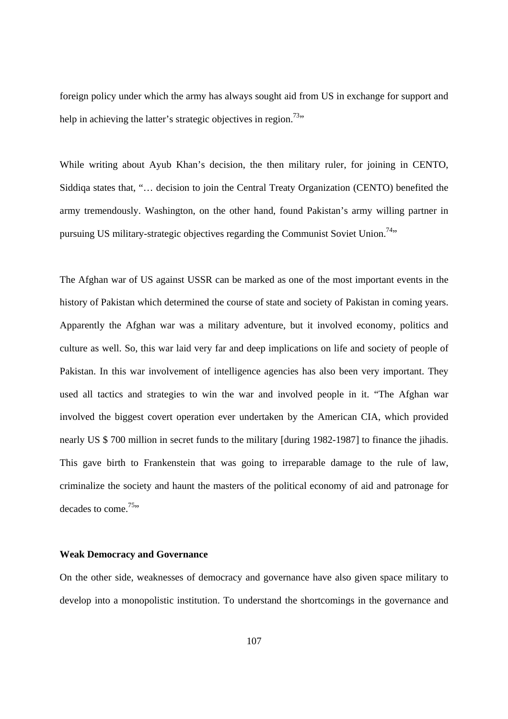foreign policy under which the army has always sought aid from US in exchange for support and help in achieving the latter's strategic objectives in region.<sup>73</sup>"

While writing about Ayub Khan's decision, the then military ruler, for joining in CENTO, Siddiqa states that, "… decision to join the Central Treaty Organization (CENTO) benefited the army tremendously. Washington, on the other hand, found Pakistan's army willing partner in pursuing US military-strategic objectives regarding the Communist Soviet Union.<sup>74</sup>"

The Afghan war of US against USSR can be marked as one of the most important events in the history of Pakistan which determined the course of state and society of Pakistan in coming years. Apparently the Afghan war was a military adventure, but it involved economy, politics and culture as well. So, this war laid very far and deep implications on life and society of people of Pakistan. In this war involvement of intelligence agencies has also been very important. They used all tactics and strategies to win the war and involved people in it. "The Afghan war involved the biggest covert operation ever undertaken by the American CIA, which provided nearly US \$ 700 million in secret funds to the military [during 1982-1987] to finance the jihadis. This gave birth to Frankenstein that was going to irreparable damage to the rule of law, criminalize the society and haunt the masters of the political economy of aid and patronage for decades to come.<sup>75</sup>"

#### **Weak Democracy and Governance**

On the other side, weaknesses of democracy and governance have also given space military to develop into a monopolistic institution. To understand the shortcomings in the governance and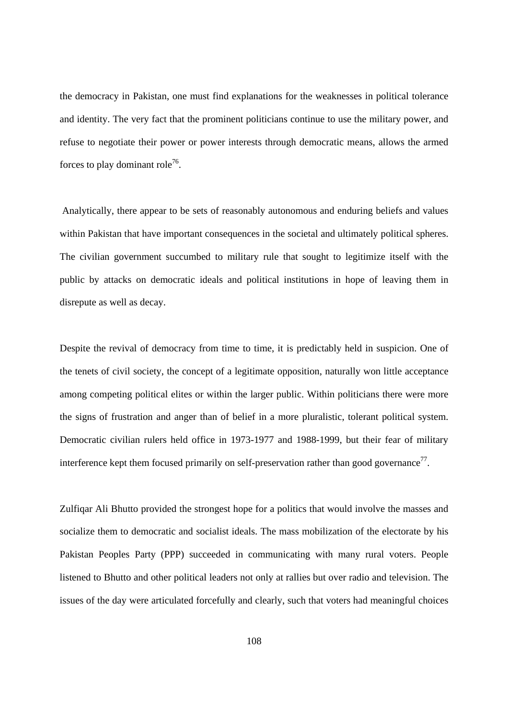the democracy in Pakistan, one must find explanations for the weaknesses in political tolerance and identity. The very fact that the prominent politicians continue to use the military power, and refuse to negotiate their power or power interests through democratic means, allows the armed forces to play dominant role<sup>76</sup>.

 Analytically, there appear to be sets of reasonably autonomous and enduring beliefs and values within Pakistan that have important consequences in the societal and ultimately political spheres. The civilian government succumbed to military rule that sought to legitimize itself with the public by attacks on democratic ideals and political institutions in hope of leaving them in disrepute as well as decay.

Despite the revival of democracy from time to time, it is predictably held in suspicion. One of the tenets of civil society, the concept of a legitimate opposition, naturally won little acceptance among competing political elites or within the larger public. Within politicians there were more the signs of frustration and anger than of belief in a more pluralistic, tolerant political system. Democratic civilian rulers held office in 1973-1977 and 1988-1999, but their fear of military interference kept them focused primarily on self-preservation rather than good governance<sup>77</sup>.

Zulfiqar Ali Bhutto provided the strongest hope for a politics that would involve the masses and socialize them to democratic and socialist ideals. The mass mobilization of the electorate by his Pakistan Peoples Party (PPP) succeeded in communicating with many rural voters. People listened to Bhutto and other political leaders not only at rallies but over radio and television. The issues of the day were articulated forcefully and clearly, such that voters had meaningful choices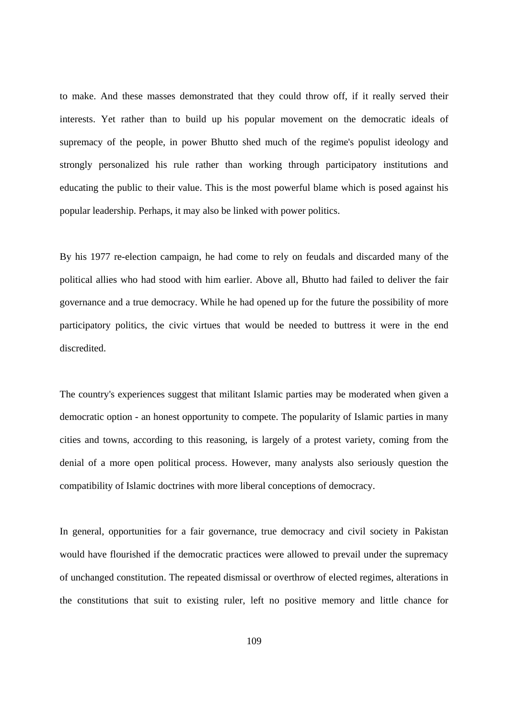to make. And these masses demonstrated that they could throw off, if it really served their interests. Yet rather than to build up his popular movement on the democratic ideals of supremacy of the people, in power Bhutto shed much of the regime's populist ideology and strongly personalized his rule rather than working through participatory institutions and educating the public to their value. This is the most powerful blame which is posed against his popular leadership. Perhaps, it may also be linked with power politics.

By his 1977 re-election campaign, he had come to rely on feudals and discarded many of the political allies who had stood with him earlier. Above all, Bhutto had failed to deliver the fair governance and a true democracy. While he had opened up for the future the possibility of more participatory politics, the civic virtues that would be needed to buttress it were in the end discredited.

The country's experiences suggest that militant Islamic parties may be moderated when given a democratic option - an honest opportunity to compete. The popularity of Islamic parties in many cities and towns, according to this reasoning, is largely of a protest variety, coming from the denial of a more open political process. However, many analysts also seriously question the compatibility of Islamic doctrines with more liberal conceptions of democracy.

In general, opportunities for a fair governance, true democracy and civil society in Pakistan would have flourished if the democratic practices were allowed to prevail under the supremacy of unchanged constitution. The repeated dismissal or overthrow of elected regimes, alterations in the constitutions that suit to existing ruler, left no positive memory and little chance for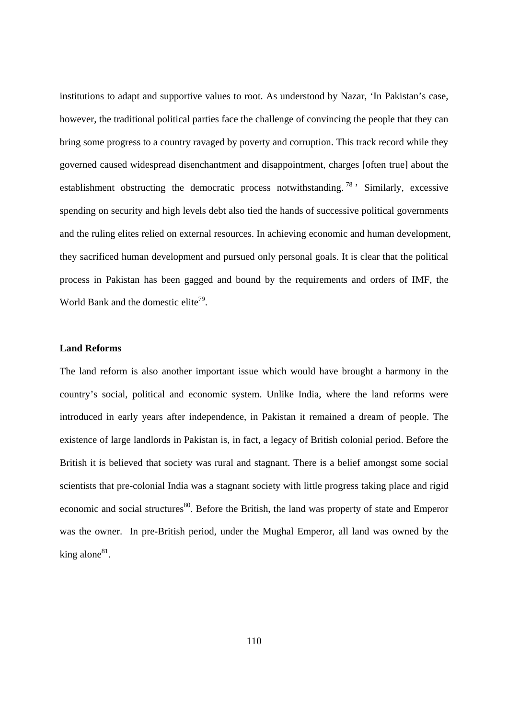institutions to adapt and supportive values to root. As understood by Nazar, 'In Pakistan's case, however, the traditional political parties face the challenge of convincing the people that they can bring some progress to a country ravaged by poverty and corruption. This track record while they governed caused widespread disenchantment and disappointment, charges [often true] about the establishment obstructing the democratic process notwithstanding.<sup>78</sup> Similarly, excessive spending on security and high levels debt also tied the hands of successive political governments and the ruling elites relied on external resources. In achieving economic and human development, they sacrificed human development and pursued only personal goals. It is clear that the political process in Pakistan has been gagged and bound by the requirements and orders of IMF, the World Bank and the domestic elite<sup>79</sup>.

#### **Land Reforms**

The land reform is also another important issue which would have brought a harmony in the country's social, political and economic system. Unlike India, where the land reforms were introduced in early years after independence, in Pakistan it remained a dream of people. The existence of large landlords in Pakistan is, in fact, a legacy of British colonial period. Before the British it is believed that society was rural and stagnant. There is a belief amongst some social scientists that pre-colonial India was a stagnant society with little progress taking place and rigid economic and social structures<sup>80</sup>. Before the British, the land was property of state and Emperor was the owner. In pre-British period, under the Mughal Emperor, all land was owned by the king alone $81$ .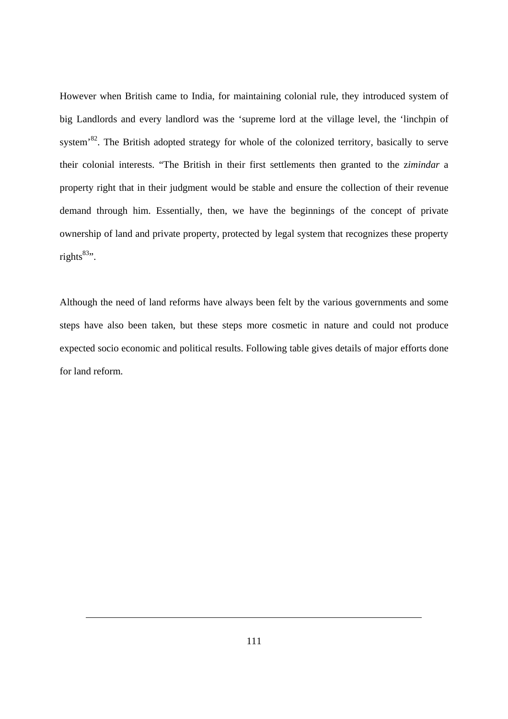However when British came to India, for maintaining colonial rule, they introduced system of big Landlords and every landlord was the 'supreme lord at the village level, the 'linchpin of system<sup>82</sup>. The British adopted strategy for whole of the colonized territory, basically to serve their colonial interests. "The British in their first settlements then granted to the z*imindar* a property right that in their judgment would be stable and ensure the collection of their revenue demand through him. Essentially, then, we have the beginnings of the concept of private ownership of land and private property, protected by legal system that recognizes these property rights $83$ ".

Although the need of land reforms have always been felt by the various governments and some steps have also been taken, but these steps more cosmetic in nature and could not produce expected socio economic and political results. Following table gives details of major efforts done for land reform.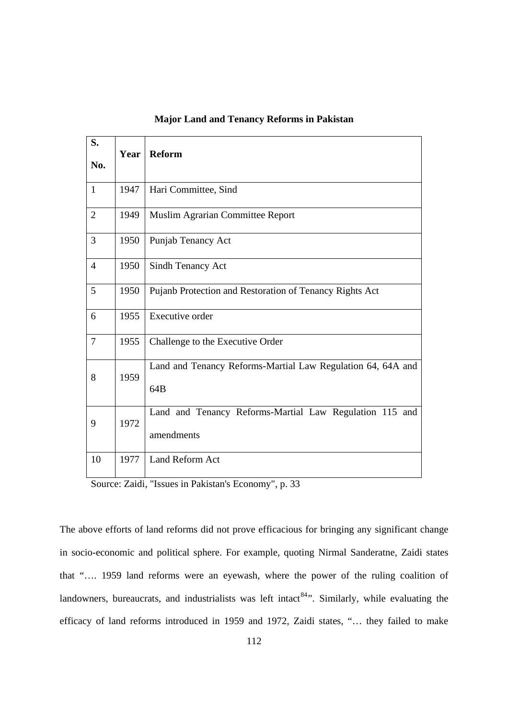| S.<br>No.      | Year | Reform                                                                |
|----------------|------|-----------------------------------------------------------------------|
| $\mathbf{1}$   | 1947 | Hari Committee, Sind                                                  |
| $\overline{2}$ | 1949 | Muslim Agrarian Committee Report                                      |
| 3              | 1950 | Punjab Tenancy Act                                                    |
| $\overline{4}$ | 1950 | <b>Sindh Tenancy Act</b>                                              |
| 5              | 1950 | Pujanb Protection and Restoration of Tenancy Rights Act               |
| 6              | 1955 | <b>Executive order</b>                                                |
| $\overline{7}$ | 1955 | Challenge to the Executive Order                                      |
| 8              | 1959 | Land and Tenancy Reforms-Martial Law Regulation 64, 64A and<br>64B    |
| 9              | 1972 | Land and Tenancy Reforms-Martial Law Regulation 115 and<br>amendments |
| 10             | 1977 | Land Reform Act                                                       |

### **Major Land and Tenancy Reforms in Pakistan**

Source: Zaidi, "Issues in Pakistan's Economy", p. 33

The above efforts of land reforms did not prove efficacious for bringing any significant change in socio-economic and political sphere. For example, quoting Nirmal Sanderatne, Zaidi states that "…. 1959 land reforms were an eyewash, where the power of the ruling coalition of landowners, bureaucrats, and industrialists was left intact<sup>84</sup>". Similarly, while evaluating the efficacy of land reforms introduced in 1959 and 1972, Zaidi states, "… they failed to make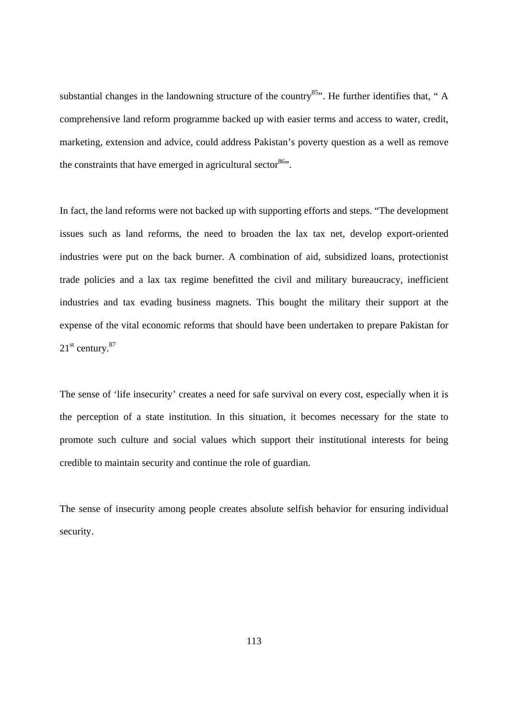substantial changes in the landowning structure of the country<sup>85</sup>. He further identifies that, " A comprehensive land reform programme backed up with easier terms and access to water, credit, marketing, extension and advice, could address Pakistan's poverty question as a well as remove the constraints that have emerged in agricultural sector<sup>86</sup>".

In fact, the land reforms were not backed up with supporting efforts and steps. "The development issues such as land reforms, the need to broaden the lax tax net, develop export-oriented industries were put on the back burner. A combination of aid, subsidized loans, protectionist trade policies and a lax tax regime benefitted the civil and military bureaucracy, inefficient industries and tax evading business magnets. This bought the military their support at the expense of the vital economic reforms that should have been undertaken to prepare Pakistan for  $21<sup>st</sup>$  century.<sup>87</sup>

The sense of 'life insecurity' creates a need for safe survival on every cost, especially when it is the perception of a state institution. In this situation, it becomes necessary for the state to promote such culture and social values which support their institutional interests for being credible to maintain security and continue the role of guardian.

The sense of insecurity among people creates absolute selfish behavior for ensuring individual security.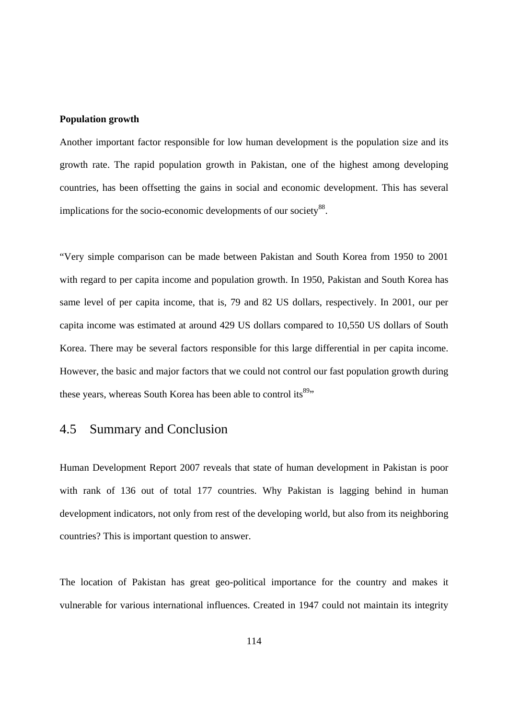#### **Population growth**

Another important factor responsible for low human development is the population size and its growth rate. The rapid population growth in Pakistan, one of the highest among developing countries, has been offsetting the gains in social and economic development. This has several implications for the socio-economic developments of our society<sup>88</sup>.

"Very simple comparison can be made between Pakistan and South Korea from 1950 to 2001 with regard to per capita income and population growth. In 1950, Pakistan and South Korea has same level of per capita income, that is, 79 and 82 US dollars, respectively. In 2001, our per capita income was estimated at around 429 US dollars compared to 10,550 US dollars of South Korea. There may be several factors responsible for this large differential in per capita income. However, the basic and major factors that we could not control our fast population growth during these years, whereas South Korea has been able to control its<sup>89</sup>"

## 4.5 Summary and Conclusion

Human Development Report 2007 reveals that state of human development in Pakistan is poor with rank of 136 out of total 177 countries. Why Pakistan is lagging behind in human development indicators, not only from rest of the developing world, but also from its neighboring countries? This is important question to answer.

The location of Pakistan has great geo-political importance for the country and makes it vulnerable for various international influences. Created in 1947 could not maintain its integrity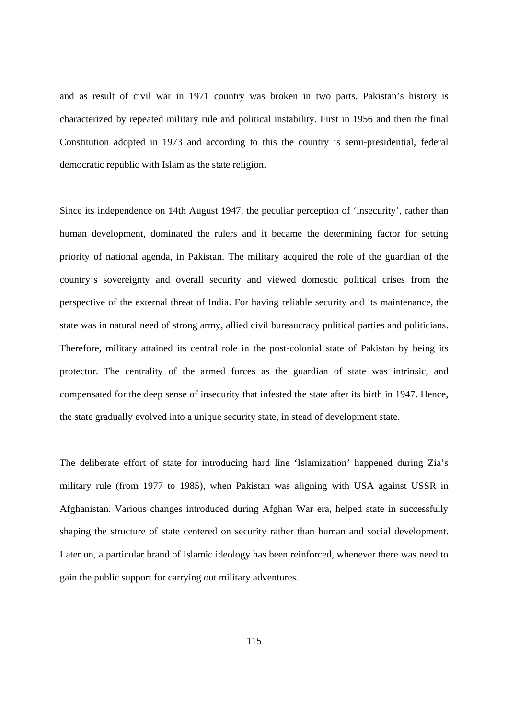and as result of civil war in 1971 country was broken in two parts. Pakistan's history is characterized by repeated military rule and political instability. First in 1956 and then the final Constitution adopted in 1973 and according to this the country is semi-presidential, federal democratic republic with Islam as the state religion.

Since its independence on 14th August 1947, the peculiar perception of 'insecurity', rather than human development, dominated the rulers and it became the determining factor for setting priority of national agenda, in Pakistan. The military acquired the role of the guardian of the country's sovereignty and overall security and viewed domestic political crises from the perspective of the external threat of India. For having reliable security and its maintenance, the state was in natural need of strong army, allied civil bureaucracy political parties and politicians. Therefore, military attained its central role in the post-colonial state of Pakistan by being its protector. The centrality of the armed forces as the guardian of state was intrinsic, and compensated for the deep sense of insecurity that infested the state after its birth in 1947. Hence, the state gradually evolved into a unique security state, in stead of development state.

The deliberate effort of state for introducing hard line 'Islamization' happened during Zia's military rule (from 1977 to 1985), when Pakistan was aligning with USA against USSR in Afghanistan. Various changes introduced during Afghan War era, helped state in successfully shaping the structure of state centered on security rather than human and social development. Later on, a particular brand of Islamic ideology has been reinforced, whenever there was need to gain the public support for carrying out military adventures.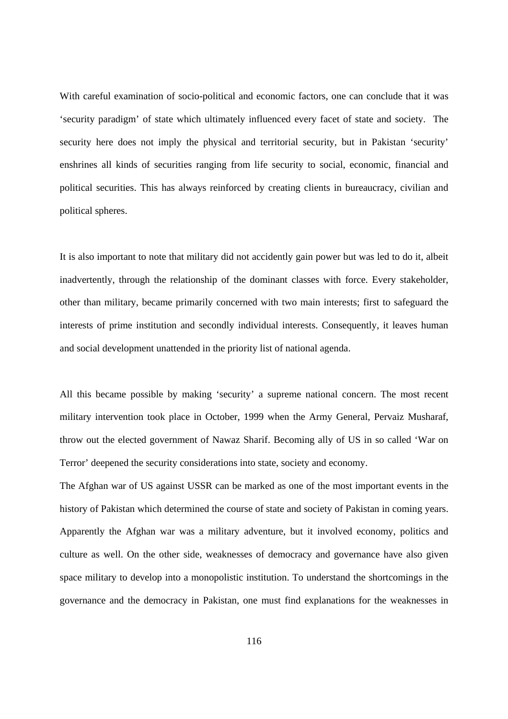With careful examination of socio-political and economic factors, one can conclude that it was 'security paradigm' of state which ultimately influenced every facet of state and society. The security here does not imply the physical and territorial security, but in Pakistan 'security' enshrines all kinds of securities ranging from life security to social, economic, financial and political securities. This has always reinforced by creating clients in bureaucracy, civilian and political spheres.

It is also important to note that military did not accidently gain power but was led to do it, albeit inadvertently, through the relationship of the dominant classes with force. Every stakeholder, other than military, became primarily concerned with two main interests; first to safeguard the interests of prime institution and secondly individual interests. Consequently, it leaves human and social development unattended in the priority list of national agenda.

All this became possible by making 'security' a supreme national concern. The most recent military intervention took place in October, 1999 when the Army General, Pervaiz Musharaf, throw out the elected government of Nawaz Sharif. Becoming ally of US in so called 'War on Terror' deepened the security considerations into state, society and economy.

The Afghan war of US against USSR can be marked as one of the most important events in the history of Pakistan which determined the course of state and society of Pakistan in coming years. Apparently the Afghan war was a military adventure, but it involved economy, politics and culture as well. On the other side, weaknesses of democracy and governance have also given space military to develop into a monopolistic institution. To understand the shortcomings in the governance and the democracy in Pakistan, one must find explanations for the weaknesses in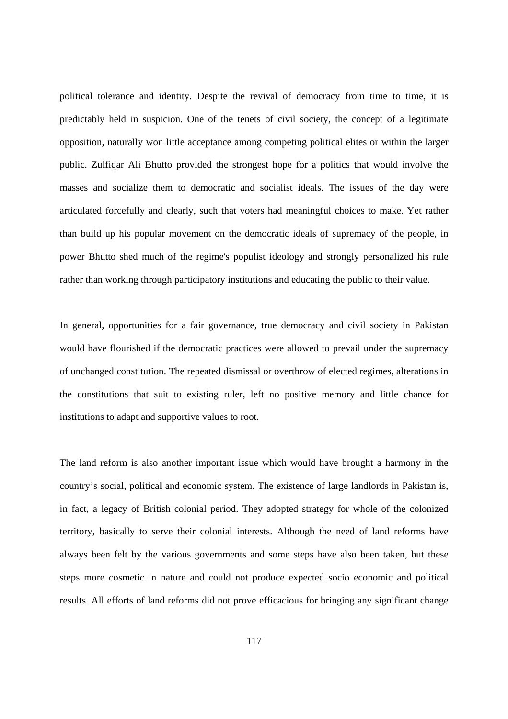political tolerance and identity. Despite the revival of democracy from time to time, it is predictably held in suspicion. One of the tenets of civil society, the concept of a legitimate opposition, naturally won little acceptance among competing political elites or within the larger public. Zulfiqar Ali Bhutto provided the strongest hope for a politics that would involve the masses and socialize them to democratic and socialist ideals. The issues of the day were articulated forcefully and clearly, such that voters had meaningful choices to make. Yet rather than build up his popular movement on the democratic ideals of supremacy of the people, in power Bhutto shed much of the regime's populist ideology and strongly personalized his rule rather than working through participatory institutions and educating the public to their value.

In general, opportunities for a fair governance, true democracy and civil society in Pakistan would have flourished if the democratic practices were allowed to prevail under the supremacy of unchanged constitution. The repeated dismissal or overthrow of elected regimes, alterations in the constitutions that suit to existing ruler, left no positive memory and little chance for institutions to adapt and supportive values to root.

The land reform is also another important issue which would have brought a harmony in the country's social, political and economic system. The existence of large landlords in Pakistan is, in fact, a legacy of British colonial period. They adopted strategy for whole of the colonized territory, basically to serve their colonial interests. Although the need of land reforms have always been felt by the various governments and some steps have also been taken, but these steps more cosmetic in nature and could not produce expected socio economic and political results. All efforts of land reforms did not prove efficacious for bringing any significant change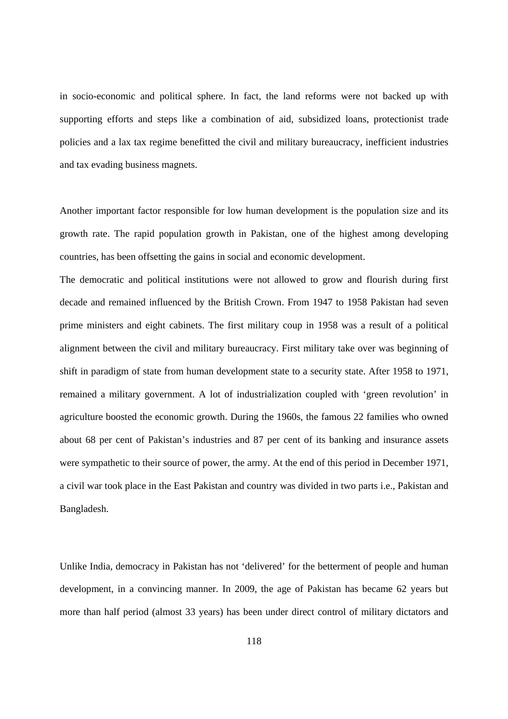in socio-economic and political sphere. In fact, the land reforms were not backed up with supporting efforts and steps like a combination of aid, subsidized loans, protectionist trade policies and a lax tax regime benefitted the civil and military bureaucracy, inefficient industries and tax evading business magnets.

Another important factor responsible for low human development is the population size and its growth rate. The rapid population growth in Pakistan, one of the highest among developing countries, has been offsetting the gains in social and economic development.

The democratic and political institutions were not allowed to grow and flourish during first decade and remained influenced by the British Crown. From 1947 to 1958 Pakistan had seven prime ministers and eight cabinets. The first military coup in 1958 was a result of a political alignment between the civil and military bureaucracy. First military take over was beginning of shift in paradigm of state from human development state to a security state. After 1958 to 1971, remained a military government. A lot of industrialization coupled with 'green revolution' in agriculture boosted the economic growth. During the 1960s, the famous 22 families who owned about 68 per cent of Pakistan's industries and 87 per cent of its banking and insurance assets were sympathetic to their source of power, the army. At the end of this period in December 1971, a civil war took place in the East Pakistan and country was divided in two parts i.e., Pakistan and Bangladesh.

Unlike India, democracy in Pakistan has not 'delivered' for the betterment of people and human development, in a convincing manner. In 2009, the age of Pakistan has became 62 years but more than half period (almost 33 years) has been under direct control of military dictators and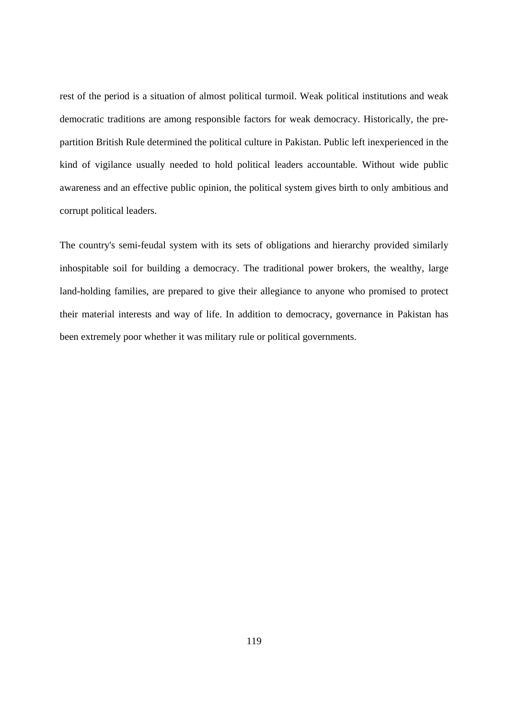rest of the period is a situation of almost political turmoil. Weak political institutions and weak democratic traditions are among responsible factors for weak democracy. Historically, the prepartition British Rule determined the political culture in Pakistan. Public left inexperienced in the kind of vigilance usually needed to hold political leaders accountable. Without wide public awareness and an effective public opinion, the political system gives birth to only ambitious and corrupt political leaders.

The country's semi-feudal system with its sets of obligations and hierarchy provided similarly inhospitable soil for building a democracy. The traditional power brokers, the wealthy, large land-holding families, are prepared to give their allegiance to anyone who promised to protect their material interests and way of life. In addition to democracy, governance in Pakistan has been extremely poor whether it was military rule or political governments.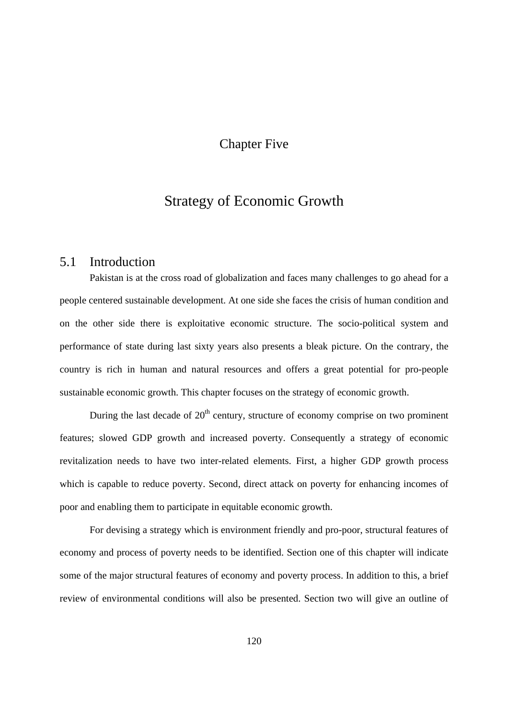## Chapter Five

# Strategy of Economic Growth

## 5.1 Introduction

Pakistan is at the cross road of globalization and faces many challenges to go ahead for a people centered sustainable development. At one side she faces the crisis of human condition and on the other side there is exploitative economic structure. The socio-political system and performance of state during last sixty years also presents a bleak picture. On the contrary, the country is rich in human and natural resources and offers a great potential for pro-people sustainable economic growth. This chapter focuses on the strategy of economic growth.

During the last decade of  $20<sup>th</sup>$  century, structure of economy comprise on two prominent features; slowed GDP growth and increased poverty. Consequently a strategy of economic revitalization needs to have two inter-related elements. First, a higher GDP growth process which is capable to reduce poverty. Second, direct attack on poverty for enhancing incomes of poor and enabling them to participate in equitable economic growth.

For devising a strategy which is environment friendly and pro-poor, structural features of economy and process of poverty needs to be identified. Section one of this chapter will indicate some of the major structural features of economy and poverty process. In addition to this, a brief review of environmental conditions will also be presented. Section two will give an outline of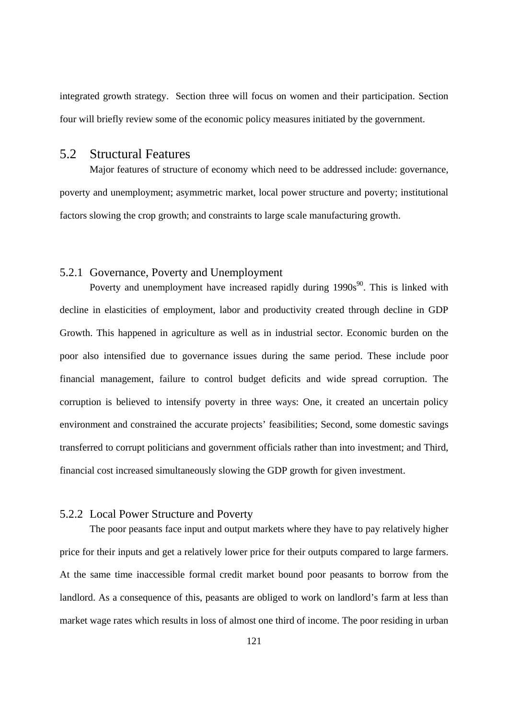integrated growth strategy. Section three will focus on women and their participation. Section four will briefly review some of the economic policy measures initiated by the government.

## 5.2 Structural Features

Major features of structure of economy which need to be addressed include: governance, poverty and unemployment; asymmetric market, local power structure and poverty; institutional factors slowing the crop growth; and constraints to large scale manufacturing growth.

### 5.2.1 Governance, Poverty and Unemployment

Poverty and unemployment have increased rapidly during  $1990s^{90}$ . This is linked with decline in elasticities of employment, labor and productivity created through decline in GDP Growth. This happened in agriculture as well as in industrial sector. Economic burden on the poor also intensified due to governance issues during the same period. These include poor financial management, failure to control budget deficits and wide spread corruption. The corruption is believed to intensify poverty in three ways: One, it created an uncertain policy environment and constrained the accurate projects' feasibilities; Second, some domestic savings transferred to corrupt politicians and government officials rather than into investment; and Third, financial cost increased simultaneously slowing the GDP growth for given investment.

#### 5.2.2 Local Power Structure and Poverty

The poor peasants face input and output markets where they have to pay relatively higher price for their inputs and get a relatively lower price for their outputs compared to large farmers. At the same time inaccessible formal credit market bound poor peasants to borrow from the landlord. As a consequence of this, peasants are obliged to work on landlord's farm at less than market wage rates which results in loss of almost one third of income. The poor residing in urban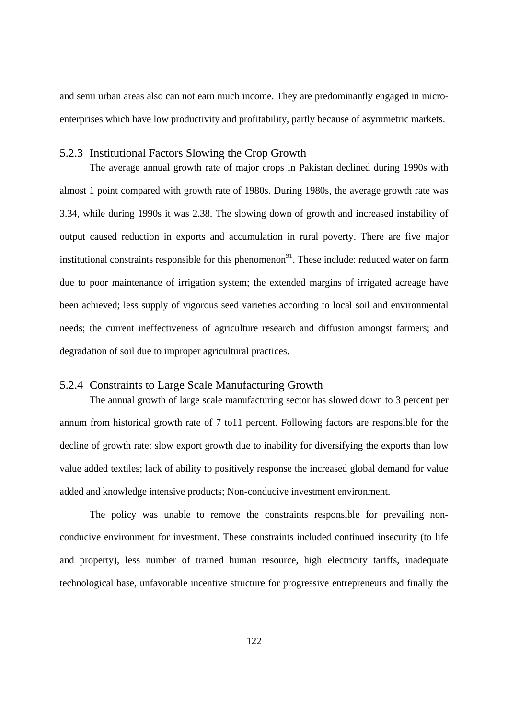and semi urban areas also can not earn much income. They are predominantly engaged in microenterprises which have low productivity and profitability, partly because of asymmetric markets.

#### 5.2.3 Institutional Factors Slowing the Crop Growth

The average annual growth rate of major crops in Pakistan declined during 1990s with almost 1 point compared with growth rate of 1980s. During 1980s, the average growth rate was 3.34, while during 1990s it was 2.38. The slowing down of growth and increased instability of output caused reduction in exports and accumulation in rural poverty. There are five major institutional constraints responsible for this phenomenon<sup>91</sup>. These include: reduced water on farm due to poor maintenance of irrigation system; the extended margins of irrigated acreage have been achieved; less supply of vigorous seed varieties according to local soil and environmental needs; the current ineffectiveness of agriculture research and diffusion amongst farmers; and degradation of soil due to improper agricultural practices.

### 5.2.4 Constraints to Large Scale Manufacturing Growth

The annual growth of large scale manufacturing sector has slowed down to 3 percent per annum from historical growth rate of 7 to11 percent. Following factors are responsible for the decline of growth rate: slow export growth due to inability for diversifying the exports than low value added textiles; lack of ability to positively response the increased global demand for value added and knowledge intensive products; Non-conducive investment environment.

The policy was unable to remove the constraints responsible for prevailing nonconducive environment for investment. These constraints included continued insecurity (to life and property), less number of trained human resource, high electricity tariffs, inadequate technological base, unfavorable incentive structure for progressive entrepreneurs and finally the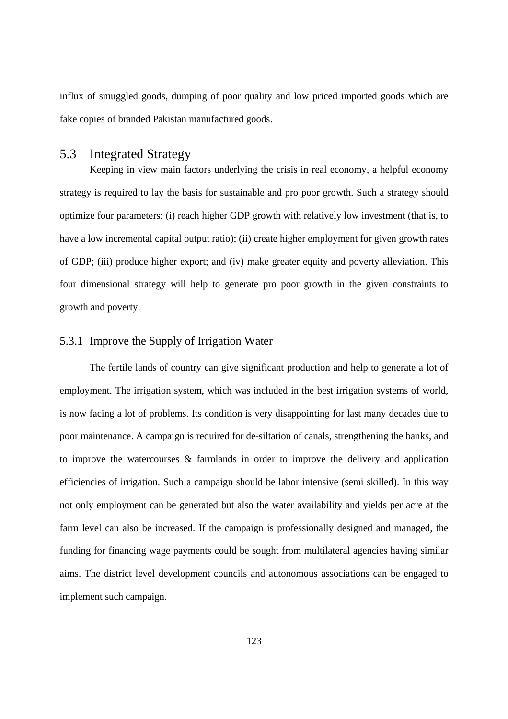influx of smuggled goods, dumping of poor quality and low priced imported goods which are fake copies of branded Pakistan manufactured goods.

## 5.3 Integrated Strategy

Keeping in view main factors underlying the crisis in real economy, a helpful economy strategy is required to lay the basis for sustainable and pro poor growth. Such a strategy should optimize four parameters: (i) reach higher GDP growth with relatively low investment (that is, to have a low incremental capital output ratio); (ii) create higher employment for given growth rates of GDP; (iii) produce higher export; and (iv) make greater equity and poverty alleviation. This four dimensional strategy will help to generate pro poor growth in the given constraints to growth and poverty.

## 5.3.1 Improve the Supply of Irrigation Water

The fertile lands of country can give significant production and help to generate a lot of employment. The irrigation system, which was included in the best irrigation systems of world, is now facing a lot of problems. Its condition is very disappointing for last many decades due to poor maintenance. A campaign is required for de-siltation of canals, strengthening the banks, and to improve the watercourses & farmlands in order to improve the delivery and application efficiencies of irrigation. Such a campaign should be labor intensive (semi skilled). In this way not only employment can be generated but also the water availability and yields per acre at the farm level can also be increased. If the campaign is professionally designed and managed, the funding for financing wage payments could be sought from multilateral agencies having similar aims. The district level development councils and autonomous associations can be engaged to implement such campaign.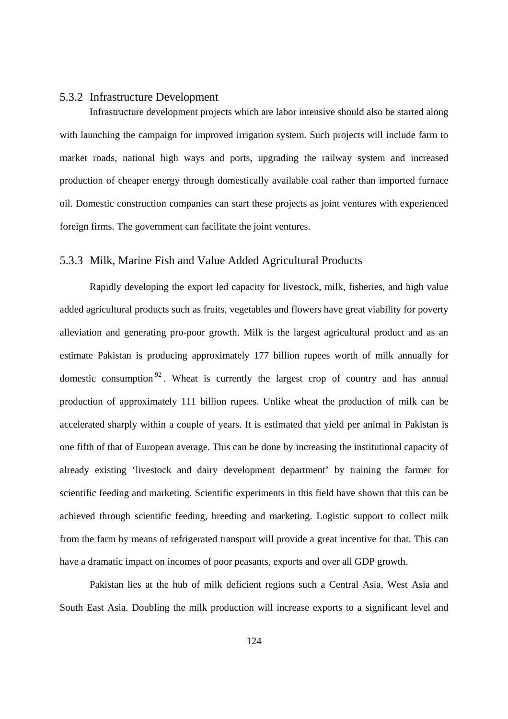#### 5.3.2 Infrastructure Development

Infrastructure development projects which are labor intensive should also be started along with launching the campaign for improved irrigation system. Such projects will include farm to market roads, national high ways and ports, upgrading the railway system and increased production of cheaper energy through domestically available coal rather than imported furnace oil. Domestic construction companies can start these projects as joint ventures with experienced foreign firms. The government can facilitate the joint ventures.

### 5.3.3 Milk, Marine Fish and Value Added Agricultural Products

Rapidly developing the export led capacity for livestock, milk, fisheries, and high value added agricultural products such as fruits, vegetables and flowers have great viability for poverty alleviation and generating pro-poor growth. Milk is the largest agricultural product and as an estimate Pakistan is producing approximately 177 billion rupees worth of milk annually for domestic consumption  $92$ . Wheat is currently the largest crop of country and has annual production of approximately 111 billion rupees. Unlike wheat the production of milk can be accelerated sharply within a couple of years. It is estimated that yield per animal in Pakistan is one fifth of that of European average. This can be done by increasing the institutional capacity of already existing 'livestock and dairy development department' by training the farmer for scientific feeding and marketing. Scientific experiments in this field have shown that this can be achieved through scientific feeding, breeding and marketing. Logistic support to collect milk from the farm by means of refrigerated transport will provide a great incentive for that. This can have a dramatic impact on incomes of poor peasants, exports and over all GDP growth.

Pakistan lies at the hub of milk deficient regions such a Central Asia, West Asia and South East Asia. Doubling the milk production will increase exports to a significant level and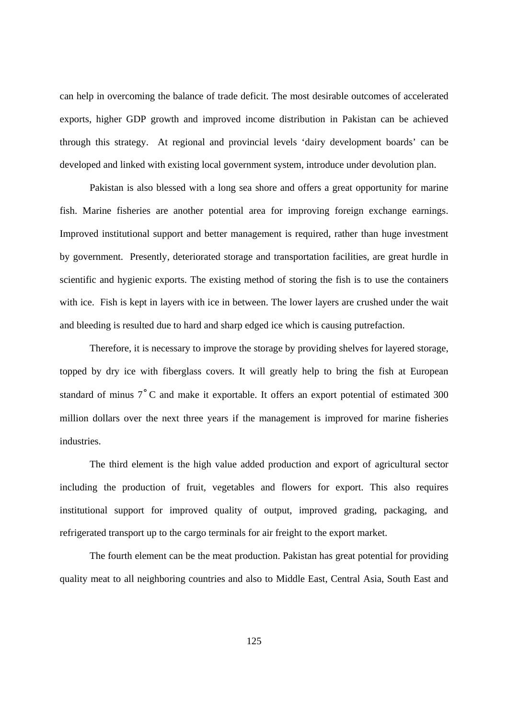can help in overcoming the balance of trade deficit. The most desirable outcomes of accelerated exports, higher GDP growth and improved income distribution in Pakistan can be achieved through this strategy. At regional and provincial levels 'dairy development boards' can be developed and linked with existing local government system, introduce under devolution plan.

Pakistan is also blessed with a long sea shore and offers a great opportunity for marine fish. Marine fisheries are another potential area for improving foreign exchange earnings. Improved institutional support and better management is required, rather than huge investment by government. Presently, deteriorated storage and transportation facilities, are great hurdle in scientific and hygienic exports. The existing method of storing the fish is to use the containers with ice. Fish is kept in layers with ice in between. The lower layers are crushed under the wait and bleeding is resulted due to hard and sharp edged ice which is causing putrefaction.

Therefore, it is necessary to improve the storage by providing shelves for layered storage, topped by dry ice with fiberglass covers. It will greatly help to bring the fish at European standard of minus 7˚C and make it exportable. It offers an export potential of estimated 300 million dollars over the next three years if the management is improved for marine fisheries industries.

The third element is the high value added production and export of agricultural sector including the production of fruit, vegetables and flowers for export. This also requires institutional support for improved quality of output, improved grading, packaging, and refrigerated transport up to the cargo terminals for air freight to the export market.

The fourth element can be the meat production. Pakistan has great potential for providing quality meat to all neighboring countries and also to Middle East, Central Asia, South East and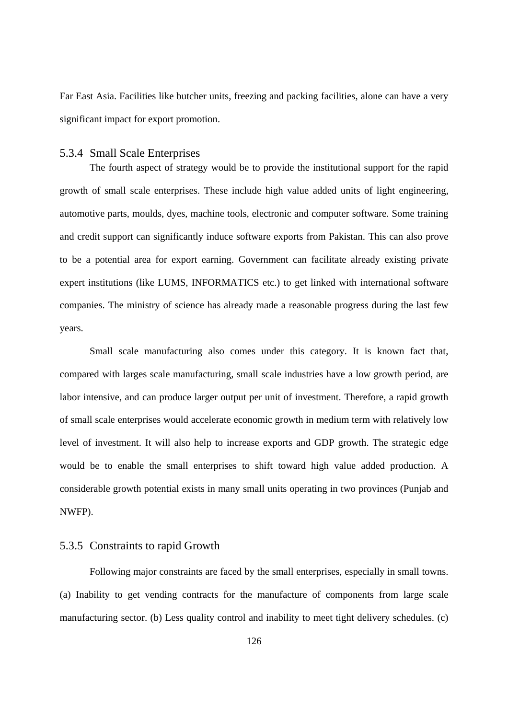Far East Asia. Facilities like butcher units, freezing and packing facilities, alone can have a very significant impact for export promotion.

#### 5.3.4 Small Scale Enterprises

The fourth aspect of strategy would be to provide the institutional support for the rapid growth of small scale enterprises. These include high value added units of light engineering, automotive parts, moulds, dyes, machine tools, electronic and computer software. Some training and credit support can significantly induce software exports from Pakistan. This can also prove to be a potential area for export earning. Government can facilitate already existing private expert institutions (like LUMS, INFORMATICS etc.) to get linked with international software companies. The ministry of science has already made a reasonable progress during the last few years.

Small scale manufacturing also comes under this category. It is known fact that, compared with larges scale manufacturing, small scale industries have a low growth period, are labor intensive, and can produce larger output per unit of investment. Therefore, a rapid growth of small scale enterprises would accelerate economic growth in medium term with relatively low level of investment. It will also help to increase exports and GDP growth. The strategic edge would be to enable the small enterprises to shift toward high value added production. A considerable growth potential exists in many small units operating in two provinces (Punjab and NWFP).

### 5.3.5 Constraints to rapid Growth

Following major constraints are faced by the small enterprises, especially in small towns. (a) Inability to get vending contracts for the manufacture of components from large scale manufacturing sector. (b) Less quality control and inability to meet tight delivery schedules. (c)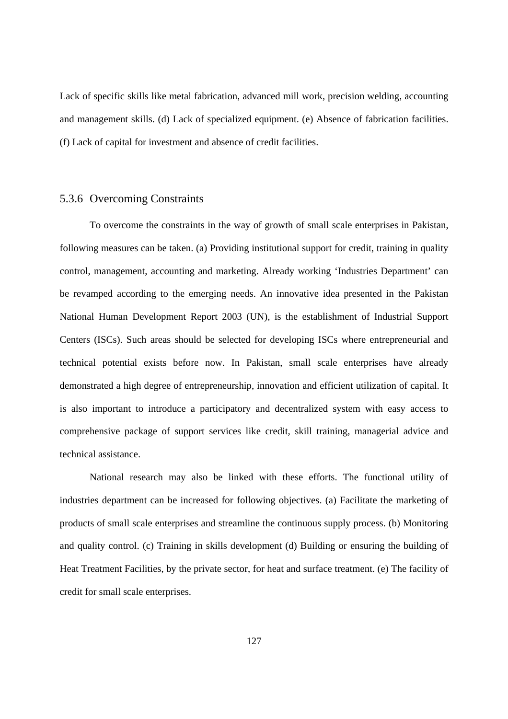Lack of specific skills like metal fabrication, advanced mill work, precision welding, accounting and management skills. (d) Lack of specialized equipment. (e) Absence of fabrication facilities. (f) Lack of capital for investment and absence of credit facilities.

#### 5.3.6 Overcoming Constraints

To overcome the constraints in the way of growth of small scale enterprises in Pakistan, following measures can be taken. (a) Providing institutional support for credit, training in quality control, management, accounting and marketing. Already working 'Industries Department' can be revamped according to the emerging needs. An innovative idea presented in the Pakistan National Human Development Report 2003 (UN), is the establishment of Industrial Support Centers (ISCs). Such areas should be selected for developing ISCs where entrepreneurial and technical potential exists before now. In Pakistan, small scale enterprises have already demonstrated a high degree of entrepreneurship, innovation and efficient utilization of capital. It is also important to introduce a participatory and decentralized system with easy access to comprehensive package of support services like credit, skill training, managerial advice and technical assistance.

National research may also be linked with these efforts. The functional utility of industries department can be increased for following objectives. (a) Facilitate the marketing of products of small scale enterprises and streamline the continuous supply process. (b) Monitoring and quality control. (c) Training in skills development (d) Building or ensuring the building of Heat Treatment Facilities, by the private sector, for heat and surface treatment. (e) The facility of credit for small scale enterprises.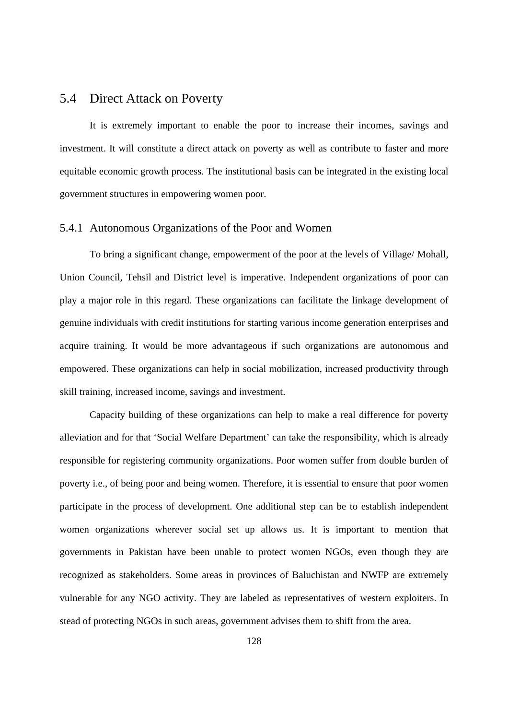## 5.4 Direct Attack on Poverty

It is extremely important to enable the poor to increase their incomes, savings and investment. It will constitute a direct attack on poverty as well as contribute to faster and more equitable economic growth process. The institutional basis can be integrated in the existing local government structures in empowering women poor.

## 5.4.1 Autonomous Organizations of the Poor and Women

To bring a significant change, empowerment of the poor at the levels of Village/ Mohall, Union Council, Tehsil and District level is imperative. Independent organizations of poor can play a major role in this regard. These organizations can facilitate the linkage development of genuine individuals with credit institutions for starting various income generation enterprises and acquire training. It would be more advantageous if such organizations are autonomous and empowered. These organizations can help in social mobilization, increased productivity through skill training, increased income, savings and investment.

Capacity building of these organizations can help to make a real difference for poverty alleviation and for that 'Social Welfare Department' can take the responsibility, which is already responsible for registering community organizations. Poor women suffer from double burden of poverty i.e., of being poor and being women. Therefore, it is essential to ensure that poor women participate in the process of development. One additional step can be to establish independent women organizations wherever social set up allows us. It is important to mention that governments in Pakistan have been unable to protect women NGOs, even though they are recognized as stakeholders. Some areas in provinces of Baluchistan and NWFP are extremely vulnerable for any NGO activity. They are labeled as representatives of western exploiters. In stead of protecting NGOs in such areas, government advises them to shift from the area.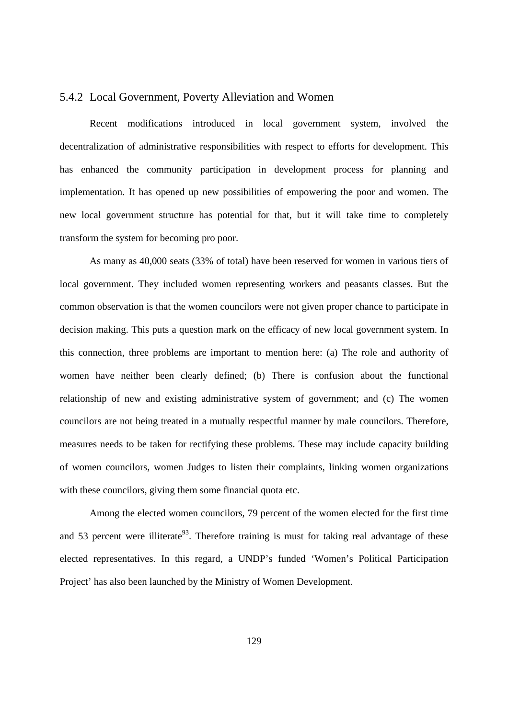#### 5.4.2 Local Government, Poverty Alleviation and Women

Recent modifications introduced in local government system, involved the decentralization of administrative responsibilities with respect to efforts for development. This has enhanced the community participation in development process for planning and implementation. It has opened up new possibilities of empowering the poor and women. The new local government structure has potential for that, but it will take time to completely transform the system for becoming pro poor.

As many as 40,000 seats (33% of total) have been reserved for women in various tiers of local government. They included women representing workers and peasants classes. But the common observation is that the women councilors were not given proper chance to participate in decision making. This puts a question mark on the efficacy of new local government system. In this connection, three problems are important to mention here: (a) The role and authority of women have neither been clearly defined; (b) There is confusion about the functional relationship of new and existing administrative system of government; and (c) The women councilors are not being treated in a mutually respectful manner by male councilors. Therefore, measures needs to be taken for rectifying these problems. These may include capacity building of women councilors, women Judges to listen their complaints, linking women organizations with these councilors, giving them some financial quota etc.

Among the elected women councilors, 79 percent of the women elected for the first time and 53 percent were illiterate<sup>93</sup>. Therefore training is must for taking real advantage of these elected representatives. In this regard, a UNDP's funded 'Women's Political Participation Project' has also been launched by the Ministry of Women Development.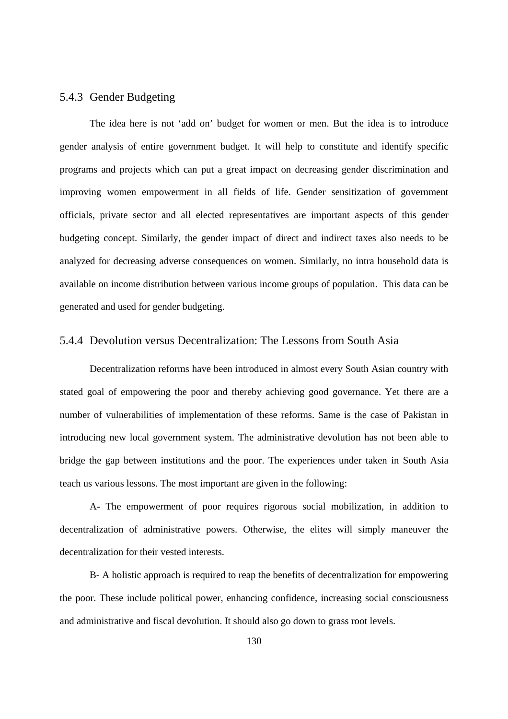### 5.4.3 Gender Budgeting

The idea here is not 'add on' budget for women or men. But the idea is to introduce gender analysis of entire government budget. It will help to constitute and identify specific programs and projects which can put a great impact on decreasing gender discrimination and improving women empowerment in all fields of life. Gender sensitization of government officials, private sector and all elected representatives are important aspects of this gender budgeting concept. Similarly, the gender impact of direct and indirect taxes also needs to be analyzed for decreasing adverse consequences on women. Similarly, no intra household data is available on income distribution between various income groups of population. This data can be generated and used for gender budgeting.

#### 5.4.4 Devolution versus Decentralization: The Lessons from South Asia

Decentralization reforms have been introduced in almost every South Asian country with stated goal of empowering the poor and thereby achieving good governance. Yet there are a number of vulnerabilities of implementation of these reforms. Same is the case of Pakistan in introducing new local government system. The administrative devolution has not been able to bridge the gap between institutions and the poor. The experiences under taken in South Asia teach us various lessons. The most important are given in the following:

A- The empowerment of poor requires rigorous social mobilization, in addition to decentralization of administrative powers. Otherwise, the elites will simply maneuver the decentralization for their vested interests.

B- A holistic approach is required to reap the benefits of decentralization for empowering the poor. These include political power, enhancing confidence, increasing social consciousness and administrative and fiscal devolution. It should also go down to grass root levels.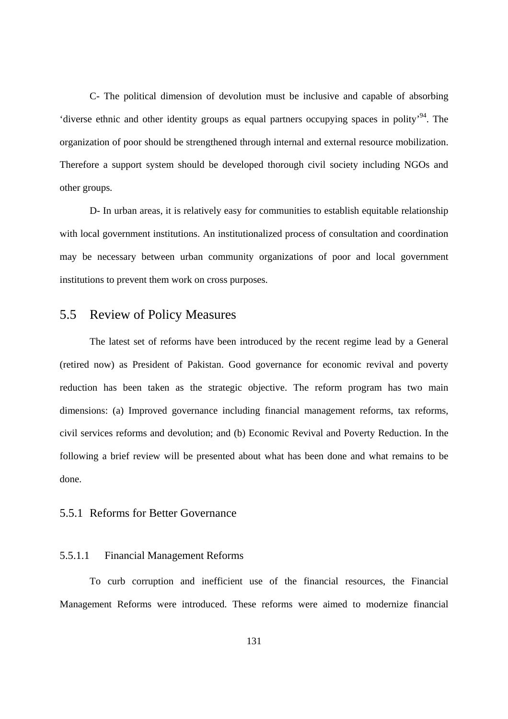C- The political dimension of devolution must be inclusive and capable of absorbing 'diverse ethnic and other identity groups as equal partners occupying spaces in polity'94. The organization of poor should be strengthened through internal and external resource mobilization. Therefore a support system should be developed thorough civil society including NGOs and other groups.

D- In urban areas, it is relatively easy for communities to establish equitable relationship with local government institutions. An institutionalized process of consultation and coordination may be necessary between urban community organizations of poor and local government institutions to prevent them work on cross purposes.

## 5.5 Review of Policy Measures

The latest set of reforms have been introduced by the recent regime lead by a General (retired now) as President of Pakistan. Good governance for economic revival and poverty reduction has been taken as the strategic objective. The reform program has two main dimensions: (a) Improved governance including financial management reforms, tax reforms, civil services reforms and devolution; and (b) Economic Revival and Poverty Reduction. In the following a brief review will be presented about what has been done and what remains to be done.

#### 5.5.1 Reforms for Better Governance

### 5.5.1.1 Financial Management Reforms

To curb corruption and inefficient use of the financial resources, the Financial Management Reforms were introduced. These reforms were aimed to modernize financial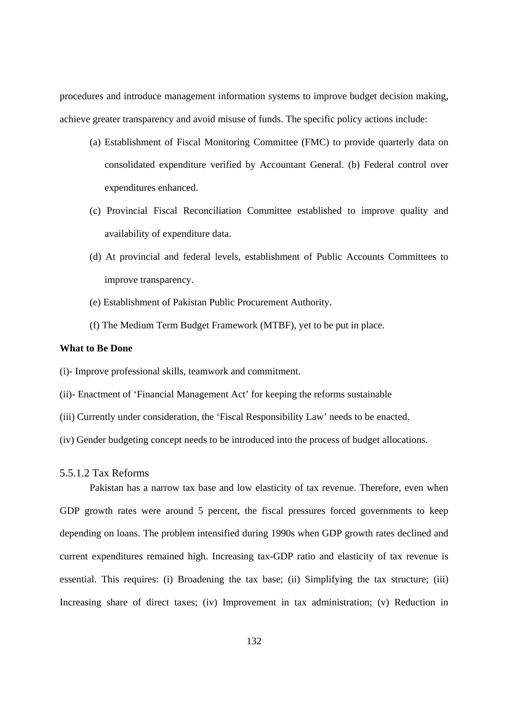procedures and introduce management information systems to improve budget decision making, achieve greater transparency and avoid misuse of funds. The specific policy actions include:

- (a) Establishment of Fiscal Monitoring Committee (FMC) to provide quarterly data on consolidated expenditure verified by Accountant General. (b) Federal control over expenditures enhanced.
- (c) Provincial Fiscal Reconciliation Committee established to improve quality and availability of expenditure data.
- (d) At provincial and federal levels, establishment of Public Accounts Committees to improve transparency.
- (e) Establishment of Pakistan Public Procurement Authority.
- (f) The Medium Term Budget Framework (MTBF), yet to be put in place.

#### **What to Be Done**

(i)- Improve professional skills, teamwork and commitment.

- (ii)- Enactment of 'Financial Management Act' for keeping the reforms sustainable
- (iii) Currently under consideration, the 'Fiscal Responsibility Law' needs to be enacted.
- (iv) Gender budgeting concept needs to be introduced into the process of budget allocations.

#### 5.5.1.2 Tax Reforms

Pakistan has a narrow tax base and low elasticity of tax revenue. Therefore, even when GDP growth rates were around 5 percent, the fiscal pressures forced governments to keep depending on loans. The problem intensified during 1990s when GDP growth rates declined and current expenditures remained high. Increasing tax-GDP ratio and elasticity of tax revenue is essential. This requires: (i) Broadening the tax base; (ii) Simplifying the tax structure; (iii) Increasing share of direct taxes; (iv) Improvement in tax administration; (v) Reduction in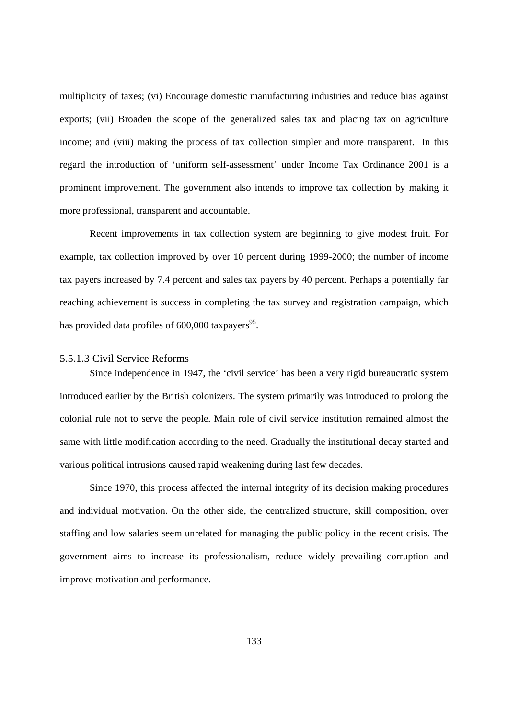multiplicity of taxes; (vi) Encourage domestic manufacturing industries and reduce bias against exports; (vii) Broaden the scope of the generalized sales tax and placing tax on agriculture income; and (viii) making the process of tax collection simpler and more transparent. In this regard the introduction of 'uniform self-assessment' under Income Tax Ordinance 2001 is a prominent improvement. The government also intends to improve tax collection by making it more professional, transparent and accountable.

Recent improvements in tax collection system are beginning to give modest fruit. For example, tax collection improved by over 10 percent during 1999-2000; the number of income tax payers increased by 7.4 percent and sales tax payers by 40 percent. Perhaps a potentially far reaching achievement is success in completing the tax survey and registration campaign, which has provided data profiles of  $600,000$  taxpayers<sup>95</sup>.

#### 5.5.1.3 Civil Service Reforms

Since independence in 1947, the 'civil service' has been a very rigid bureaucratic system introduced earlier by the British colonizers. The system primarily was introduced to prolong the colonial rule not to serve the people. Main role of civil service institution remained almost the same with little modification according to the need. Gradually the institutional decay started and various political intrusions caused rapid weakening during last few decades.

Since 1970, this process affected the internal integrity of its decision making procedures and individual motivation. On the other side, the centralized structure, skill composition, over staffing and low salaries seem unrelated for managing the public policy in the recent crisis. The government aims to increase its professionalism, reduce widely prevailing corruption and improve motivation and performance.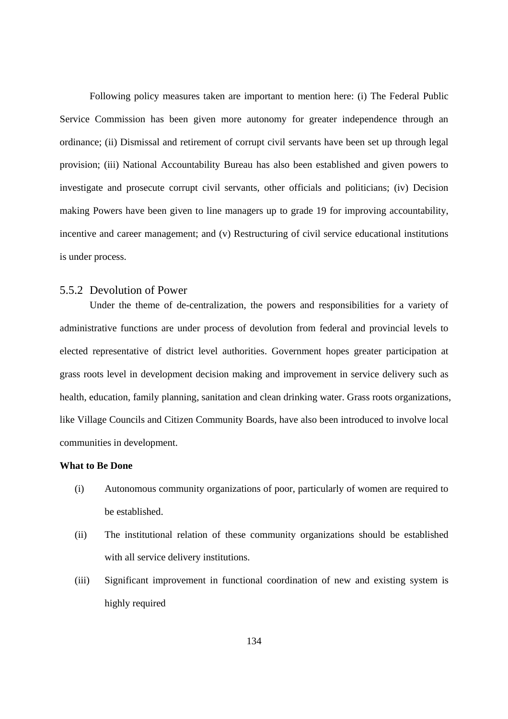Following policy measures taken are important to mention here: (i) The Federal Public Service Commission has been given more autonomy for greater independence through an ordinance; (ii) Dismissal and retirement of corrupt civil servants have been set up through legal provision; (iii) National Accountability Bureau has also been established and given powers to investigate and prosecute corrupt civil servants, other officials and politicians; (iv) Decision making Powers have been given to line managers up to grade 19 for improving accountability, incentive and career management; and (v) Restructuring of civil service educational institutions is under process.

### 5.5.2 Devolution of Power

Under the theme of de-centralization, the powers and responsibilities for a variety of administrative functions are under process of devolution from federal and provincial levels to elected representative of district level authorities. Government hopes greater participation at grass roots level in development decision making and improvement in service delivery such as health, education, family planning, sanitation and clean drinking water. Grass roots organizations, like Village Councils and Citizen Community Boards, have also been introduced to involve local communities in development.

### **What to Be Done**

- (i) Autonomous community organizations of poor, particularly of women are required to be established.
- (ii) The institutional relation of these community organizations should be established with all service delivery institutions.
- (iii) Significant improvement in functional coordination of new and existing system is highly required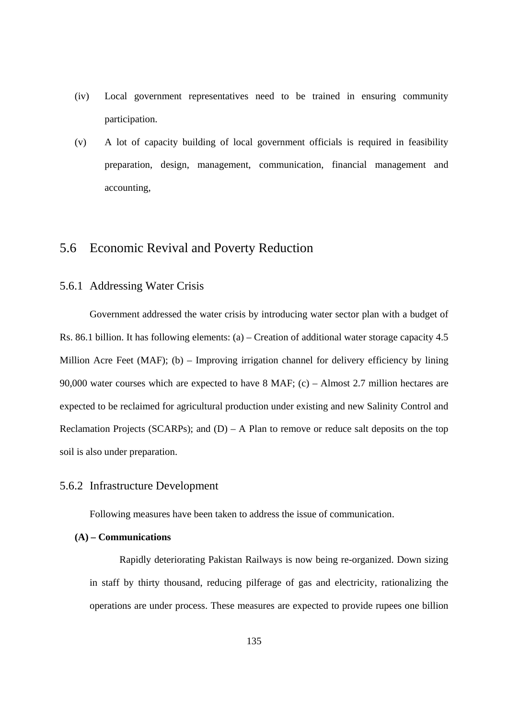- (iv) Local government representatives need to be trained in ensuring community participation.
- (v) A lot of capacity building of local government officials is required in feasibility preparation, design, management, communication, financial management and accounting,

## 5.6 Economic Revival and Poverty Reduction

### 5.6.1 Addressing Water Crisis

Government addressed the water crisis by introducing water sector plan with a budget of Rs. 86.1 billion. It has following elements: (a) – Creation of additional water storage capacity 4.5 Million Acre Feet (MAF); (b) – Improving irrigation channel for delivery efficiency by lining 90,000 water courses which are expected to have 8 MAF; (c) – Almost 2.7 million hectares are expected to be reclaimed for agricultural production under existing and new Salinity Control and Reclamation Projects (SCARPs); and  $(D) - A$  Plan to remove or reduce salt deposits on the top soil is also under preparation.

#### 5.6.2 Infrastructure Development

Following measures have been taken to address the issue of communication.

## **(A) – Communications**

Rapidly deteriorating Pakistan Railways is now being re-organized. Down sizing in staff by thirty thousand, reducing pilferage of gas and electricity, rationalizing the operations are under process. These measures are expected to provide rupees one billion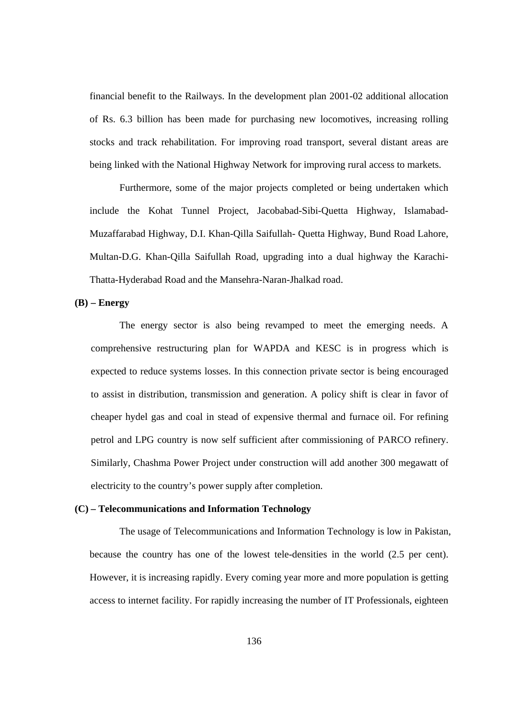financial benefit to the Railways. In the development plan 2001-02 additional allocation of Rs. 6.3 billion has been made for purchasing new locomotives, increasing rolling stocks and track rehabilitation. For improving road transport, several distant areas are being linked with the National Highway Network for improving rural access to markets.

Furthermore, some of the major projects completed or being undertaken which include the Kohat Tunnel Project, Jacobabad-Sibi-Quetta Highway, Islamabad-Muzaffarabad Highway, D.I. Khan-Qilla Saifullah- Quetta Highway, Bund Road Lahore, Multan-D.G. Khan-Qilla Saifullah Road, upgrading into a dual highway the Karachi-Thatta-Hyderabad Road and the Mansehra-Naran-Jhalkad road.

#### **(B) – Energy**

The energy sector is also being revamped to meet the emerging needs. A comprehensive restructuring plan for WAPDA and KESC is in progress which is expected to reduce systems losses. In this connection private sector is being encouraged to assist in distribution, transmission and generation. A policy shift is clear in favor of cheaper hydel gas and coal in stead of expensive thermal and furnace oil. For refining petrol and LPG country is now self sufficient after commissioning of PARCO refinery. Similarly, Chashma Power Project under construction will add another 300 megawatt of electricity to the country's power supply after completion.

## **(C) – Telecommunications and Information Technology**

The usage of Telecommunications and Information Technology is low in Pakistan, because the country has one of the lowest tele-densities in the world (2.5 per cent). However, it is increasing rapidly. Every coming year more and more population is getting access to internet facility. For rapidly increasing the number of IT Professionals, eighteen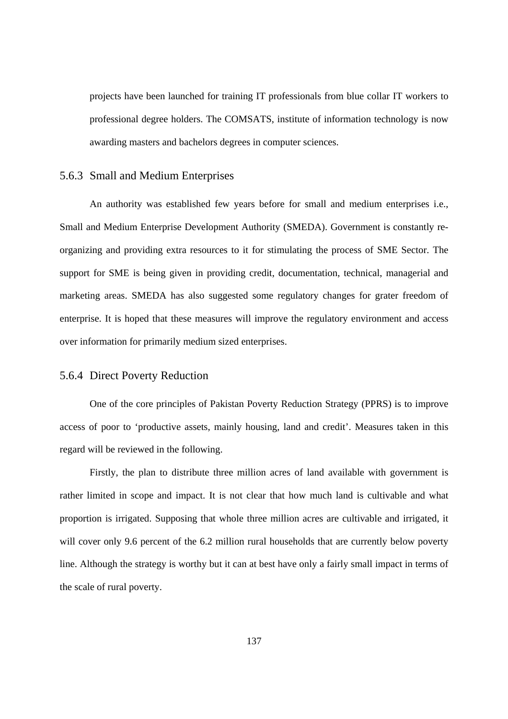projects have been launched for training IT professionals from blue collar IT workers to professional degree holders. The COMSATS, institute of information technology is now awarding masters and bachelors degrees in computer sciences.

## 5.6.3 Small and Medium Enterprises

An authority was established few years before for small and medium enterprises i.e., Small and Medium Enterprise Development Authority (SMEDA). Government is constantly reorganizing and providing extra resources to it for stimulating the process of SME Sector. The support for SME is being given in providing credit, documentation, technical, managerial and marketing areas. SMEDA has also suggested some regulatory changes for grater freedom of enterprise. It is hoped that these measures will improve the regulatory environment and access over information for primarily medium sized enterprises.

## 5.6.4 Direct Poverty Reduction

One of the core principles of Pakistan Poverty Reduction Strategy (PPRS) is to improve access of poor to 'productive assets, mainly housing, land and credit'. Measures taken in this regard will be reviewed in the following.

Firstly, the plan to distribute three million acres of land available with government is rather limited in scope and impact. It is not clear that how much land is cultivable and what proportion is irrigated. Supposing that whole three million acres are cultivable and irrigated, it will cover only 9.6 percent of the 6.2 million rural households that are currently below poverty line. Although the strategy is worthy but it can at best have only a fairly small impact in terms of the scale of rural poverty.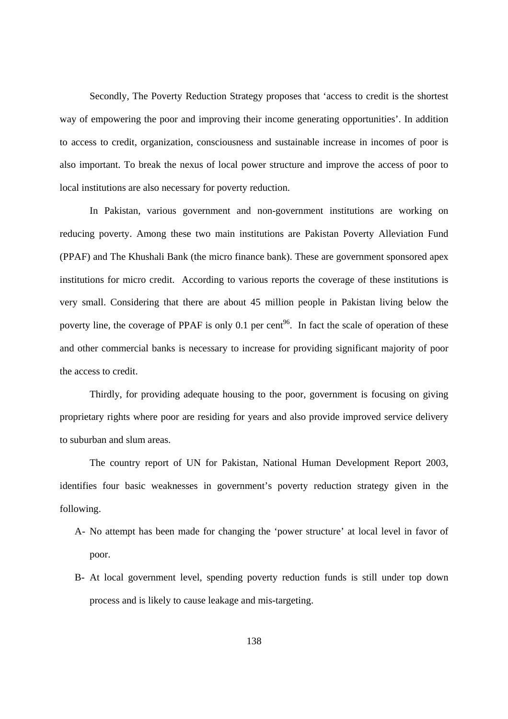Secondly, The Poverty Reduction Strategy proposes that 'access to credit is the shortest way of empowering the poor and improving their income generating opportunities'. In addition to access to credit, organization, consciousness and sustainable increase in incomes of poor is also important. To break the nexus of local power structure and improve the access of poor to local institutions are also necessary for poverty reduction.

In Pakistan, various government and non-government institutions are working on reducing poverty. Among these two main institutions are Pakistan Poverty Alleviation Fund (PPAF) and The Khushali Bank (the micro finance bank). These are government sponsored apex institutions for micro credit. According to various reports the coverage of these institutions is very small. Considering that there are about 45 million people in Pakistan living below the poverty line, the coverage of PPAF is only 0.1 per cent<sup>96</sup>. In fact the scale of operation of these and other commercial banks is necessary to increase for providing significant majority of poor the access to credit.

Thirdly, for providing adequate housing to the poor, government is focusing on giving proprietary rights where poor are residing for years and also provide improved service delivery to suburban and slum areas.

The country report of UN for Pakistan, National Human Development Report 2003, identifies four basic weaknesses in government's poverty reduction strategy given in the following.

- A- No attempt has been made for changing the 'power structure' at local level in favor of poor.
- B- At local government level, spending poverty reduction funds is still under top down process and is likely to cause leakage and mis-targeting.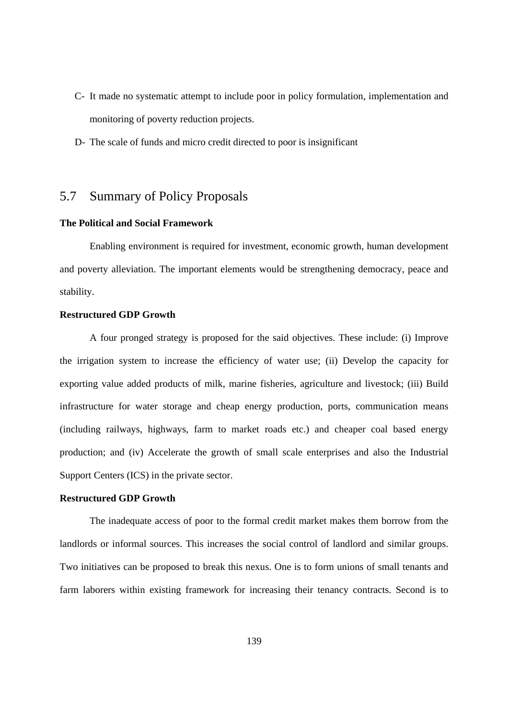- C- It made no systematic attempt to include poor in policy formulation, implementation and monitoring of poverty reduction projects.
- D- The scale of funds and micro credit directed to poor is insignificant

# 5.7 Summary of Policy Proposals

## **The Political and Social Framework**

Enabling environment is required for investment, economic growth, human development and poverty alleviation. The important elements would be strengthening democracy, peace and stability.

## **Restructured GDP Growth**

A four pronged strategy is proposed for the said objectives. These include: (i) Improve the irrigation system to increase the efficiency of water use; (ii) Develop the capacity for exporting value added products of milk, marine fisheries, agriculture and livestock; (iii) Build infrastructure for water storage and cheap energy production, ports, communication means (including railways, highways, farm to market roads etc.) and cheaper coal based energy production; and (iv) Accelerate the growth of small scale enterprises and also the Industrial Support Centers (ICS) in the private sector.

#### **Restructured GDP Growth**

The inadequate access of poor to the formal credit market makes them borrow from the landlords or informal sources. This increases the social control of landlord and similar groups. Two initiatives can be proposed to break this nexus. One is to form unions of small tenants and farm laborers within existing framework for increasing their tenancy contracts. Second is to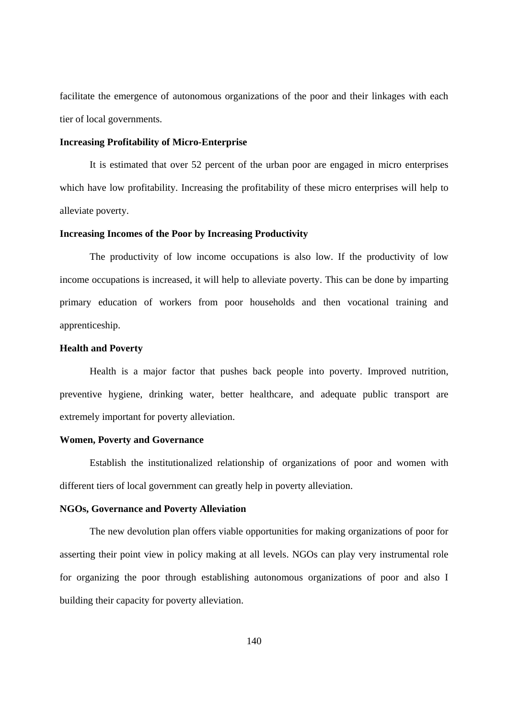facilitate the emergence of autonomous organizations of the poor and their linkages with each tier of local governments.

#### **Increasing Profitability of Micro-Enterprise**

It is estimated that over 52 percent of the urban poor are engaged in micro enterprises which have low profitability. Increasing the profitability of these micro enterprises will help to alleviate poverty.

#### **Increasing Incomes of the Poor by Increasing Productivity**

The productivity of low income occupations is also low. If the productivity of low income occupations is increased, it will help to alleviate poverty. This can be done by imparting primary education of workers from poor households and then vocational training and apprenticeship.

## **Health and Poverty**

Health is a major factor that pushes back people into poverty. Improved nutrition, preventive hygiene, drinking water, better healthcare, and adequate public transport are extremely important for poverty alleviation.

#### **Women, Poverty and Governance**

Establish the institutionalized relationship of organizations of poor and women with different tiers of local government can greatly help in poverty alleviation.

## **NGOs, Governance and Poverty Alleviation**

The new devolution plan offers viable opportunities for making organizations of poor for asserting their point view in policy making at all levels. NGOs can play very instrumental role for organizing the poor through establishing autonomous organizations of poor and also I building their capacity for poverty alleviation.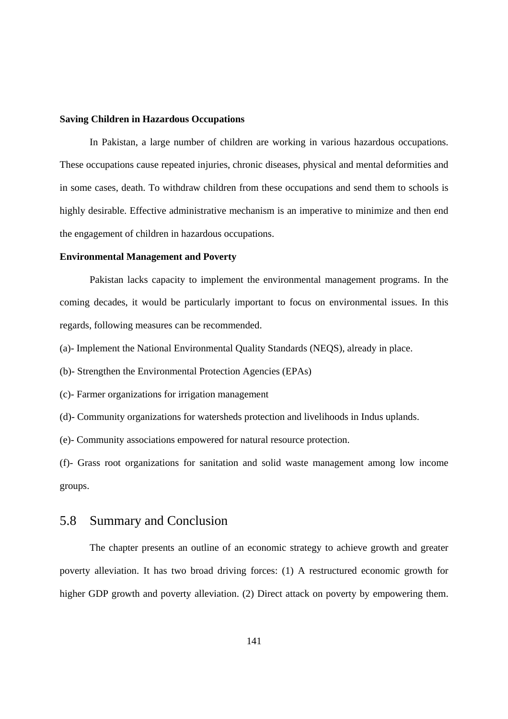#### **Saving Children in Hazardous Occupations**

In Pakistan, a large number of children are working in various hazardous occupations. These occupations cause repeated injuries, chronic diseases, physical and mental deformities and in some cases, death. To withdraw children from these occupations and send them to schools is highly desirable. Effective administrative mechanism is an imperative to minimize and then end the engagement of children in hazardous occupations.

## **Environmental Management and Poverty**

Pakistan lacks capacity to implement the environmental management programs. In the coming decades, it would be particularly important to focus on environmental issues. In this regards, following measures can be recommended.

(a)- Implement the National Environmental Quality Standards (NEQS), already in place.

(b)- Strengthen the Environmental Protection Agencies (EPAs)

(c)- Farmer organizations for irrigation management

(d)- Community organizations for watersheds protection and livelihoods in Indus uplands.

(e)- Community associations empowered for natural resource protection.

(f)- Grass root organizations for sanitation and solid waste management among low income groups.

## 5.8 Summary and Conclusion

The chapter presents an outline of an economic strategy to achieve growth and greater poverty alleviation. It has two broad driving forces: (1) A restructured economic growth for higher GDP growth and poverty alleviation. (2) Direct attack on poverty by empowering them.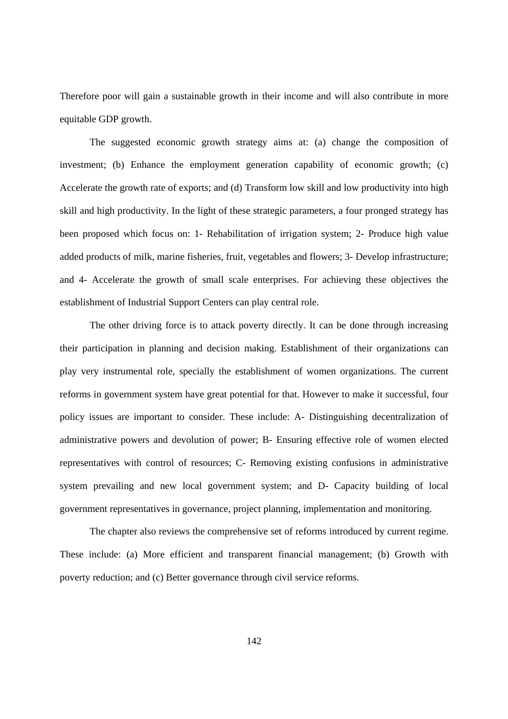Therefore poor will gain a sustainable growth in their income and will also contribute in more equitable GDP growth.

The suggested economic growth strategy aims at: (a) change the composition of investment; (b) Enhance the employment generation capability of economic growth; (c) Accelerate the growth rate of exports; and (d) Transform low skill and low productivity into high skill and high productivity. In the light of these strategic parameters, a four pronged strategy has been proposed which focus on: 1- Rehabilitation of irrigation system; 2- Produce high value added products of milk, marine fisheries, fruit, vegetables and flowers; 3- Develop infrastructure; and 4- Accelerate the growth of small scale enterprises. For achieving these objectives the establishment of Industrial Support Centers can play central role.

The other driving force is to attack poverty directly. It can be done through increasing their participation in planning and decision making. Establishment of their organizations can play very instrumental role, specially the establishment of women organizations. The current reforms in government system have great potential for that. However to make it successful, four policy issues are important to consider. These include: A- Distinguishing decentralization of administrative powers and devolution of power; B- Ensuring effective role of women elected representatives with control of resources; C- Removing existing confusions in administrative system prevailing and new local government system; and D- Capacity building of local government representatives in governance, project planning, implementation and monitoring.

The chapter also reviews the comprehensive set of reforms introduced by current regime. These include: (a) More efficient and transparent financial management; (b) Growth with poverty reduction; and (c) Better governance through civil service reforms.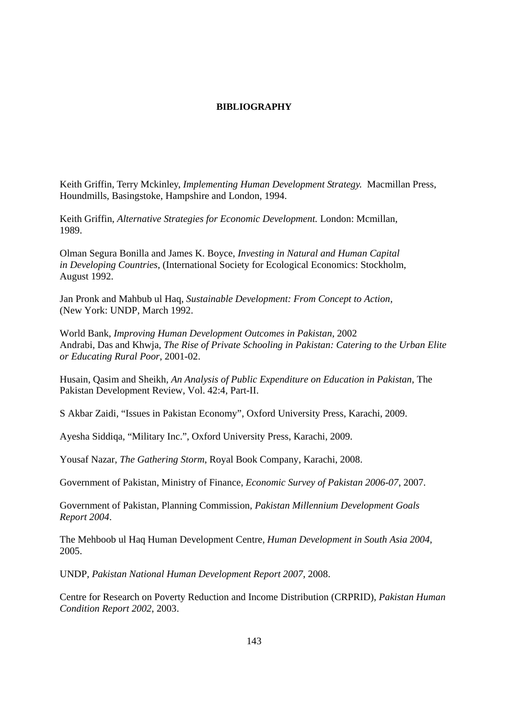#### **BIBLIOGRAPHY**

Keith Griffin, Terry Mckinley, *Implementing Human Development Strategy.* Macmillan Press, Houndmills, Basingstoke, Hampshire and London, 1994.

Keith Griffin, *Alternative Strategies for Economic Development.* London: Mcmillan, 1989.

Olman Segura Bonilla and James K. Boyce, *Investing in Natural and Human Capital in Developing Countries*, (International Society for Ecological Economics: Stockholm, August 1992.

Jan Pronk and Mahbub ul Haq, *Sustainable Development: From Concept to Action*, (New York: UNDP, March 1992.

World Bank, *Improving Human Development Outcomes in Pakistan*, 2002 Andrabi, Das and Khwja, *The Rise of Private Schooling in Pakistan: Catering to the Urban Elite or Educating Rural Poor*, 2001-02.

Husain, Qasim and Sheikh, *An Analysis of Public Expenditure on Education in Pakistan*, The Pakistan Development Review, Vol. 42:4, Part-II.

S Akbar Zaidi, "Issues in Pakistan Economy", Oxford University Press, Karachi, 2009.

Ayesha Siddiqa, "Military Inc.", Oxford University Press, Karachi, 2009.

Yousaf Nazar, *The Gathering Storm*, Royal Book Company, Karachi, 2008.

Government of Pakistan, Ministry of Finance, *Economic Survey of Pakistan 2006-07*, 2007.

Government of Pakistan, Planning Commission, *Pakistan Millennium Development Goals Report 2004*.

The Mehboob ul Haq Human Development Centre, *Human Development in South Asia 2004*, 2005.

UNDP, *Pakistan National Human Development Report 2007*, 2008.

Centre for Research on Poverty Reduction and Income Distribution (CRPRID), *Pakistan Human Condition Report 2002*, 2003.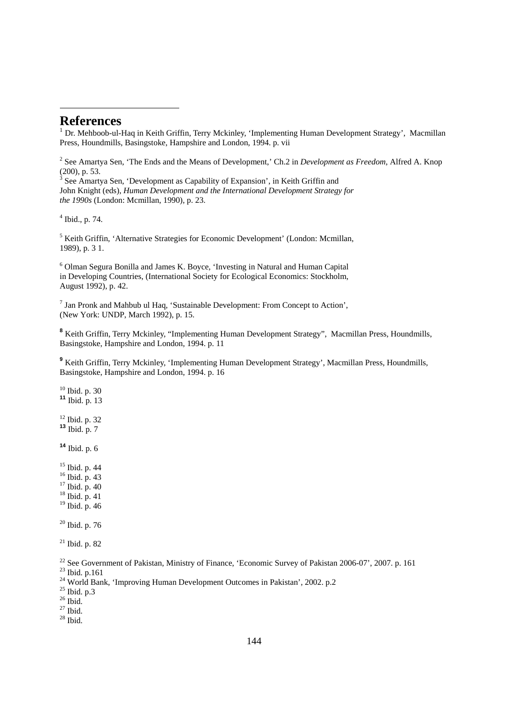## **References**

-

<sup>1</sup> Dr. Mehboob-ul-Haq in Keith Griffin, Terry Mckinley, 'Implementing Human Development Strategy', Macmillan Press, Houndmills, Basingstoke, Hampshire and London, 1994. p. vii

2 See Amartya Sen, 'The Ends and the Means of Development,' Ch.2 in *Development as Freedom*, Alfred A. Knop (200), p. 53.<br><sup>3</sup> See Amartya Sen, 'Development as Capability of Expansion', in Keith Griffin and

John Knight (eds), *Human Development and the International Development Strategy for the 1990s* (London: Mcmillan, 1990), p. 23.

4 Ibid., p. 74.

<sup>5</sup> Keith Griffin, 'Alternative Strategies for Economic Development' (London: Mcmillan, 1989), p. 3 1.

6 Olman Segura Bonilla and James K. Boyce, 'Investing in Natural and Human Capital in Developing Countries, (International Society for Ecological Economics: Stockholm, August 1992), p. 42.

 $<sup>7</sup>$  Jan Pronk and Mahbub ul Haq, 'Sustainable Development: From Concept to Action',</sup> (New York: UNDP, March 1992), p. 15.

**<sup>8</sup>** Keith Griffin, Terry Mckinley, "Implementing Human Development Strategy", Macmillan Press, Houndmills, Basingstoke, Hampshire and London, 1994. p. 11

<sup>9</sup> Keith Griffin, Terry Mckinley, 'Implementing Human Development Strategy', Macmillan Press, Houndmills, Basingstoke, Hampshire and London, 1994. p. 16

 Ibid. p. 30 Ibid. p. 13 12 Ibid. p. 32 Ibid. p. 7 Ibid. p. 6 Ibid. p. 44

16 Ibid. p. 43

17 Ibid. p. 40

18 Ibid. p. 41

19 Ibid. p. 46

 $20$  Ibid. p. 76

 $21$  Ibid. p. 82

<sup>22</sup> See Government of Pakistan, Ministry of Finance, 'Economic Survey of Pakistan 2006-07', 2007. p. 161

23 Ibid. p.161

<sup>24</sup> World Bank, 'Improving Human Development Outcomes in Pakistan', 2002. p.2

 $25$  Ibid. p.3

 $^{\rm 26}$  Ibid.

 $27$  Ibid.

 $28$  Ibid.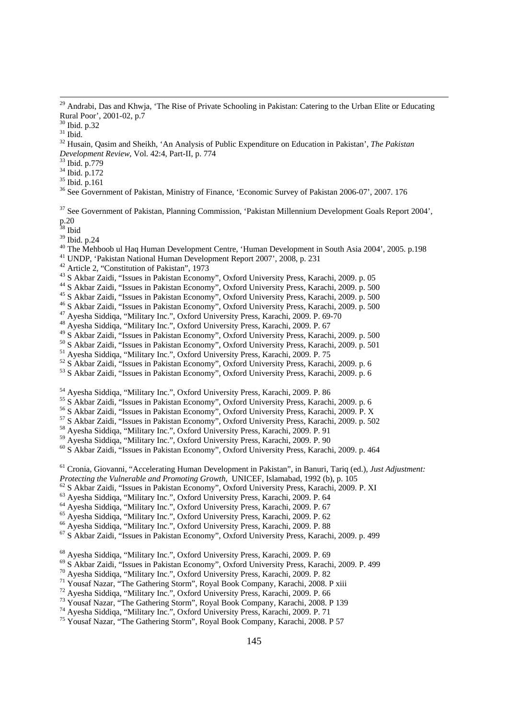34 Ibid. p.172

 $35$  Ibid. p.161

<sup>36</sup> See Government of Pakistan, Ministry of Finance, 'Economic Survey of Pakistan 2006-07', 2007. 176

37 See Government of Pakistan, Planning Commission, 'Pakistan Millennium Development Goals Report 2004', p.20

38 Ibid

39 Ibid. p.24

40 The Mehboob ul Haq Human Development Centre, 'Human Development in South Asia 2004', 2005. p.198

- 41 UNDP, 'Pakistan National Human Development Report 2007', 2008, p. 231
- 42 Article 2, "Constitution of Pakistan", 1973
- 43 S Akbar Zaidi, "Issues in Pakistan Economy", Oxford University Press, Karachi, 2009. p. 05

<sup>44</sup> S Akbar Zaidi, "Issues in Pakistan Economy", Oxford University Press, Karachi, 2009. p. 500

- 45 S Akbar Zaidi, "Issues in Pakistan Economy", Oxford University Press, Karachi, 2009. p. 500
- <sup>46</sup> S Akbar Zaidi, "Issues in Pakistan Economy", Oxford University Press, Karachi, 2009. p. 500
- 47 Ayesha Siddiqa, "Military Inc.", Oxford University Press, Karachi, 2009. P. 69-70
- 48 Ayesha Siddiqa, "Military Inc.", Oxford University Press, Karachi, 2009. P. 67
- 49 S Akbar Zaidi, "Issues in Pakistan Economy", Oxford University Press, Karachi, 2009. p. 500
- 50 S Akbar Zaidi, "Issues in Pakistan Economy", Oxford University Press, Karachi, 2009. p. 501
- 51 Ayesha Siddiqa, "Military Inc.", Oxford University Press, Karachi, 2009. P. 75
- 52 S Akbar Zaidi, "Issues in Pakistan Economy", Oxford University Press, Karachi, 2009. p. 6
- 53 S Akbar Zaidi, "Issues in Pakistan Economy", Oxford University Press, Karachi, 2009. p. 6

54 Ayesha Siddiqa, "Military Inc.", Oxford University Press, Karachi, 2009. P. 86

55 S Akbar Zaidi, "Issues in Pakistan Economy", Oxford University Press, Karachi, 2009. p. 6

56 S Akbar Zaidi, "Issues in Pakistan Economy", Oxford University Press, Karachi, 2009. P. X

57 S Akbar Zaidi, "Issues in Pakistan Economy", Oxford University Press, Karachi, 2009. p. 502

58 Ayesha Siddiqa, "Military Inc.", Oxford University Press, Karachi, 2009. P. 91

59 Ayesha Siddiqa, "Military Inc.", Oxford University Press, Karachi, 2009. P. 90

60 S Akbar Zaidi, "Issues in Pakistan Economy", Oxford University Press, Karachi, 2009. p. 464

<sup>61</sup> Cronia, Giovanni, "Accelerating Human Development in Pakistan", in Banuri, Tariq (ed.), *Just Adjustment: Protecting the Vulnerable and Promoting Growth*, UNICEF, Islamabad, 1992 (b), p. 105

- <sup>62</sup> S Akbar Zaidi, "Issues in Pakistan Economy", Oxford University Press, Karachi, 2009. P. XI
- <sup>63</sup> Ayesha Siddiqa, "Military Inc.", Oxford University Press, Karachi, 2009. P. 64<br><sup>64</sup> Ayesha Siddiqa, "Military Inc.", Oxford University Press, Karachi, 2009. P. 67
- 
- 65 Ayesha Siddiqa, "Military Inc.", Oxford University Press, Karachi, 2009. P. 62
- 66 Ayesha Siddiqa, "Military Inc.", Oxford University Press, Karachi, 2009. P. 88
- 67 S Akbar Zaidi, "Issues in Pakistan Economy", Oxford University Press, Karachi, 2009. p. 499

68 Ayesha Siddiqa, "Military Inc.", Oxford University Press, Karachi, 2009. P. 69

- 69 S Akbar Zaidi, "Issues in Pakistan Economy", Oxford University Press, Karachi, 2009. P. 499
- 70 Ayesha Siddiqa, "Military Inc.", Oxford University Press, Karachi, 2009. P. 82
- 71 Yousaf Nazar, "The Gathering Storm", Royal Book Company, Karachi, 2008. P xiii
- 72 Ayesha Siddiqa, "Military Inc.", Oxford University Press, Karachi, 2009. P. 66
- 73 Yousaf Nazar, "The Gathering Storm", Royal Book Company, Karachi, 2008. P 139
- 74 Ayesha Siddiqa, "Military Inc.", Oxford University Press, Karachi, 2009. P. 71
- 75 Yousaf Nazar, "The Gathering Storm", Royal Book Company, Karachi, 2008. P 57

<sup>&</sup>lt;sup>29</sup> Andrabi, Das and Khwja, 'The Rise of Private Schooling in Pakistan: Catering to the Urban Elite or Educating Rural Poor', 2001-02, p.7

<sup>30</sup> Ibid. p.32

 $31$  Ibid.

<sup>32</sup> Husain, Qasim and Sheikh, 'An Analysis of Public Expenditure on Education in Pakistan', *The Pakistan Development Review*, Vol. 42:4, Part-II, p. 774 33 Ibid. p.779